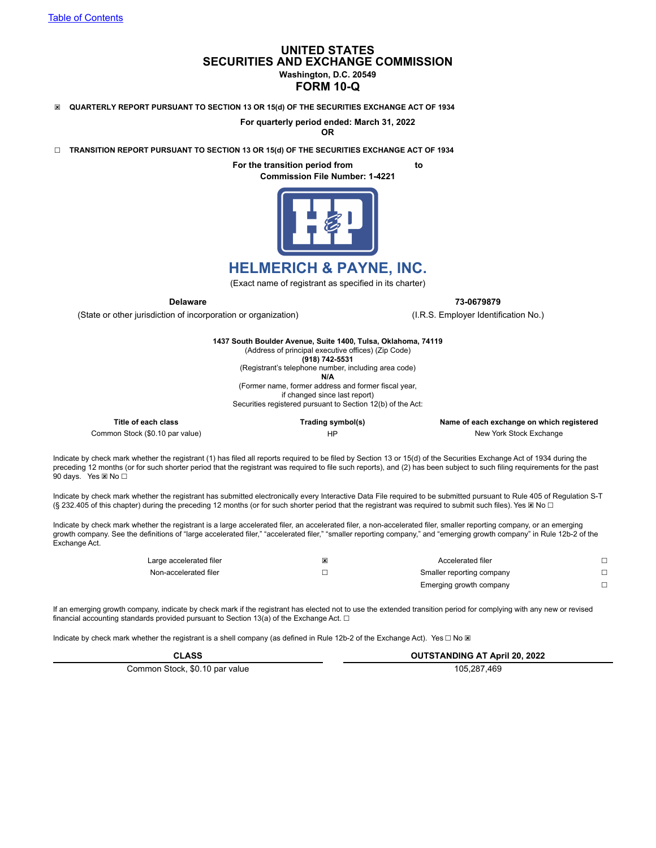# **UNITED STATES SECURITIES AND EXCHANGE COMMISSION Washington, D.C. 20549**

## **FORM 10-Q**

☒ **QUARTERLY REPORT PURSUANT TO SECTION 13 OR 15(d) OF THE SECURITIES EXCHANGE ACT OF 1934**

**For quarterly period ended: March 31, 2022**

**OR**

☐ **TRANSITION REPORT PURSUANT TO SECTION 13 OR 15(d) OF THE SECURITIES EXCHANGE ACT OF 1934**

**For the transition period from to Commission File Number: 1-4221**



# **HELMERICH & PAYNE, INC.**

(Exact name of registrant as specified in its charter)

**Delaware 73-0679879**

(State or other jurisdiction of incorporation or organization) (I.R.S. Employer Identification No.)

**1437 South Boulder Avenue, Suite 1400, Tulsa, Oklahoma, 74119** (Address of principal executive offices) (Zip Code) **(918) 742-5531** (Registrant's telephone number, including area code) **N/A** (Former name, former address and former fiscal year, if changed since last report) Securities registered pursuant to Section 12(b) of the Act:

**Title of each class Trading symbol(s) Name of each exchange on which registered** Common Stock (\$0.10 par value) and the state of the HP New York Stock Exchange of the New York Stock Exchange

Indicate by check mark whether the registrant (1) has filed all reports required to be filed by Section 13 or 15(d) of the Securities Exchange Act of 1934 during the preceding 12 months (or for such shorter period that the registrant was required to file such reports), and (2) has been subject to such filing requirements for the past 90 days. Yes ⊠ No □

Indicate by check mark whether the registrant has submitted electronically every Interactive Data File required to be submitted pursuant to Rule 405 of Regulation S-T (§ 232.405 of this chapter) during the preceding 12 months (or for such shorter period that the registrant was required to submit such files). Yes ⊠ No □

Indicate by check mark whether the registrant is a large accelerated filer, an accelerated filer, a non-accelerated filer, smaller reporting company, or an emerging growth company. See the definitions of "large accelerated filer," "accelerated filer," "smaller reporting company," and "emerging growth company" in Rule 12b-2 of the Exchange Act.

| Large accelerated filer | 図 | Accelerated filer         |  |
|-------------------------|---|---------------------------|--|
| Non-accelerated filer   |   | Smaller reporting company |  |
|                         |   | Emerging growth company   |  |

If an emerging growth company, indicate by check mark if the registrant has elected not to use the extended transition period for complying with any new or revised financial accounting standards provided pursuant to Section 13(a) of the Exchange Act.  $\Box$ 

Indicate by check mark whether the registrant is a shell company (as defined in Rule 12b-2 of the Exchange Act). Yes  $\Box$  No  $\boxtimes$ 

**CLASS OUTSTANDING AT April 20, 2022** Common Stock, \$0.10 par value 105,287,469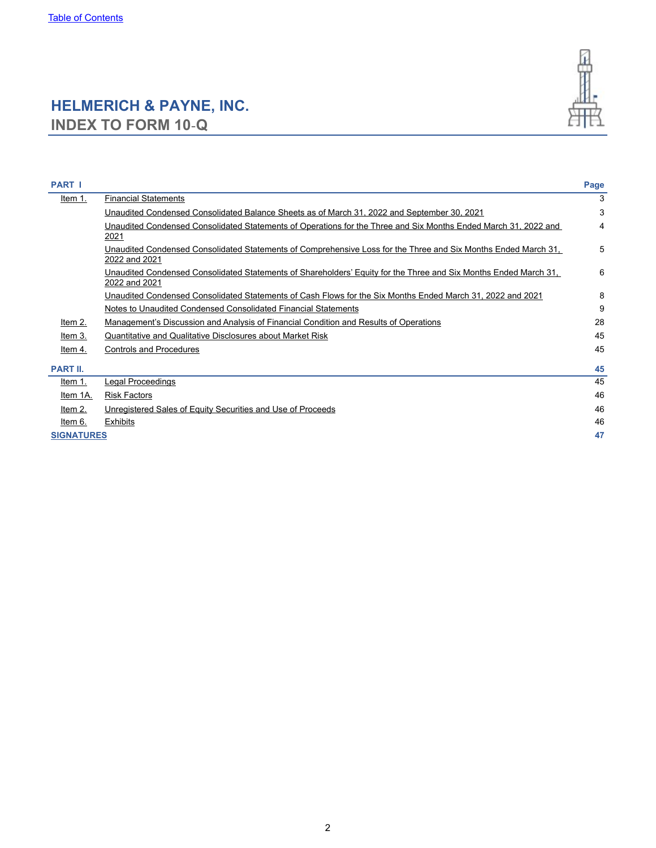# <span id="page-1-0"></span>**HELMERICH & PAYNE, INC. INDEX TO FORM 10**-**Q**



| <b>PART I</b>     |                                                                                                                                   | Page |
|-------------------|-----------------------------------------------------------------------------------------------------------------------------------|------|
| Item 1.           | <b>Financial Statements</b>                                                                                                       | 3    |
|                   | Unaudited Condensed Consolidated Balance Sheets as of March 31, 2022 and September 30, 2021                                       | 3    |
|                   | Unaudited Condensed Consolidated Statements of Operations for the Three and Six Months Ended March 31, 2022 and<br>2021           | 4    |
|                   | Unaudited Condensed Consolidated Statements of Comprehensive Loss for the Three and Six Months Ended March 31,<br>2022 and 2021   | 5    |
|                   | Unaudited Condensed Consolidated Statements of Shareholders' Equity for the Three and Six Months Ended March 31,<br>2022 and 2021 | 6    |
|                   | Unaudited Condensed Consolidated Statements of Cash Flows for the Six Months Ended March 31, 2022 and 2021                        | 8    |
|                   | Notes to Unaudited Condensed Consolidated Financial Statements                                                                    | 9    |
| Item 2.           | Management's Discussion and Analysis of Financial Condition and Results of Operations                                             | 28   |
| Item 3.           | Quantitative and Qualitative Disclosures about Market Risk                                                                        | 45   |
| ltem 4.           | <b>Controls and Procedures</b>                                                                                                    | 45   |
| <b>PART II.</b>   |                                                                                                                                   | 45   |
| Item 1.           | Legal Proceedings                                                                                                                 | 45   |
| Item 1A.          | <b>Risk Factors</b>                                                                                                               | 46   |
| Item 2.           | Unregistered Sales of Equity Securities and Use of Proceeds                                                                       | 46   |
| Item 6.           | Exhibits                                                                                                                          | 46   |
| <b>SIGNATURES</b> |                                                                                                                                   | 47   |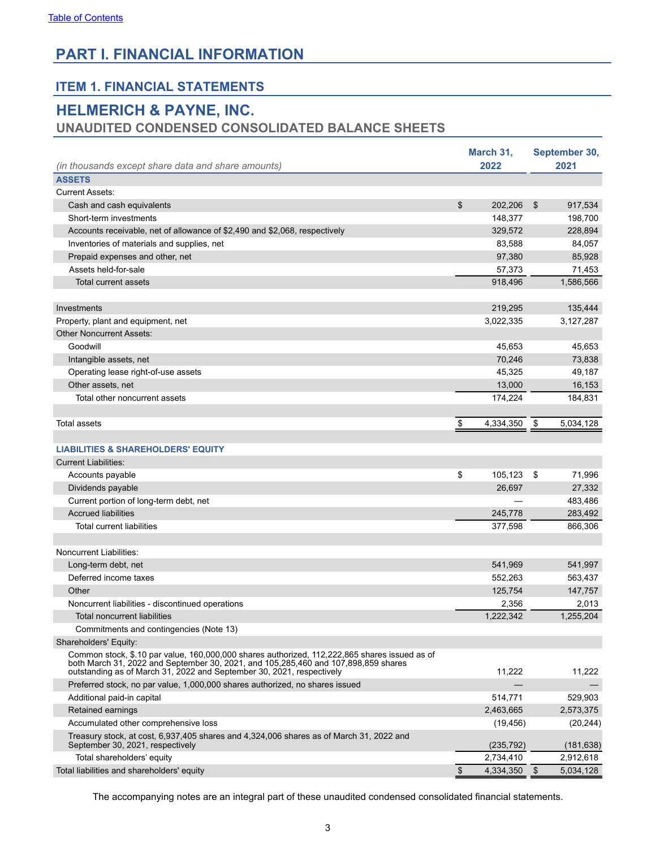# <span id="page-2-0"></span>**PART I. FINANCIAL INFORMATION**

# **ITEM 1. FINANCIAL STATEMENTS**

# **HELMERICH & PAYNE, INC.**

# **UNAUDITED CONDENSED CONSOLIDATED BALANCE SHEETS**

| 2022<br>2021<br>(in thousands except share data and share amounts)<br><b>ASSETS</b><br><b>Current Assets:</b><br>\$<br>Cash and cash equivalents<br>202,206<br>\$<br>917,534<br>148,377<br>198,700<br>Short-term investments<br>329,572<br>228,894<br>Accounts receivable, net of allowance of \$2,490 and \$2,068, respectively<br>83,588<br>84,057<br>Inventories of materials and supplies, net<br>97,380<br>85,928<br>Prepaid expenses and other, net<br>Assets held-for-sale<br>57,373<br>71,453<br>918,496<br>1,586,566<br>Total current assets<br>219,295<br>135,444<br>Investments<br>3,022,335<br>3,127,287<br>Property, plant and equipment, net<br><b>Other Noncurrent Assets:</b><br>Goodwill<br>45,653<br>45,653<br>70,246<br>73,838<br>Intangible assets, net<br>45,325<br>49,187<br>Operating lease right-of-use assets<br>Other assets, net<br>13,000<br>16,153<br>174,224<br>Total other noncurrent assets<br>184,831<br>\$<br>4,334,350<br>-\$<br>5,034,128<br>Total assets<br><b>LIABILITIES &amp; SHAREHOLDERS' EQUITY</b><br><b>Current Liabilities:</b><br>\$<br>105,123<br>71,996<br>Accounts payable<br>\$<br>26,697<br>27,332<br>Dividends payable<br>483,486<br>Current portion of long-term debt, net<br><b>Accrued liabilities</b><br>283,492<br>245,778<br>Total current liabilities<br>866,306<br>377,598<br>Noncurrent Liabilities:<br>Long-term debt, net<br>541,969<br>541,997<br>Deferred income taxes<br>552,263<br>563,437<br>Other<br>125,754<br>147,757<br>2,356<br>Noncurrent liabilities - discontinued operations<br>2,013<br>1,222,342<br>1,255,204<br>Total noncurrent liabilities<br>Commitments and contingencies (Note 13)<br>Shareholders' Equity:<br>Common stock, \$.10 par value, 160,000,000 shares authorized, 112,222,865 shares issued as of<br>both March 31, 2022 and September 30, 2021, and 105, 285, 460 and 107, 898, 859 shares<br>11,222<br>11,222<br>outstanding as of March 31, 2022 and September 30, 2021, respectively<br>Preferred stock, no par value, 1,000,000 shares authorized, no shares issued<br>529,903<br>Additional paid-in capital<br>514,771<br>2,463,665<br>2,573,375<br>Retained earnings<br>Accumulated other comprehensive loss<br>(19, 456)<br>(20, 244)<br>Treasury stock, at cost, 6,937,405 shares and 4,324,006 shares as of March 31, 2022 and<br>September 30, 2021, respectively<br>(235, 792)<br>(181, 638)<br>Total shareholders' equity<br>2,734,410<br>2,912,618 |  | March 31, | September 30, |
|-------------------------------------------------------------------------------------------------------------------------------------------------------------------------------------------------------------------------------------------------------------------------------------------------------------------------------------------------------------------------------------------------------------------------------------------------------------------------------------------------------------------------------------------------------------------------------------------------------------------------------------------------------------------------------------------------------------------------------------------------------------------------------------------------------------------------------------------------------------------------------------------------------------------------------------------------------------------------------------------------------------------------------------------------------------------------------------------------------------------------------------------------------------------------------------------------------------------------------------------------------------------------------------------------------------------------------------------------------------------------------------------------------------------------------------------------------------------------------------------------------------------------------------------------------------------------------------------------------------------------------------------------------------------------------------------------------------------------------------------------------------------------------------------------------------------------------------------------------------------------------------------------------------------------------------------------------------------------------------------------------------------------------------------------------------------------------------------------------------------------------------------------------------------------------------------------------------------------------------------------------------------------------------------------------------------------------------------------------------------------------------------------------------------------------------------------------------------|--|-----------|---------------|
|                                                                                                                                                                                                                                                                                                                                                                                                                                                                                                                                                                                                                                                                                                                                                                                                                                                                                                                                                                                                                                                                                                                                                                                                                                                                                                                                                                                                                                                                                                                                                                                                                                                                                                                                                                                                                                                                                                                                                                                                                                                                                                                                                                                                                                                                                                                                                                                                                                                                   |  |           |               |
|                                                                                                                                                                                                                                                                                                                                                                                                                                                                                                                                                                                                                                                                                                                                                                                                                                                                                                                                                                                                                                                                                                                                                                                                                                                                                                                                                                                                                                                                                                                                                                                                                                                                                                                                                                                                                                                                                                                                                                                                                                                                                                                                                                                                                                                                                                                                                                                                                                                                   |  |           |               |
|                                                                                                                                                                                                                                                                                                                                                                                                                                                                                                                                                                                                                                                                                                                                                                                                                                                                                                                                                                                                                                                                                                                                                                                                                                                                                                                                                                                                                                                                                                                                                                                                                                                                                                                                                                                                                                                                                                                                                                                                                                                                                                                                                                                                                                                                                                                                                                                                                                                                   |  |           |               |
|                                                                                                                                                                                                                                                                                                                                                                                                                                                                                                                                                                                                                                                                                                                                                                                                                                                                                                                                                                                                                                                                                                                                                                                                                                                                                                                                                                                                                                                                                                                                                                                                                                                                                                                                                                                                                                                                                                                                                                                                                                                                                                                                                                                                                                                                                                                                                                                                                                                                   |  |           |               |
|                                                                                                                                                                                                                                                                                                                                                                                                                                                                                                                                                                                                                                                                                                                                                                                                                                                                                                                                                                                                                                                                                                                                                                                                                                                                                                                                                                                                                                                                                                                                                                                                                                                                                                                                                                                                                                                                                                                                                                                                                                                                                                                                                                                                                                                                                                                                                                                                                                                                   |  |           |               |
|                                                                                                                                                                                                                                                                                                                                                                                                                                                                                                                                                                                                                                                                                                                                                                                                                                                                                                                                                                                                                                                                                                                                                                                                                                                                                                                                                                                                                                                                                                                                                                                                                                                                                                                                                                                                                                                                                                                                                                                                                                                                                                                                                                                                                                                                                                                                                                                                                                                                   |  |           |               |
|                                                                                                                                                                                                                                                                                                                                                                                                                                                                                                                                                                                                                                                                                                                                                                                                                                                                                                                                                                                                                                                                                                                                                                                                                                                                                                                                                                                                                                                                                                                                                                                                                                                                                                                                                                                                                                                                                                                                                                                                                                                                                                                                                                                                                                                                                                                                                                                                                                                                   |  |           |               |
|                                                                                                                                                                                                                                                                                                                                                                                                                                                                                                                                                                                                                                                                                                                                                                                                                                                                                                                                                                                                                                                                                                                                                                                                                                                                                                                                                                                                                                                                                                                                                                                                                                                                                                                                                                                                                                                                                                                                                                                                                                                                                                                                                                                                                                                                                                                                                                                                                                                                   |  |           |               |
|                                                                                                                                                                                                                                                                                                                                                                                                                                                                                                                                                                                                                                                                                                                                                                                                                                                                                                                                                                                                                                                                                                                                                                                                                                                                                                                                                                                                                                                                                                                                                                                                                                                                                                                                                                                                                                                                                                                                                                                                                                                                                                                                                                                                                                                                                                                                                                                                                                                                   |  |           |               |
|                                                                                                                                                                                                                                                                                                                                                                                                                                                                                                                                                                                                                                                                                                                                                                                                                                                                                                                                                                                                                                                                                                                                                                                                                                                                                                                                                                                                                                                                                                                                                                                                                                                                                                                                                                                                                                                                                                                                                                                                                                                                                                                                                                                                                                                                                                                                                                                                                                                                   |  |           |               |
|                                                                                                                                                                                                                                                                                                                                                                                                                                                                                                                                                                                                                                                                                                                                                                                                                                                                                                                                                                                                                                                                                                                                                                                                                                                                                                                                                                                                                                                                                                                                                                                                                                                                                                                                                                                                                                                                                                                                                                                                                                                                                                                                                                                                                                                                                                                                                                                                                                                                   |  |           |               |
|                                                                                                                                                                                                                                                                                                                                                                                                                                                                                                                                                                                                                                                                                                                                                                                                                                                                                                                                                                                                                                                                                                                                                                                                                                                                                                                                                                                                                                                                                                                                                                                                                                                                                                                                                                                                                                                                                                                                                                                                                                                                                                                                                                                                                                                                                                                                                                                                                                                                   |  |           |               |
|                                                                                                                                                                                                                                                                                                                                                                                                                                                                                                                                                                                                                                                                                                                                                                                                                                                                                                                                                                                                                                                                                                                                                                                                                                                                                                                                                                                                                                                                                                                                                                                                                                                                                                                                                                                                                                                                                                                                                                                                                                                                                                                                                                                                                                                                                                                                                                                                                                                                   |  |           |               |
|                                                                                                                                                                                                                                                                                                                                                                                                                                                                                                                                                                                                                                                                                                                                                                                                                                                                                                                                                                                                                                                                                                                                                                                                                                                                                                                                                                                                                                                                                                                                                                                                                                                                                                                                                                                                                                                                                                                                                                                                                                                                                                                                                                                                                                                                                                                                                                                                                                                                   |  |           |               |
|                                                                                                                                                                                                                                                                                                                                                                                                                                                                                                                                                                                                                                                                                                                                                                                                                                                                                                                                                                                                                                                                                                                                                                                                                                                                                                                                                                                                                                                                                                                                                                                                                                                                                                                                                                                                                                                                                                                                                                                                                                                                                                                                                                                                                                                                                                                                                                                                                                                                   |  |           |               |
|                                                                                                                                                                                                                                                                                                                                                                                                                                                                                                                                                                                                                                                                                                                                                                                                                                                                                                                                                                                                                                                                                                                                                                                                                                                                                                                                                                                                                                                                                                                                                                                                                                                                                                                                                                                                                                                                                                                                                                                                                                                                                                                                                                                                                                                                                                                                                                                                                                                                   |  |           |               |
|                                                                                                                                                                                                                                                                                                                                                                                                                                                                                                                                                                                                                                                                                                                                                                                                                                                                                                                                                                                                                                                                                                                                                                                                                                                                                                                                                                                                                                                                                                                                                                                                                                                                                                                                                                                                                                                                                                                                                                                                                                                                                                                                                                                                                                                                                                                                                                                                                                                                   |  |           |               |
|                                                                                                                                                                                                                                                                                                                                                                                                                                                                                                                                                                                                                                                                                                                                                                                                                                                                                                                                                                                                                                                                                                                                                                                                                                                                                                                                                                                                                                                                                                                                                                                                                                                                                                                                                                                                                                                                                                                                                                                                                                                                                                                                                                                                                                                                                                                                                                                                                                                                   |  |           |               |
|                                                                                                                                                                                                                                                                                                                                                                                                                                                                                                                                                                                                                                                                                                                                                                                                                                                                                                                                                                                                                                                                                                                                                                                                                                                                                                                                                                                                                                                                                                                                                                                                                                                                                                                                                                                                                                                                                                                                                                                                                                                                                                                                                                                                                                                                                                                                                                                                                                                                   |  |           |               |
|                                                                                                                                                                                                                                                                                                                                                                                                                                                                                                                                                                                                                                                                                                                                                                                                                                                                                                                                                                                                                                                                                                                                                                                                                                                                                                                                                                                                                                                                                                                                                                                                                                                                                                                                                                                                                                                                                                                                                                                                                                                                                                                                                                                                                                                                                                                                                                                                                                                                   |  |           |               |
|                                                                                                                                                                                                                                                                                                                                                                                                                                                                                                                                                                                                                                                                                                                                                                                                                                                                                                                                                                                                                                                                                                                                                                                                                                                                                                                                                                                                                                                                                                                                                                                                                                                                                                                                                                                                                                                                                                                                                                                                                                                                                                                                                                                                                                                                                                                                                                                                                                                                   |  |           |               |
|                                                                                                                                                                                                                                                                                                                                                                                                                                                                                                                                                                                                                                                                                                                                                                                                                                                                                                                                                                                                                                                                                                                                                                                                                                                                                                                                                                                                                                                                                                                                                                                                                                                                                                                                                                                                                                                                                                                                                                                                                                                                                                                                                                                                                                                                                                                                                                                                                                                                   |  |           |               |
|                                                                                                                                                                                                                                                                                                                                                                                                                                                                                                                                                                                                                                                                                                                                                                                                                                                                                                                                                                                                                                                                                                                                                                                                                                                                                                                                                                                                                                                                                                                                                                                                                                                                                                                                                                                                                                                                                                                                                                                                                                                                                                                                                                                                                                                                                                                                                                                                                                                                   |  |           |               |
|                                                                                                                                                                                                                                                                                                                                                                                                                                                                                                                                                                                                                                                                                                                                                                                                                                                                                                                                                                                                                                                                                                                                                                                                                                                                                                                                                                                                                                                                                                                                                                                                                                                                                                                                                                                                                                                                                                                                                                                                                                                                                                                                                                                                                                                                                                                                                                                                                                                                   |  |           |               |
|                                                                                                                                                                                                                                                                                                                                                                                                                                                                                                                                                                                                                                                                                                                                                                                                                                                                                                                                                                                                                                                                                                                                                                                                                                                                                                                                                                                                                                                                                                                                                                                                                                                                                                                                                                                                                                                                                                                                                                                                                                                                                                                                                                                                                                                                                                                                                                                                                                                                   |  |           |               |
|                                                                                                                                                                                                                                                                                                                                                                                                                                                                                                                                                                                                                                                                                                                                                                                                                                                                                                                                                                                                                                                                                                                                                                                                                                                                                                                                                                                                                                                                                                                                                                                                                                                                                                                                                                                                                                                                                                                                                                                                                                                                                                                                                                                                                                                                                                                                                                                                                                                                   |  |           |               |
|                                                                                                                                                                                                                                                                                                                                                                                                                                                                                                                                                                                                                                                                                                                                                                                                                                                                                                                                                                                                                                                                                                                                                                                                                                                                                                                                                                                                                                                                                                                                                                                                                                                                                                                                                                                                                                                                                                                                                                                                                                                                                                                                                                                                                                                                                                                                                                                                                                                                   |  |           |               |
|                                                                                                                                                                                                                                                                                                                                                                                                                                                                                                                                                                                                                                                                                                                                                                                                                                                                                                                                                                                                                                                                                                                                                                                                                                                                                                                                                                                                                                                                                                                                                                                                                                                                                                                                                                                                                                                                                                                                                                                                                                                                                                                                                                                                                                                                                                                                                                                                                                                                   |  |           |               |
|                                                                                                                                                                                                                                                                                                                                                                                                                                                                                                                                                                                                                                                                                                                                                                                                                                                                                                                                                                                                                                                                                                                                                                                                                                                                                                                                                                                                                                                                                                                                                                                                                                                                                                                                                                                                                                                                                                                                                                                                                                                                                                                                                                                                                                                                                                                                                                                                                                                                   |  |           |               |
|                                                                                                                                                                                                                                                                                                                                                                                                                                                                                                                                                                                                                                                                                                                                                                                                                                                                                                                                                                                                                                                                                                                                                                                                                                                                                                                                                                                                                                                                                                                                                                                                                                                                                                                                                                                                                                                                                                                                                                                                                                                                                                                                                                                                                                                                                                                                                                                                                                                                   |  |           |               |
|                                                                                                                                                                                                                                                                                                                                                                                                                                                                                                                                                                                                                                                                                                                                                                                                                                                                                                                                                                                                                                                                                                                                                                                                                                                                                                                                                                                                                                                                                                                                                                                                                                                                                                                                                                                                                                                                                                                                                                                                                                                                                                                                                                                                                                                                                                                                                                                                                                                                   |  |           |               |
|                                                                                                                                                                                                                                                                                                                                                                                                                                                                                                                                                                                                                                                                                                                                                                                                                                                                                                                                                                                                                                                                                                                                                                                                                                                                                                                                                                                                                                                                                                                                                                                                                                                                                                                                                                                                                                                                                                                                                                                                                                                                                                                                                                                                                                                                                                                                                                                                                                                                   |  |           |               |
|                                                                                                                                                                                                                                                                                                                                                                                                                                                                                                                                                                                                                                                                                                                                                                                                                                                                                                                                                                                                                                                                                                                                                                                                                                                                                                                                                                                                                                                                                                                                                                                                                                                                                                                                                                                                                                                                                                                                                                                                                                                                                                                                                                                                                                                                                                                                                                                                                                                                   |  |           |               |
|                                                                                                                                                                                                                                                                                                                                                                                                                                                                                                                                                                                                                                                                                                                                                                                                                                                                                                                                                                                                                                                                                                                                                                                                                                                                                                                                                                                                                                                                                                                                                                                                                                                                                                                                                                                                                                                                                                                                                                                                                                                                                                                                                                                                                                                                                                                                                                                                                                                                   |  |           |               |
|                                                                                                                                                                                                                                                                                                                                                                                                                                                                                                                                                                                                                                                                                                                                                                                                                                                                                                                                                                                                                                                                                                                                                                                                                                                                                                                                                                                                                                                                                                                                                                                                                                                                                                                                                                                                                                                                                                                                                                                                                                                                                                                                                                                                                                                                                                                                                                                                                                                                   |  |           |               |
|                                                                                                                                                                                                                                                                                                                                                                                                                                                                                                                                                                                                                                                                                                                                                                                                                                                                                                                                                                                                                                                                                                                                                                                                                                                                                                                                                                                                                                                                                                                                                                                                                                                                                                                                                                                                                                                                                                                                                                                                                                                                                                                                                                                                                                                                                                                                                                                                                                                                   |  |           |               |
|                                                                                                                                                                                                                                                                                                                                                                                                                                                                                                                                                                                                                                                                                                                                                                                                                                                                                                                                                                                                                                                                                                                                                                                                                                                                                                                                                                                                                                                                                                                                                                                                                                                                                                                                                                                                                                                                                                                                                                                                                                                                                                                                                                                                                                                                                                                                                                                                                                                                   |  |           |               |
|                                                                                                                                                                                                                                                                                                                                                                                                                                                                                                                                                                                                                                                                                                                                                                                                                                                                                                                                                                                                                                                                                                                                                                                                                                                                                                                                                                                                                                                                                                                                                                                                                                                                                                                                                                                                                                                                                                                                                                                                                                                                                                                                                                                                                                                                                                                                                                                                                                                                   |  |           |               |
|                                                                                                                                                                                                                                                                                                                                                                                                                                                                                                                                                                                                                                                                                                                                                                                                                                                                                                                                                                                                                                                                                                                                                                                                                                                                                                                                                                                                                                                                                                                                                                                                                                                                                                                                                                                                                                                                                                                                                                                                                                                                                                                                                                                                                                                                                                                                                                                                                                                                   |  |           |               |
|                                                                                                                                                                                                                                                                                                                                                                                                                                                                                                                                                                                                                                                                                                                                                                                                                                                                                                                                                                                                                                                                                                                                                                                                                                                                                                                                                                                                                                                                                                                                                                                                                                                                                                                                                                                                                                                                                                                                                                                                                                                                                                                                                                                                                                                                                                                                                                                                                                                                   |  |           |               |
|                                                                                                                                                                                                                                                                                                                                                                                                                                                                                                                                                                                                                                                                                                                                                                                                                                                                                                                                                                                                                                                                                                                                                                                                                                                                                                                                                                                                                                                                                                                                                                                                                                                                                                                                                                                                                                                                                                                                                                                                                                                                                                                                                                                                                                                                                                                                                                                                                                                                   |  |           |               |
|                                                                                                                                                                                                                                                                                                                                                                                                                                                                                                                                                                                                                                                                                                                                                                                                                                                                                                                                                                                                                                                                                                                                                                                                                                                                                                                                                                                                                                                                                                                                                                                                                                                                                                                                                                                                                                                                                                                                                                                                                                                                                                                                                                                                                                                                                                                                                                                                                                                                   |  |           |               |
|                                                                                                                                                                                                                                                                                                                                                                                                                                                                                                                                                                                                                                                                                                                                                                                                                                                                                                                                                                                                                                                                                                                                                                                                                                                                                                                                                                                                                                                                                                                                                                                                                                                                                                                                                                                                                                                                                                                                                                                                                                                                                                                                                                                                                                                                                                                                                                                                                                                                   |  |           |               |
|                                                                                                                                                                                                                                                                                                                                                                                                                                                                                                                                                                                                                                                                                                                                                                                                                                                                                                                                                                                                                                                                                                                                                                                                                                                                                                                                                                                                                                                                                                                                                                                                                                                                                                                                                                                                                                                                                                                                                                                                                                                                                                                                                                                                                                                                                                                                                                                                                                                                   |  |           |               |
|                                                                                                                                                                                                                                                                                                                                                                                                                                                                                                                                                                                                                                                                                                                                                                                                                                                                                                                                                                                                                                                                                                                                                                                                                                                                                                                                                                                                                                                                                                                                                                                                                                                                                                                                                                                                                                                                                                                                                                                                                                                                                                                                                                                                                                                                                                                                                                                                                                                                   |  |           |               |
| Total liabilities and shareholders' equity<br>$\frac{1}{2}$<br>4,334,350<br>- \$<br>5,034,128                                                                                                                                                                                                                                                                                                                                                                                                                                                                                                                                                                                                                                                                                                                                                                                                                                                                                                                                                                                                                                                                                                                                                                                                                                                                                                                                                                                                                                                                                                                                                                                                                                                                                                                                                                                                                                                                                                                                                                                                                                                                                                                                                                                                                                                                                                                                                                     |  |           |               |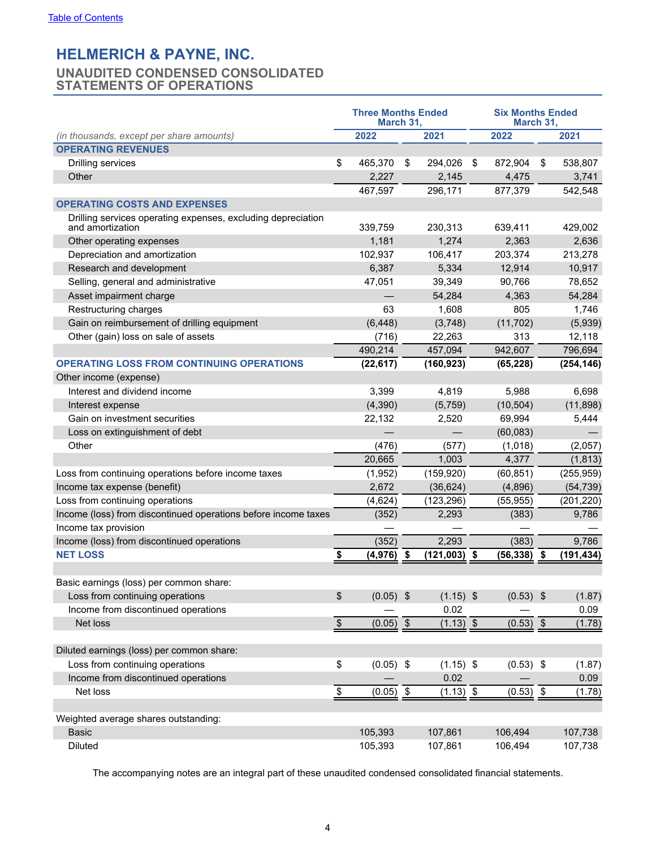# <span id="page-3-0"></span>**UNAUDITED CONDENSED CONSOLIDATED STATEMENTS OF OPERATIONS**

|                                                                                  | <b>Three Months Ended</b><br>March 31, |                      |                   |                | <b>Six Months Ended</b><br>March 31. |                |                          |            |
|----------------------------------------------------------------------------------|----------------------------------------|----------------------|-------------------|----------------|--------------------------------------|----------------|--------------------------|------------|
| (in thousands, except per share amounts)                                         |                                        | 2022<br>2021<br>2022 |                   |                | 2021                                 |                |                          |            |
| <b>OPERATING REVENUES</b>                                                        |                                        |                      |                   |                |                                      |                |                          |            |
| <b>Drilling services</b>                                                         | \$                                     | 465,370              | \$                | 294,026        | \$                                   | 872,904        | \$                       | 538,807    |
| Other                                                                            |                                        | 2,227                |                   | 2,145          |                                      | 4,475          |                          | 3,741      |
|                                                                                  |                                        | 467,597              |                   | 296,171        |                                      | 877,379        |                          | 542,548    |
| <b>OPERATING COSTS AND EXPENSES</b>                                              |                                        |                      |                   |                |                                      |                |                          |            |
| Drilling services operating expenses, excluding depreciation<br>and amortization |                                        | 339,759              |                   | 230,313        |                                      | 639,411        |                          | 429,002    |
| Other operating expenses                                                         |                                        | 1,181                |                   | 1,274          |                                      | 2,363          |                          | 2,636      |
| Depreciation and amortization                                                    |                                        | 102,937              |                   | 106,417        |                                      | 203,374        |                          | 213,278    |
| Research and development                                                         |                                        | 6,387                |                   | 5,334          |                                      | 12,914         |                          | 10,917     |
| Selling, general and administrative                                              |                                        | 47,051               |                   | 39,349         |                                      | 90,766         |                          | 78,652     |
| Asset impairment charge                                                          |                                        |                      |                   | 54,284         |                                      | 4,363          |                          | 54,284     |
| Restructuring charges                                                            |                                        | 63                   |                   | 1,608          |                                      | 805            |                          | 1,746      |
| Gain on reimbursement of drilling equipment                                      |                                        | (6, 448)             |                   | (3,748)        |                                      | (11, 702)      |                          | (5,939)    |
| Other (gain) loss on sale of assets                                              |                                        | (716)                |                   | 22,263         |                                      | 313            |                          | 12,118     |
|                                                                                  |                                        | 490,214              |                   | 457,094        |                                      | 942,607        |                          | 796,694    |
| <b>OPERATING LOSS FROM CONTINUING OPERATIONS</b>                                 |                                        | (22, 617)            |                   | (160, 923)     |                                      | (65, 228)      |                          | (254, 146) |
| Other income (expense)                                                           |                                        |                      |                   |                |                                      |                |                          |            |
| Interest and dividend income                                                     |                                        | 3,399                |                   | 4,819          |                                      | 5,988          |                          | 6,698      |
| Interest expense                                                                 |                                        | (4,390)              |                   | (5,759)        |                                      | (10, 504)      |                          | (11, 898)  |
| Gain on investment securities                                                    |                                        | 22,132               |                   | 2,520          |                                      | 69,994         |                          |            |
|                                                                                  |                                        |                      |                   |                |                                      |                |                          | 5,444      |
| Loss on extinguishment of debt<br>Other                                          |                                        |                      |                   |                |                                      | (60,083)       |                          |            |
|                                                                                  |                                        | (476)                |                   | (577)          |                                      | (1,018)        |                          | (2,057)    |
|                                                                                  |                                        | 20,665               |                   | 1,003          |                                      | 4,377          |                          | (1, 813)   |
| Loss from continuing operations before income taxes                              |                                        | (1, 952)             |                   | (159, 920)     |                                      | (60, 851)      |                          | (255, 959) |
| Income tax expense (benefit)                                                     |                                        | 2,672                |                   | (36, 624)      |                                      | (4,896)        |                          | (54, 739)  |
| Loss from continuing operations                                                  |                                        | (4,624)              |                   | (123, 296)     |                                      | (55, 955)      |                          | (201, 220) |
| Income (loss) from discontinued operations before income taxes                   |                                        | (352)                |                   | 2,293          |                                      | (383)          |                          | 9,786      |
| Income tax provision                                                             |                                        |                      |                   |                |                                      |                |                          |            |
| Income (loss) from discontinued operations                                       |                                        | (352)                |                   | 2,293          |                                      | (383)          |                          | 9,786      |
| <b>NET LOSS</b>                                                                  | \$                                     | $(4,976)$ \$         |                   | $(121,003)$ \$ |                                      | $(56, 338)$ \$ |                          | (191, 434) |
| Basic earnings (loss) per common share:                                          |                                        |                      |                   |                |                                      |                |                          |            |
| Loss from continuing operations                                                  | \$                                     | $(0.05)$ \$          |                   | $(1.15)$ \$    |                                      | $(0.53)$ \$    |                          | (1.87)     |
| Income from discontinued operations                                              |                                        |                      |                   | 0.02           |                                      |                |                          | 0.09       |
| Net loss                                                                         | $\frac{1}{2}$                          | $(0.05)$ \$          |                   | $(1.13)$ \$    |                                      | $(0.53)$ \$    |                          | (1.78)     |
|                                                                                  |                                        |                      |                   |                |                                      |                |                          |            |
| Diluted earnings (loss) per common share:                                        |                                        |                      |                   |                |                                      |                |                          |            |
| Loss from continuing operations                                                  | \$                                     | $(0.05)$ \$          |                   | $(1.15)$ \$    |                                      | $(0.53)$ \$    |                          | (1.87)     |
| Income from discontinued operations                                              |                                        |                      |                   | 0.02           |                                      |                |                          | 0.09       |
| Net loss                                                                         | $\frac{1}{2}$                          | (0.05)               | $\boldsymbol{\$}$ | $(1.13)$ \$    |                                      | (0.53)         | $\overline{\mathcal{L}}$ | (1.78)     |
|                                                                                  |                                        |                      |                   |                |                                      |                |                          |            |
| Weighted average shares outstanding:                                             |                                        |                      |                   |                |                                      |                |                          |            |
| <b>Basic</b>                                                                     |                                        | 105,393              |                   | 107,861        |                                      | 106,494        |                          | 107,738    |
| Diluted                                                                          |                                        | 105,393              |                   | 107,861        |                                      | 106,494        |                          | 107,738    |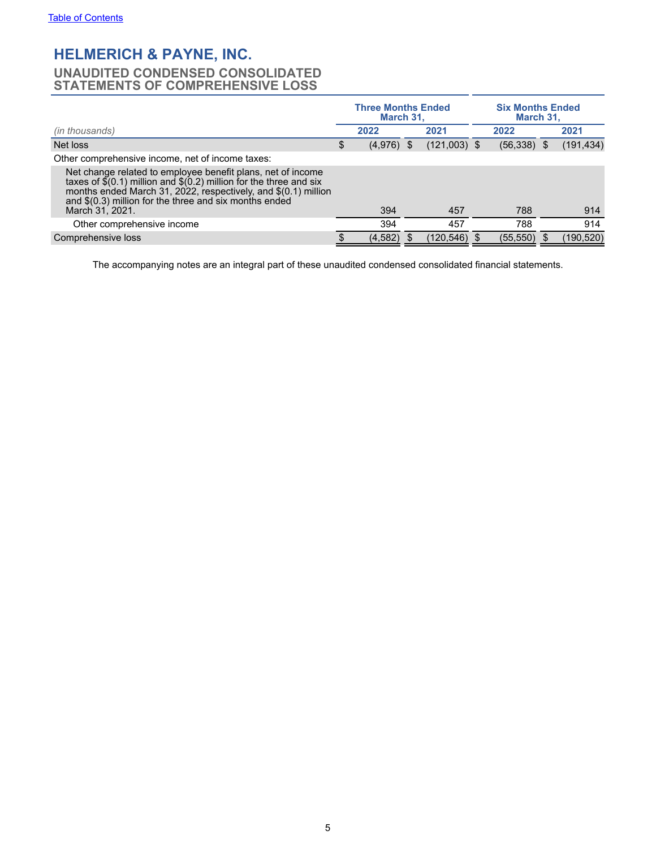# <span id="page-4-0"></span>**UNAUDITED CONDENSED CONSOLIDATED STATEMENTS OF COMPREHENSIVE LOSS**

|                                                                                                                                                                                                                                                                                                          |   | <b>Three Months Ended</b><br>March 31, |                | <b>Six Months Ended</b><br>March 31, |            |
|----------------------------------------------------------------------------------------------------------------------------------------------------------------------------------------------------------------------------------------------------------------------------------------------------------|---|----------------------------------------|----------------|--------------------------------------|------------|
| (in thousands)                                                                                                                                                                                                                                                                                           |   | 2022                                   | 2021           | 2022                                 | 2021       |
| Net loss                                                                                                                                                                                                                                                                                                 | Œ | (4,976)                                | $(121,003)$ \$ | $(56,338)$ \$                        | (191, 434) |
| Other comprehensive income, net of income taxes:                                                                                                                                                                                                                                                         |   |                                        |                |                                      |            |
| Net change related to employee benefit plans, net of income<br>taxes of $\frac{2}{3}(0.1)$ million and $\frac{2}{3}(0.2)$ million for the three and six<br>months ended March 31, 2022, respectively, and \$(0.1) million<br>and $\S(0.3)$ million for the three and six months ended<br>March 31, 2021. |   | 394                                    | 457            | 788                                  | 914        |
| Other comprehensive income                                                                                                                                                                                                                                                                               |   | 394                                    | 457            | 788                                  | 914        |
| Comprehensive loss                                                                                                                                                                                                                                                                                       |   | (4,582)                                | (120, 546)     | (55, 550)                            | (190, 520) |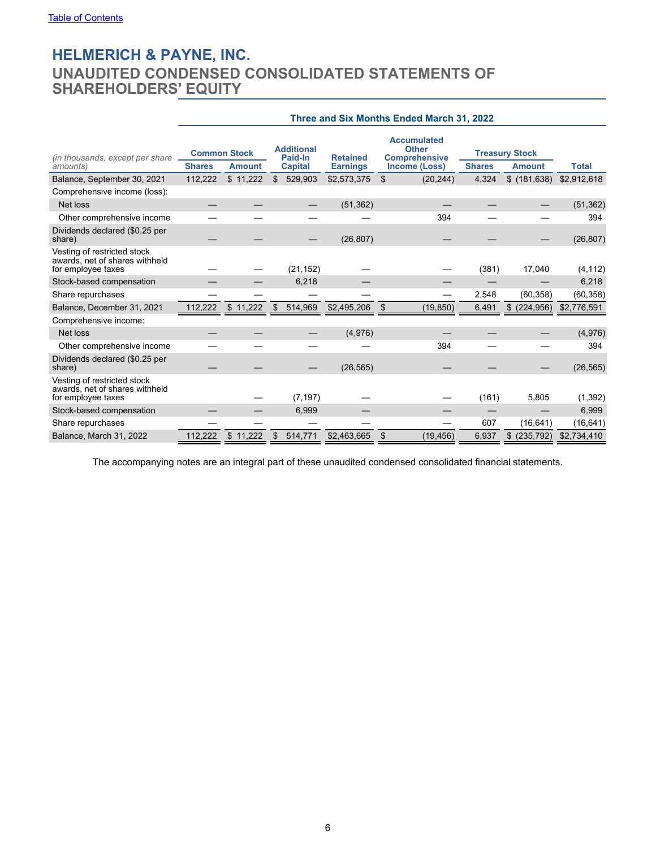# <span id="page-5-0"></span>**UNAUDITED CONDENSED CONSOLIDATED STATEMENTS OF SHAREHOLDERS' EQUITY**

|                                                                                     | Three and Six Months Ended March 31, 2022 |                                                                                                                                                               |                         |                 |                             |               |                  |              |  |
|-------------------------------------------------------------------------------------|-------------------------------------------|---------------------------------------------------------------------------------------------------------------------------------------------------------------|-------------------------|-----------------|-----------------------------|---------------|------------------|--------------|--|
| (in thousands, except per share)                                                    |                                           | <b>Accumulated</b><br><b>Additional</b><br><b>Other</b><br><b>Common Stock</b><br><b>Treasury Stock</b><br>Paid-In<br><b>Retained</b><br><b>Comprehensive</b> |                         |                 |                             |               |                  |              |  |
| amounts)                                                                            | <b>Shares</b>                             | <b>Amount</b>                                                                                                                                                 | <b>Capital</b>          | <b>Earnings</b> | Income (Loss)               | <b>Shares</b> | <b>Amount</b>    | <b>Total</b> |  |
| Balance, September 30, 2021                                                         | 112,222                                   | \$11,222                                                                                                                                                      | $\mathbb{S}$<br>529,903 | \$2,573,375     | $\mathfrak{S}$<br>(20, 244) | 4,324         | \$(181, 638)     | \$2,912,618  |  |
| Comprehensive income (loss):                                                        |                                           |                                                                                                                                                               |                         |                 |                             |               |                  |              |  |
| Net loss                                                                            |                                           |                                                                                                                                                               |                         | (51, 362)       |                             |               |                  | (51, 362)    |  |
| Other comprehensive income                                                          |                                           |                                                                                                                                                               |                         |                 | 394                         |               |                  | 394          |  |
| Dividends declared (\$0.25 per<br>share)                                            |                                           |                                                                                                                                                               |                         | (26, 807)       |                             |               |                  | (26, 807)    |  |
| Vesting of restricted stock<br>awards, net of shares withheld<br>for employee taxes |                                           |                                                                                                                                                               | (21, 152)               |                 |                             | (381)         | 17,040           | (4, 112)     |  |
| Stock-based compensation                                                            |                                           |                                                                                                                                                               | 6,218                   |                 |                             |               |                  | 6,218        |  |
| Share repurchases                                                                   |                                           |                                                                                                                                                               |                         |                 |                             | 2,548         | (60, 358)        | (60, 358)    |  |
| Balance, December 31, 2021                                                          | 112.222                                   | \$11.222                                                                                                                                                      | \$<br>514,969           | \$2,495,206     | (19, 850)<br>- \$           | 6,491         | \$ (224, 956)    | \$2,776,591  |  |
| Comprehensive income:                                                               |                                           |                                                                                                                                                               |                         |                 |                             |               |                  |              |  |
| Net loss                                                                            |                                           |                                                                                                                                                               |                         | (4,976)         |                             |               |                  | (4,976)      |  |
| Other comprehensive income                                                          |                                           |                                                                                                                                                               |                         |                 | 394                         |               |                  | 394          |  |
| Dividends declared (\$0.25 per<br>share)                                            |                                           |                                                                                                                                                               |                         | (26, 565)       |                             |               |                  | (26, 565)    |  |
| Vesting of restricted stock<br>awards, net of shares withheld<br>for employee taxes |                                           |                                                                                                                                                               | (7, 197)                |                 |                             | (161)         | 5,805            | (1, 392)     |  |
| Stock-based compensation                                                            |                                           |                                                                                                                                                               | 6,999                   |                 |                             |               |                  | 6,999        |  |
| Share repurchases                                                                   |                                           |                                                                                                                                                               |                         |                 |                             | 607           | (16, 641)        | (16, 641)    |  |
| Balance, March 31, 2022                                                             | 112,222                                   | \$11,222                                                                                                                                                      | 514,771<br>\$           | \$2,463,665     | (19, 456)<br>\$             | 6,937         | \$<br>(235, 792) | \$2,734,410  |  |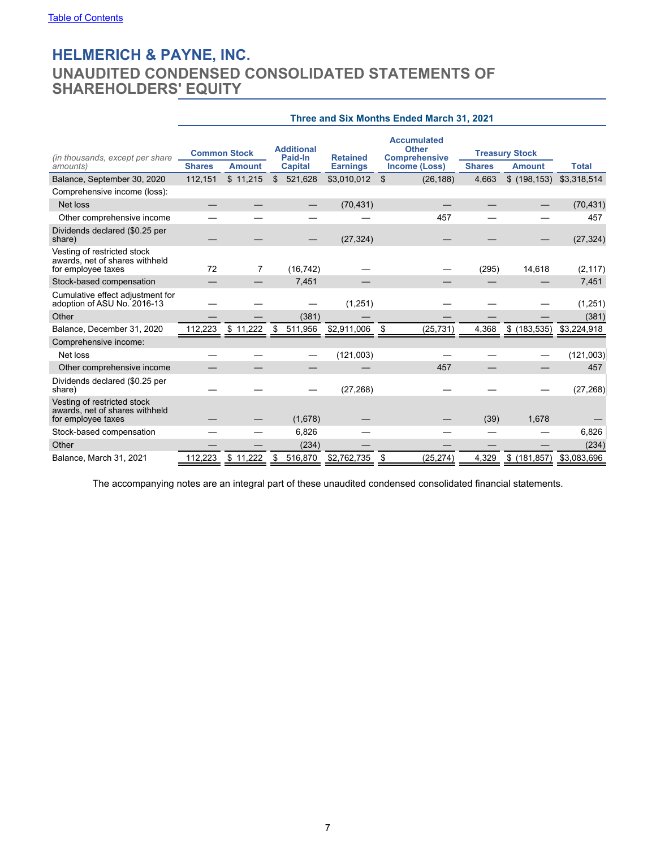# **UNAUDITED CONDENSED CONSOLIDATED STATEMENTS OF SHAREHOLDERS' EQUITY**

|                                                                                     | Three and Six Months Ended March 31, 2021 |                                      |                                                |                                    |                                                                             |               |                                        |             |  |
|-------------------------------------------------------------------------------------|-------------------------------------------|--------------------------------------|------------------------------------------------|------------------------------------|-----------------------------------------------------------------------------|---------------|----------------------------------------|-------------|--|
| (in thousands, except per share<br>amounts)                                         | <b>Shares</b>                             | <b>Common Stock</b><br><b>Amount</b> | <b>Additional</b><br>Paid-In<br><b>Capital</b> | <b>Retained</b><br><b>Earnings</b> | <b>Accumulated</b><br><b>Other</b><br><b>Comprehensive</b><br>Income (Loss) | <b>Shares</b> | <b>Treasury Stock</b><br><b>Amount</b> |             |  |
| Balance, September 30, 2020                                                         | 112,151                                   | \$11,215                             | $\mathbb{S}$<br>521,628                        | \$3,010,012                        | $\mathfrak{S}$<br>(26, 188)                                                 | 4,663         | \$(198, 153)                           | \$3,318,514 |  |
| Comprehensive income (loss):                                                        |                                           |                                      |                                                |                                    |                                                                             |               |                                        |             |  |
| Net loss                                                                            |                                           |                                      |                                                | (70, 431)                          |                                                                             |               |                                        | (70, 431)   |  |
| Other comprehensive income                                                          |                                           |                                      |                                                |                                    | 457                                                                         |               |                                        | 457         |  |
| Dividends declared (\$0.25 per<br>share)                                            |                                           |                                      |                                                | (27, 324)                          |                                                                             |               |                                        | (27, 324)   |  |
| Vesting of restricted stock<br>awards, net of shares withheld<br>for employee taxes | 72                                        | 7                                    | (16, 742)                                      |                                    |                                                                             | (295)         | 14,618                                 | (2, 117)    |  |
| Stock-based compensation                                                            |                                           |                                      | 7,451                                          |                                    |                                                                             |               |                                        | 7,451       |  |
| Cumulative effect adjustment for<br>adoption of ASU No. 2016-13                     |                                           |                                      |                                                | (1,251)                            |                                                                             |               |                                        | (1,251)     |  |
| Other                                                                               |                                           |                                      | (381)                                          |                                    |                                                                             |               |                                        | (381)       |  |
| Balance, December 31, 2020                                                          | 112.223                                   | \$<br>11.222                         | \$<br>511,956                                  | \$2,911,006                        | (25, 731)<br>- \$                                                           | 4,368         | \$(183, 535)                           | \$3,224,918 |  |
| Comprehensive income:                                                               |                                           |                                      |                                                |                                    |                                                                             |               |                                        |             |  |
| Net loss                                                                            |                                           |                                      |                                                | (121,003)                          |                                                                             |               |                                        | (121,003)   |  |
| Other comprehensive income                                                          |                                           |                                      |                                                |                                    | 457                                                                         |               |                                        | 457         |  |
| Dividends declared (\$0.25 per<br>share)                                            |                                           |                                      |                                                | (27, 268)                          |                                                                             |               |                                        | (27, 268)   |  |
| Vesting of restricted stock<br>awards, net of shares withheld<br>for employee taxes |                                           |                                      | (1,678)                                        |                                    |                                                                             | (39)          | 1,678                                  |             |  |
| Stock-based compensation                                                            |                                           |                                      | 6,826                                          |                                    |                                                                             |               |                                        | 6,826       |  |
| Other                                                                               |                                           |                                      | (234)                                          |                                    |                                                                             |               |                                        | (234)       |  |
| Balance, March 31, 2021                                                             | 112,223                                   | \$11,222                             | \$<br>516,870                                  | \$2,762,735                        | (25, 274)<br>\$                                                             | 4,329         | \$(181, 857)                           | \$3,083,696 |  |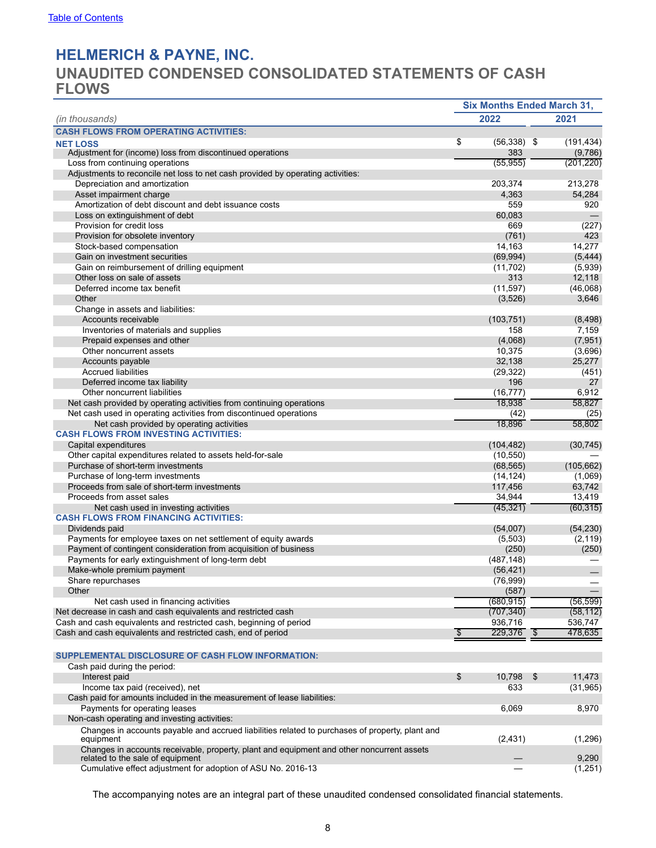# <span id="page-7-0"></span>**UNAUDITED CONDENSED CONSOLIDATED STATEMENTS OF CASH FLOWS**

|                                                                                                              | <b>Six Months Ended March 31,</b> |     |            |
|--------------------------------------------------------------------------------------------------------------|-----------------------------------|-----|------------|
| (in thousands)                                                                                               | 2022                              |     | 2021       |
| <b>CASH FLOWS FROM OPERATING ACTIVITIES:</b>                                                                 |                                   |     |            |
| <b>NET LOSS</b>                                                                                              | \$<br>$(56,338)$ \$               |     | (191, 434) |
| Adjustment for (income) loss from discontinued operations                                                    | 383                               |     | (9,786)    |
| Loss from continuing operations                                                                              | (55, 955)                         |     | (201, 220) |
| Adjustments to reconcile net loss to net cash provided by operating activities:                              |                                   |     |            |
| Depreciation and amortization                                                                                | 203,374                           |     | 213,278    |
| Asset impairment charge                                                                                      | 4,363                             |     | 54,284     |
| Amortization of debt discount and debt issuance costs                                                        | 559                               |     | 920        |
| Loss on extinguishment of debt                                                                               | 60,083                            |     |            |
| Provision for credit loss                                                                                    | 669                               |     | (227)      |
| Provision for obsolete inventory                                                                             | (761)                             |     | 423        |
| Stock-based compensation                                                                                     | 14,163                            |     | 14,277     |
| Gain on investment securities                                                                                | (69, 994)                         |     | (5, 444)   |
| Gain on reimbursement of drilling equipment                                                                  | (11, 702)                         |     | (5,939)    |
| Other loss on sale of assets                                                                                 | 313                               |     | 12,118     |
| Deferred income tax benefit                                                                                  | (11, 597)                         |     | (46,068)   |
| Other                                                                                                        | (3, 526)                          |     | 3,646      |
| Change in assets and liabilities:                                                                            |                                   |     |            |
| Accounts receivable                                                                                          | (103, 751)                        |     | (8, 498)   |
| Inventories of materials and supplies                                                                        | 158                               |     | 7,159      |
| Prepaid expenses and other                                                                                   | (4,068)                           |     | (7, 951)   |
| Other noncurrent assets                                                                                      | 10,375                            |     | (3,696)    |
| Accounts payable                                                                                             | 32,138                            |     | 25,277     |
| <b>Accrued liabilities</b>                                                                                   | (29, 322)                         |     | (451)      |
| Deferred income tax liability                                                                                | 196                               |     | 27         |
| Other noncurrent liabilities                                                                                 | (16, 777)                         |     | 6,912      |
| Net cash provided by operating activities from continuing operations                                         | 18,938                            |     | 58,827     |
| Net cash used in operating activities from discontinued operations                                           | (42)                              |     | (25)       |
| Net cash provided by operating activities                                                                    | 18,896                            |     | 58,802     |
| <b>CASH FLOWS FROM INVESTING ACTIVITIES:</b>                                                                 |                                   |     |            |
| Capital expenditures                                                                                         | (104, 482)                        |     | (30, 745)  |
| Other capital expenditures related to assets held-for-sale                                                   | (10, 550)                         |     |            |
| Purchase of short-term investments                                                                           | (68, 565)                         |     | (105, 662) |
| Purchase of long-term investments                                                                            | (14, 124)                         |     | (1,069)    |
| Proceeds from sale of short-term investments                                                                 | 117,456                           |     | 63,742     |
| Proceeds from asset sales                                                                                    | 34,944                            |     | 13,419     |
| Net cash used in investing activities                                                                        | (45, 321)                         |     | (60, 315)  |
| <b>CASH FLOWS FROM FINANCING ACTIVITIES:</b>                                                                 |                                   |     |            |
| Dividends paid                                                                                               | (54,007)                          |     | (54, 230)  |
| Payments for employee taxes on net settlement of equity awards                                               | (5, 503)                          |     | (2, 119)   |
| Payment of contingent consideration from acquisition of business                                             | (250)                             |     | (250)      |
| Payments for early extinguishment of long-term debt                                                          | (487, 148)                        |     |            |
| Make-whole premium payment                                                                                   | (56, 421)                         |     |            |
| Share repurchases                                                                                            | (76, 999)                         |     |            |
| Other                                                                                                        | (587)                             |     |            |
| Net cash used in financing activities                                                                        | (680, 915)                        |     | (56, 599)  |
| Net decrease in cash and cash equivalents and restricted cash                                                | (707, 340)                        |     | (58, 112)  |
| Cash and cash equivalents and restricted cash, beginning of period                                           | 936,716                           |     | 536,747    |
| Cash and cash equivalents and restricted cash, end of period                                                 | \$<br>229,376                     | -\$ | 478,635    |
|                                                                                                              |                                   |     |            |
| <b>SUPPLEMENTAL DISCLOSURE OF CASH FLOW INFORMATION:</b>                                                     |                                   |     |            |
| Cash paid during the period:                                                                                 |                                   |     |            |
| Interest paid                                                                                                | \$<br>10,798                      | \$  | 11,473     |
| Income tax paid (received), net                                                                              | 633                               |     |            |
|                                                                                                              |                                   |     | (31, 965)  |
| Cash paid for amounts included in the measurement of lease liabilities:<br>Payments for operating leases     |                                   |     | 8,970      |
|                                                                                                              | 6,069                             |     |            |
| Non-cash operating and investing activities:                                                                 |                                   |     |            |
| Changes in accounts payable and accrued liabilities related to purchases of property, plant and<br>equipment | (2, 431)                          |     | (1,296)    |
| Changes in accounts receivable, property, plant and equipment and other noncurrent assets                    |                                   |     |            |
| related to the sale of equipment                                                                             |                                   |     | 9,290      |
| Cumulative effect adjustment for adoption of ASU No. 2016-13                                                 |                                   |     | (1,251)    |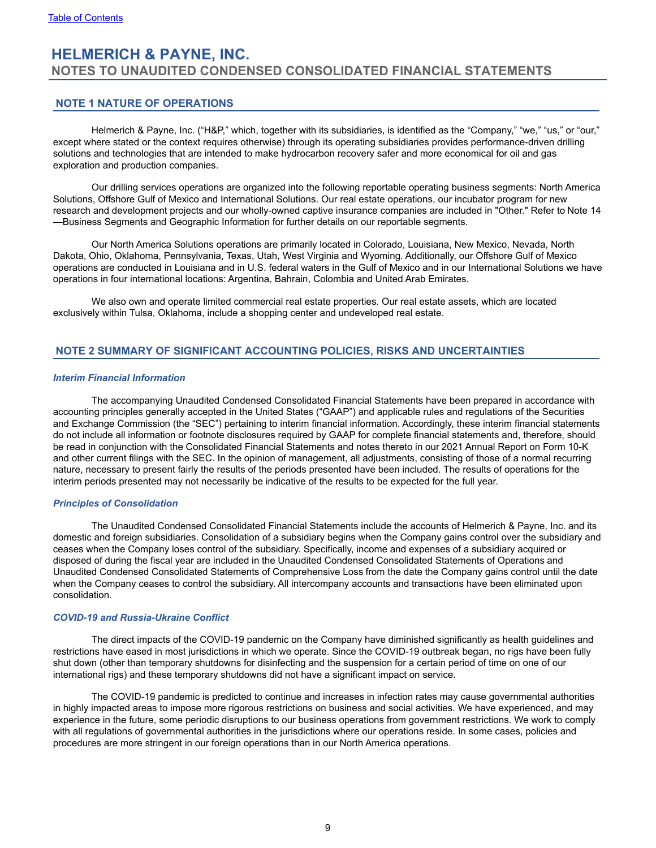# <span id="page-8-0"></span>**HELMERICH & PAYNE, INC. NOTES TO UNAUDITED CONDENSED CONSOLIDATED FINANCIAL STATEMENTS**

## **NOTE 1 NATURE OF OPERATIONS**

Helmerich & Payne, Inc. ("H&P," which, together with its subsidiaries, is identified as the "Company," "we," "us," or "our," except where stated or the context requires otherwise) through its operating subsidiaries provides performance-driven drilling solutions and technologies that are intended to make hydrocarbon recovery safer and more economical for oil and gas exploration and production companies.

Our drilling services operations are organized into the following reportable operating business segments: North America Solutions, Offshore Gulf of Mexico and International Solutions. Our real estate operations, our incubator program for new research and development projects and our wholly-owned captive insurance companies are included in "Other." Refer to Note 14 —Business Segments and Geographic Information for further details on our reportable segments.

Our North America Solutions operations are primarily located in Colorado, Louisiana, New Mexico, Nevada, North Dakota, Ohio, Oklahoma, Pennsylvania, Texas, Utah, West Virginia and Wyoming. Additionally, our Offshore Gulf of Mexico operations are conducted in Louisiana and in U.S. federal waters in the Gulf of Mexico and in our International Solutions we have operations in four international locations: Argentina, Bahrain, Colombia and United Arab Emirates.

We also own and operate limited commercial real estate properties. Our real estate assets, which are located exclusively within Tulsa, Oklahoma, include a shopping center and undeveloped real estate.

### **NOTE 2 SUMMARY OF SIGNIFICANT ACCOUNTING POLICIES, RISKS AND UNCERTAINTIES**

#### *Interim Financial Information*

The accompanying Unaudited Condensed Consolidated Financial Statements have been prepared in accordance with accounting principles generally accepted in the United States ("GAAP") and applicable rules and regulations of the Securities and Exchange Commission (the "SEC") pertaining to interim financial information. Accordingly, these interim financial statements do not include all information or footnote disclosures required by GAAP for complete financial statements and, therefore, should be read in conjunction with the Consolidated Financial Statements and notes thereto in our 2021 Annual Report on Form 10-K and other current filings with the SEC. In the opinion of management, all adjustments, consisting of those of a normal recurring nature, necessary to present fairly the results of the periods presented have been included. The results of operations for the interim periods presented may not necessarily be indicative of the results to be expected for the full year.

#### *Principles of Consolidation*

The Unaudited Condensed Consolidated Financial Statements include the accounts of Helmerich & Payne, Inc. and its domestic and foreign subsidiaries. Consolidation of a subsidiary begins when the Company gains control over the subsidiary and ceases when the Company loses control of the subsidiary. Specifically, income and expenses of a subsidiary acquired or disposed of during the fiscal year are included in the Unaudited Condensed Consolidated Statements of Operations and Unaudited Condensed Consolidated Statements of Comprehensive Loss from the date the Company gains control until the date when the Company ceases to control the subsidiary. All intercompany accounts and transactions have been eliminated upon consolidation.

### *COVID-19 and Russia-Ukraine Conflict*

The direct impacts of the COVID-19 pandemic on the Company have diminished significantly as health guidelines and restrictions have eased in most jurisdictions in which we operate. Since the COVID-19 outbreak began, no rigs have been fully shut down (other than temporary shutdowns for disinfecting and the suspension for a certain period of time on one of our international rigs) and these temporary shutdowns did not have a significant impact on service.

The COVID-19 pandemic is predicted to continue and increases in infection rates may cause governmental authorities in highly impacted areas to impose more rigorous restrictions on business and social activities. We have experienced, and may experience in the future, some periodic disruptions to our business operations from government restrictions. We work to comply with all regulations of governmental authorities in the jurisdictions where our operations reside. In some cases, policies and procedures are more stringent in our foreign operations than in our North America operations.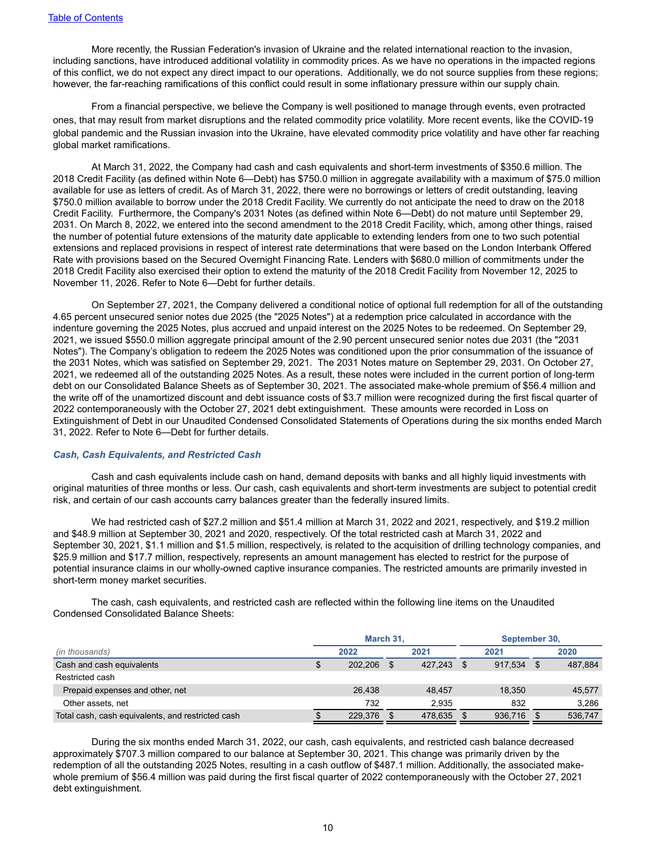More recently, the Russian Federation's invasion of Ukraine and the related international reaction to the invasion, including sanctions, have introduced additional volatility in commodity prices. As we have no operations in the impacted regions of this conflict, we do not expect any direct impact to our operations. Additionally, we do not source supplies from these regions; however, the far-reaching ramifications of this conflict could result in some inflationary pressure within our supply chain.

From a financial perspective, we believe the Company is well positioned to manage through events, even protracted ones, that may result from market disruptions and the related commodity price volatility. More recent events, like the COVID-19 global pandemic and the Russian invasion into the Ukraine, have elevated commodity price volatility and have other far reaching global market ramifications.

At March 31, 2022, the Company had cash and cash equivalents and short-term investments of \$350.6 million. The 2018 Credit Facility (as defined within Note 6—Debt) has \$750.0 million in aggregate availability with a maximum of \$75.0 million available for use as letters of credit. As of March 31, 2022, there were no borrowings or letters of credit outstanding, leaving \$750.0 million available to borrow under the 2018 Credit Facility. We currently do not anticipate the need to draw on the 2018 Credit Facility. Furthermore, the Company's 2031 Notes (as defined within Note 6—Debt) do not mature until September 29, 2031. On March 8, 2022, we entered into the second amendment to the 2018 Credit Facility, which, among other things, raised the number of potential future extensions of the maturity date applicable to extending lenders from one to two such potential extensions and replaced provisions in respect of interest rate determinations that were based on the London Interbank Offered Rate with provisions based on the Secured Overnight Financing Rate. Lenders with \$680.0 million of commitments under the 2018 Credit Facility also exercised their option to extend the maturity of the 2018 Credit Facility from November 12, 2025 to November 11, 2026. Refer to Note 6—Debt for further details.

On September 27, 2021, the Company delivered a conditional notice of optional full redemption for all of the outstanding 4.65 percent unsecured senior notes due 2025 (the "2025 Notes") at a redemption price calculated in accordance with the indenture governing the 2025 Notes, plus accrued and unpaid interest on the 2025 Notes to be redeemed. On September 29, 2021, we issued \$550.0 million aggregate principal amount of the 2.90 percent unsecured senior notes due 2031 (the "2031 Notes"). The Company's obligation to redeem the 2025 Notes was conditioned upon the prior consummation of the issuance of the 2031 Notes, which was satisfied on September 29, 2021. The 2031 Notes mature on September 29, 2031. On October 27, 2021, we redeemed all of the outstanding 2025 Notes. As a result, these notes were included in the current portion of long-term debt on our Consolidated Balance Sheets as of September 30, 2021. The associated make-whole premium of \$56.4 million and the write off of the unamortized discount and debt issuance costs of \$3.7 million were recognized during the first fiscal quarter of 2022 contemporaneously with the October 27, 2021 debt extinguishment. These amounts were recorded in Loss on Extinguishment of Debt in our Unaudited Condensed Consolidated Statements of Operations during the six months ended March 31, 2022. Refer to Note 6—Debt for further details.

#### *Cash, Cash Equivalents, and Restricted Cash*

Cash and cash equivalents include cash on hand, demand deposits with banks and all highly liquid investments with original maturities of three months or less. Our cash, cash equivalents and short-term investments are subject to potential credit risk, and certain of our cash accounts carry balances greater than the federally insured limits.

We had restricted cash of \$27.2 million and \$51.4 million at March 31, 2022 and 2021, respectively, and \$19.2 million and \$48.9 million at September 30, 2021 and 2020, respectively. Of the total restricted cash at March 31, 2022 and September 30, 2021, \$1.1 million and \$1.5 million, respectively, is related to the acquisition of drilling technology companies, and \$25.9 million and \$17.7 million, respectively, represents an amount management has elected to restrict for the purpose of potential insurance claims in our wholly-owned captive insurance companies. The restricted amounts are primarily invested in short-term money market securities.

The cash, cash equivalents, and restricted cash are reflected within the following line items on the Unaudited Condensed Consolidated Balance Sheets:

|                                                   | March 31. |  | September 30. |  |         |      |         |
|---------------------------------------------------|-----------|--|---------------|--|---------|------|---------|
| (in thousands)                                    | 2022      |  | 2021          |  | 2021    |      | 2020    |
| Cash and cash equivalents                         | 202.206   |  | 427.243       |  | 917.534 | - \$ | 487.884 |
| Restricted cash                                   |           |  |               |  |         |      |         |
| Prepaid expenses and other, net                   | 26.438    |  | 48.457        |  | 18.350  |      | 45.577  |
| Other assets, net                                 | 732       |  | 2.935         |  | 832     |      | 3.286   |
| Total cash, cash equivalents, and restricted cash | 229.376   |  | 478,635       |  | 936,716 |      | 536.747 |

During the six months ended March 31, 2022, our cash, cash equivalents, and restricted cash balance decreased approximately \$707.3 million compared to our balance at September 30, 2021. This change was primarily driven by the redemption of all the outstanding 2025 Notes, resulting in a cash outflow of \$487.1 million. Additionally, the associated makewhole premium of \$56.4 million was paid during the first fiscal quarter of 2022 contemporaneously with the October 27, 2021 debt extinguishment.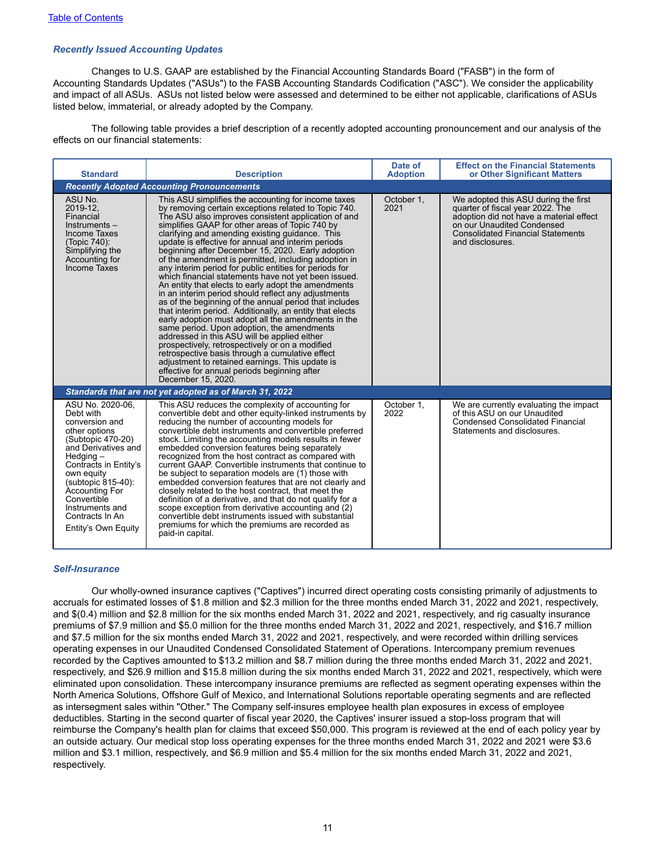### *Recently Issued Accounting Updates*

Changes to U.S. GAAP are established by the Financial Accounting Standards Board ("FASB") in the form of Accounting Standards Updates ("ASUs") to the FASB Accounting Standards Codification ("ASC"). We consider the applicability and impact of all ASUs. ASUs not listed below were assessed and determined to be either not applicable, clarifications of ASUs listed below, immaterial, or already adopted by the Company.

The following table provides a brief description of a recently adopted accounting pronouncement and our analysis of the effects on our financial statements:

| <b>Standard</b>                                                                                                                                                                                                                                                                           | <b>Description</b>                                                                                                                                                                                                                                                                                                                                                                                                                                                                                                                                                                                                                                                                                                                                                                                                                                                                                                                                                                                                                                                                                                                                                                    | Date of<br><b>Adoption</b> | <b>Effect on the Financial Statements</b><br>or Other Significant Matters                                                                                                                                         |  |  |  |
|-------------------------------------------------------------------------------------------------------------------------------------------------------------------------------------------------------------------------------------------------------------------------------------------|---------------------------------------------------------------------------------------------------------------------------------------------------------------------------------------------------------------------------------------------------------------------------------------------------------------------------------------------------------------------------------------------------------------------------------------------------------------------------------------------------------------------------------------------------------------------------------------------------------------------------------------------------------------------------------------------------------------------------------------------------------------------------------------------------------------------------------------------------------------------------------------------------------------------------------------------------------------------------------------------------------------------------------------------------------------------------------------------------------------------------------------------------------------------------------------|----------------------------|-------------------------------------------------------------------------------------------------------------------------------------------------------------------------------------------------------------------|--|--|--|
|                                                                                                                                                                                                                                                                                           | <b>Recently Adopted Accounting Pronouncements</b>                                                                                                                                                                                                                                                                                                                                                                                                                                                                                                                                                                                                                                                                                                                                                                                                                                                                                                                                                                                                                                                                                                                                     |                            |                                                                                                                                                                                                                   |  |  |  |
| ASU No.<br>2019-12.<br>Financial<br>Instruments-<br><b>Income Taxes</b><br>(Topic 740):<br>Simplifying the<br>Accounting for<br>Income Taxes                                                                                                                                              | This ASU simplifies the accounting for income taxes<br>by removing certain exceptions related to Topic 740.<br>The ASU also improves consistent application of and<br>simplifies GAAP for other areas of Topic 740 by<br>clarifying and amending existing guidance. This<br>update is effective for annual and interim periods<br>beginning after December 15, 2020. Early adoption<br>of the amendment is permitted, including adoption in<br>any interim period for public entities for periods for<br>which financial statements have not yet been issued.<br>An entity that elects to early adopt the amendments<br>in an interim period should reflect any adjustments<br>as of the beginning of the annual period that includes<br>that interim period. Additionally, an entity that elects<br>early adoption must adopt all the amendments in the<br>same period. Upon adoption, the amendments<br>addressed in this ASU will be applied either<br>prospectively, retrospectively or on a modified<br>retrospective basis through a cumulative effect<br>adjustment to retained earnings. This update is<br>effective for annual periods beginning after<br>December 15, 2020. | October 1,<br>2021         | We adopted this ASU during the first<br>quarter of fiscal year 2022. The<br>adoption did not have a material effect<br>on our Unaudited Condensed<br><b>Consolidated Financial Statements</b><br>and disclosures. |  |  |  |
|                                                                                                                                                                                                                                                                                           | Standards that are not yet adopted as of March 31, 2022                                                                                                                                                                                                                                                                                                                                                                                                                                                                                                                                                                                                                                                                                                                                                                                                                                                                                                                                                                                                                                                                                                                               |                            |                                                                                                                                                                                                                   |  |  |  |
| ASU No. 2020-06,<br>Debt with<br>conversion and<br>other options<br>(Subtopic 470-20)<br>and Derivatives and<br>$H$ edging $-$<br>Contracts in Entity's<br>own equity<br>(subtopic 815-40):<br>Accounting For<br>Convertible<br>Instruments and<br>Contracts In An<br>Entity's Own Equity | This ASU reduces the complexity of accounting for<br>convertible debt and other equity-linked instruments by<br>reducing the number of accounting models for<br>convertible debt instruments and convertible preferred<br>stock. Limiting the accounting models results in fewer<br>embedded conversion features being separately<br>recognized from the host contract as compared with<br>current GAAP. Convertible instruments that continue to<br>be subject to separation models are (1) those with<br>embedded conversion features that are not clearly and<br>closely related to the host contract, that meet the<br>definition of a derivative, and that do not qualify for a<br>scope exception from derivative accounting and (2)<br>convertible debt instruments issued with substantial<br>premiums for which the premiums are recorded as<br>paid-in capital.                                                                                                                                                                                                                                                                                                             | October 1,<br>2022         | We are currently evaluating the impact<br>of this ASU on our Unaudited<br><b>Condensed Consolidated Financial</b><br>Statements and disclosures.                                                                  |  |  |  |

#### *Self-Insurance*

Our wholly-owned insurance captives ("Captives") incurred direct operating costs consisting primarily of adjustments to accruals for estimated losses of \$1.8 million and \$2.3 million for the three months ended March 31, 2022 and 2021, respectively, and \$(0.4) million and \$2.8 million for the six months ended March 31, 2022 and 2021, respectively, and rig casualty insurance premiums of \$7.9 million and \$5.0 million for the three months ended March 31, 2022 and 2021, respectively, and \$16.7 million and \$7.5 million for the six months ended March 31, 2022 and 2021, respectively, and were recorded within drilling services operating expenses in our Unaudited Condensed Consolidated Statement of Operations. Intercompany premium revenues recorded by the Captives amounted to \$13.2 million and \$8.7 million during the three months ended March 31, 2022 and 2021, respectively, and \$26.9 million and \$15.8 million during the six months ended March 31, 2022 and 2021, respectively, which were eliminated upon consolidation. These intercompany insurance premiums are reflected as segment operating expenses within the North America Solutions, Offshore Gulf of Mexico, and International Solutions reportable operating segments and are reflected as intersegment sales within "Other." The Company self-insures employee health plan exposures in excess of employee deductibles. Starting in the second quarter of fiscal year 2020, the Captives' insurer issued a stop-loss program that will reimburse the Company's health plan for claims that exceed \$50,000. This program is reviewed at the end of each policy year by an outside actuary. Our medical stop loss operating expenses for the three months ended March 31, 2022 and 2021 were \$3.6 million and \$3.1 million, respectively, and \$6.9 million and \$5.4 million for the six months ended March 31, 2022 and 2021, respectively.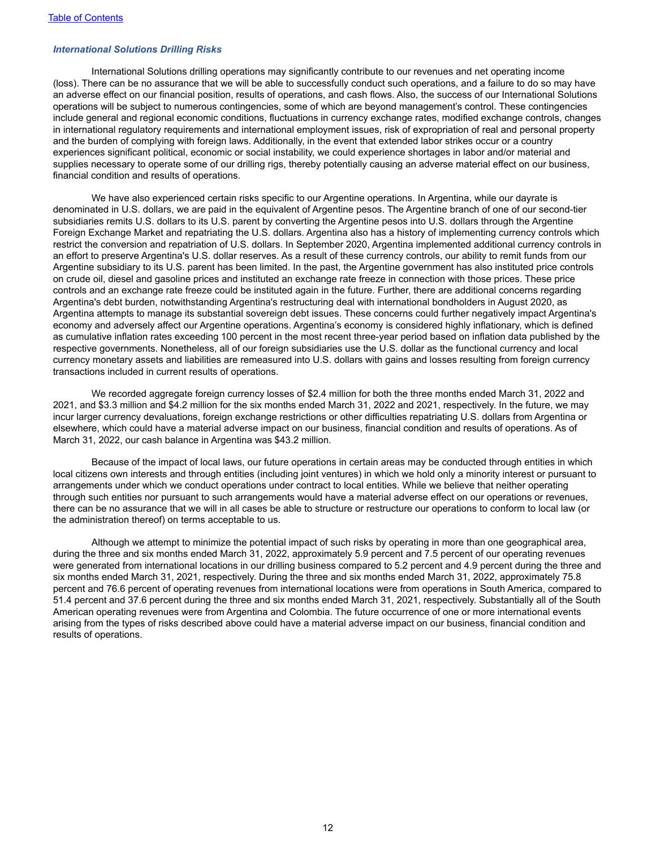#### *International Solutions Drilling Risks*

International Solutions drilling operations may significantly contribute to our revenues and net operating income (loss). There can be no assurance that we will be able to successfully conduct such operations, and a failure to do so may have an adverse effect on our financial position, results of operations, and cash flows. Also, the success of our International Solutions operations will be subject to numerous contingencies, some of which are beyond management's control. These contingencies include general and regional economic conditions, fluctuations in currency exchange rates, modified exchange controls, changes in international regulatory requirements and international employment issues, risk of expropriation of real and personal property and the burden of complying with foreign laws. Additionally, in the event that extended labor strikes occur or a country experiences significant political, economic or social instability, we could experience shortages in labor and/or material and supplies necessary to operate some of our drilling rigs, thereby potentially causing an adverse material effect on our business, financial condition and results of operations.

We have also experienced certain risks specific to our Argentine operations. In Argentina, while our dayrate is denominated in U.S. dollars, we are paid in the equivalent of Argentine pesos. The Argentine branch of one of our second-tier subsidiaries remits U.S. dollars to its U.S. parent by converting the Argentine pesos into U.S. dollars through the Argentine Foreign Exchange Market and repatriating the U.S. dollars. Argentina also has a history of implementing currency controls which restrict the conversion and repatriation of U.S. dollars. In September 2020, Argentina implemented additional currency controls in an effort to preserve Argentina's U.S. dollar reserves. As a result of these currency controls, our ability to remit funds from our Argentine subsidiary to its U.S. parent has been limited. In the past, the Argentine government has also instituted price controls on crude oil, diesel and gasoline prices and instituted an exchange rate freeze in connection with those prices. These price controls and an exchange rate freeze could be instituted again in the future. Further, there are additional concerns regarding Argentina's debt burden, notwithstanding Argentina's restructuring deal with international bondholders in August 2020, as Argentina attempts to manage its substantial sovereign debt issues. These concerns could further negatively impact Argentina's economy and adversely affect our Argentine operations. Argentina's economy is considered highly inflationary, which is defined as cumulative inflation rates exceeding 100 percent in the most recent three-year period based on inflation data published by the respective governments. Nonetheless, all of our foreign subsidiaries use the U.S. dollar as the functional currency and local currency monetary assets and liabilities are remeasured into U.S. dollars with gains and losses resulting from foreign currency transactions included in current results of operations.

We recorded aggregate foreign currency losses of \$2.4 million for both the three months ended March 31, 2022 and 2021, and \$3.3 million and \$4.2 million for the six months ended March 31, 2022 and 2021, respectively. In the future, we may incur larger currency devaluations, foreign exchange restrictions or other difficulties repatriating U.S. dollars from Argentina or elsewhere, which could have a material adverse impact on our business, financial condition and results of operations. As of March 31, 2022, our cash balance in Argentina was \$43.2 million.

Because of the impact of local laws, our future operations in certain areas may be conducted through entities in which local citizens own interests and through entities (including joint ventures) in which we hold only a minority interest or pursuant to arrangements under which we conduct operations under contract to local entities. While we believe that neither operating through such entities nor pursuant to such arrangements would have a material adverse effect on our operations or revenues, there can be no assurance that we will in all cases be able to structure or restructure our operations to conform to local law (or the administration thereof) on terms acceptable to us.

Although we attempt to minimize the potential impact of such risks by operating in more than one geographical area, during the three and six months ended March 31, 2022, approximately 5.9 percent and 7.5 percent of our operating revenues were generated from international locations in our drilling business compared to 5.2 percent and 4.9 percent during the three and six months ended March 31, 2021, respectively. During the three and six months ended March 31, 2022, approximately 75.8 percent and 76.6 percent of operating revenues from international locations were from operations in South America, compared to 51.4 percent and 37.6 percent during the three and six months ended March 31, 2021, respectively. Substantially all of the South American operating revenues were from Argentina and Colombia. The future occurrence of one or more international events arising from the types of risks described above could have a material adverse impact on our business, financial condition and results of operations.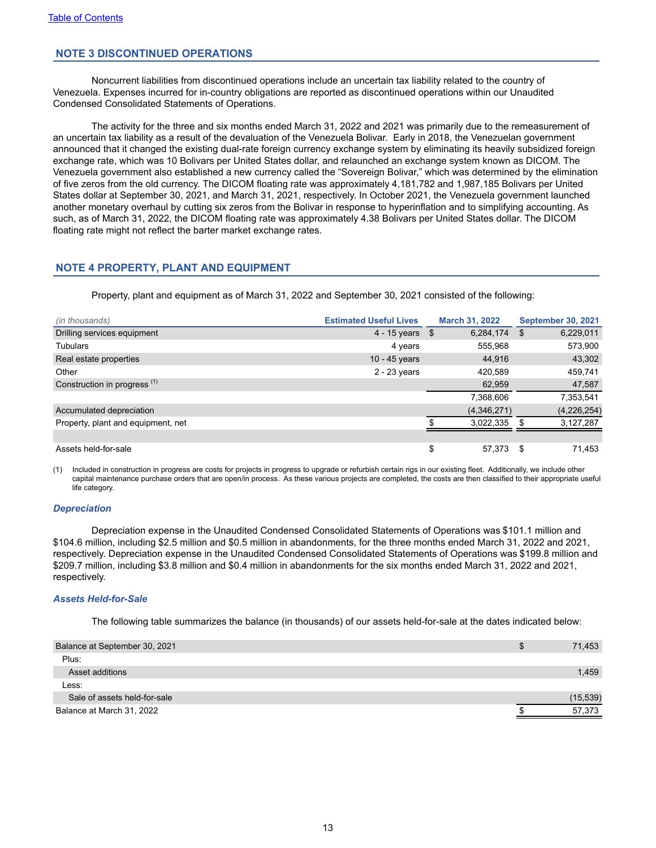## **NOTE 3 DISCONTINUED OPERATIONS**

Noncurrent liabilities from discontinued operations include an uncertain tax liability related to the country of Venezuela. Expenses incurred for in-country obligations are reported as discontinued operations within our Unaudited Condensed Consolidated Statements of Operations.

The activity for the three and six months ended March 31, 2022 and 2021 was primarily due to the remeasurement of an uncertain tax liability as a result of the devaluation of the Venezuela Bolivar. Early in 2018, the Venezuelan government announced that it changed the existing dual-rate foreign currency exchange system by eliminating its heavily subsidized foreign exchange rate, which was 10 Bolivars per United States dollar, and relaunched an exchange system known as DICOM. The Venezuela government also established a new currency called the "Sovereign Bolivar," which was determined by the elimination of five zeros from the old currency. The DICOM floating rate was approximately 4,181,782 and 1,987,185 Bolivars per United States dollar at September 30, 2021, and March 31, 2021, respectively. In October 2021, the Venezuela government launched another monetary overhaul by cutting six zeros from the Bolivar in response to hyperinflation and to simplifying accounting. As such, as of March 31, 2022, the DICOM floating rate was approximately 4.38 Bolivars per United States dollar. The DICOM floating rate might not reflect the barter market exchange rates.

## **NOTE 4 PROPERTY, PLANT AND EQUIPMENT**

Property, plant and equipment as of March 31, 2022 and September 30, 2021 consisted of the following:

| (in thousands)                          | <b>Estimated Useful Lives</b> |      | <b>March 31, 2022</b> |      | <b>September 30, 2021</b> |
|-----------------------------------------|-------------------------------|------|-----------------------|------|---------------------------|
| Drilling services equipment             | 4 - 15 years                  | - \$ | 6,284,174             | - \$ | 6,229,011                 |
| <b>Tubulars</b>                         | 4 years                       |      | 555,968               |      | 573,900                   |
| Real estate properties                  | 10 - 45 years                 |      | 44,916                |      | 43,302                    |
| Other                                   | $2 - 23$ years                |      | 420,589               |      | 459,741                   |
| Construction in progress <sup>(1)</sup> |                               |      | 62,959                |      | 47,587                    |
|                                         |                               |      | 7,368,606             |      | 7,353,541                 |
| Accumulated depreciation                |                               |      | (4,346,271)           |      | (4,226,254)               |
| Property, plant and equipment, net      |                               |      | 3,022,335             |      | 3,127,287                 |
|                                         |                               |      |                       |      |                           |
| Assets held-for-sale                    |                               | \$   | 57.373                | - \$ | 71.453                    |

(1) Included in construction in progress are costs for projects in progress to upgrade or refurbish certain rigs in our existing fleet. Additionally, we include other capital maintenance purchase orders that are open/in process. As these various projects are completed, the costs are then classified to their appropriate useful life category.

#### *Depreciation*

Depreciation expense in the Unaudited Condensed Consolidated Statements of Operations was \$101.1 million and \$104.6 million, including \$2.5 million and \$0.5 million in abandonments, for the three months ended March 31, 2022 and 2021, respectively. Depreciation expense in the Unaudited Condensed Consolidated Statements of Operations was \$199.8 million and \$209.7 million, including \$3.8 million and \$0.4 million in abandonments for the six months ended March 31, 2022 and 2021, respectively.

#### *Assets Held-for-Sale*

The following table summarizes the balance (in thousands) of our assets held-for-sale at the dates indicated below:

| Balance at September 30, 2021 | 71,453    |
|-------------------------------|-----------|
| Plus:                         |           |
| Asset additions               | 1,459     |
| Less:                         |           |
| Sale of assets held-for-sale  | (15, 539) |
| Balance at March 31, 2022     | 57,373    |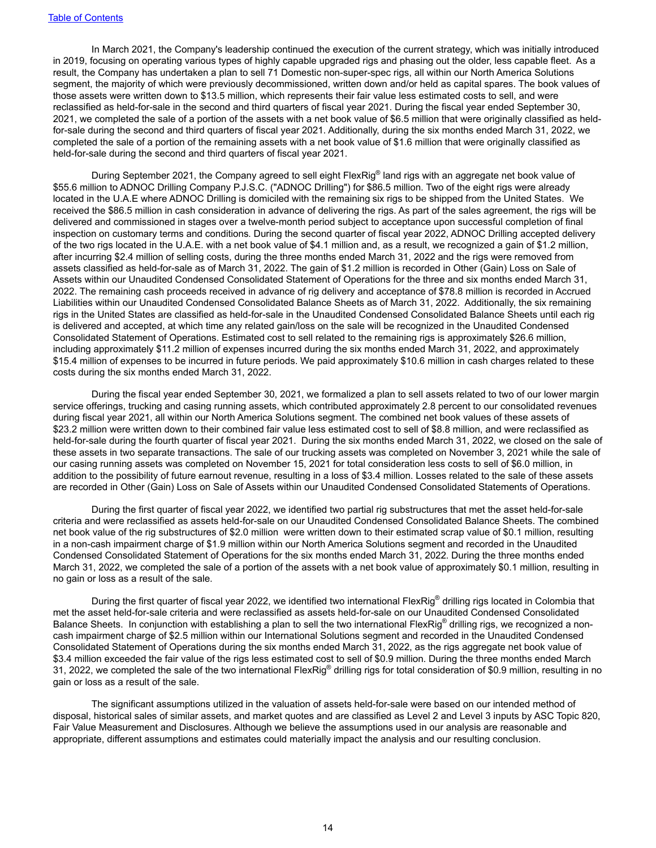In March 2021, the Company's leadership continued the execution of the current strategy, which was initially introduced in 2019, focusing on operating various types of highly capable upgraded rigs and phasing out the older, less capable fleet. As a result, the Company has undertaken a plan to sell 71 Domestic non-super-spec rigs, all within our North America Solutions segment, the majority of which were previously decommissioned, written down and/or held as capital spares. The book values of those assets were written down to \$13.5 million, which represents their fair value less estimated costs to sell, and were reclassified as held-for-sale in the second and third quarters of fiscal year 2021. During the fiscal year ended September 30, 2021, we completed the sale of a portion of the assets with a net book value of \$6.5 million that were originally classified as heldfor-sale during the second and third quarters of fiscal year 2021. Additionally, during the six months ended March 31, 2022, we completed the sale of a portion of the remaining assets with a net book value of \$1.6 million that were originally classified as held-for-sale during the second and third quarters of fiscal year 2021.

During September 2021, the Company agreed to sell eight FlexRig® land rigs with an aggregate net book value of \$55.6 million to ADNOC Drilling Company P.J.S.C. ("ADNOC Drilling") for \$86.5 million. Two of the eight rigs were already located in the U.A.E where ADNOC Drilling is domiciled with the remaining six rigs to be shipped from the United States. We received the \$86.5 million in cash consideration in advance of delivering the rigs. As part of the sales agreement, the rigs will be delivered and commissioned in stages over a twelve-month period subject to acceptance upon successful completion of final inspection on customary terms and conditions. During the second quarter of fiscal year 2022, ADNOC Drilling accepted delivery of the two rigs located in the U.A.E. with a net book value of \$4.1 million and, as a result, we recognized a gain of \$1.2 million, after incurring \$2.4 million of selling costs, during the three months ended March 31, 2022 and the rigs were removed from assets classified as held-for-sale as of March 31, 2022. The gain of \$1.2 million is recorded in Other (Gain) Loss on Sale of Assets within our Unaudited Condensed Consolidated Statement of Operations for the three and six months ended March 31, 2022. The remaining cash proceeds received in advance of rig delivery and acceptance of \$78.8 million is recorded in Accrued Liabilities within our Unaudited Condensed Consolidated Balance Sheets as of March 31, 2022. Additionally, the six remaining rigs in the United States are classified as held-for-sale in the Unaudited Condensed Consolidated Balance Sheets until each rig is delivered and accepted, at which time any related gain/loss on the sale will be recognized in the Unaudited Condensed Consolidated Statement of Operations. Estimated cost to sell related to the remaining rigs is approximately \$26.6 million, including approximately \$11.2 million of expenses incurred during the six months ended March 31, 2022, and approximately \$15.4 million of expenses to be incurred in future periods. We paid approximately \$10.6 million in cash charges related to these costs during the six months ended March 31, 2022.

During the fiscal year ended September 30, 2021, we formalized a plan to sell assets related to two of our lower margin service offerings, trucking and casing running assets, which contributed approximately 2.8 percent to our consolidated revenues during fiscal year 2021, all within our North America Solutions segment. The combined net book values of these assets of \$23.2 million were written down to their combined fair value less estimated cost to sell of \$8.8 million, and were reclassified as held-for-sale during the fourth quarter of fiscal year 2021. During the six months ended March 31, 2022, we closed on the sale of these assets in two separate transactions. The sale of our trucking assets was completed on November 3, 2021 while the sale of our casing running assets was completed on November 15, 2021 for total consideration less costs to sell of \$6.0 million, in addition to the possibility of future earnout revenue, resulting in a loss of \$3.4 million. Losses related to the sale of these assets are recorded in Other (Gain) Loss on Sale of Assets within our Unaudited Condensed Consolidated Statements of Operations.

During the first quarter of fiscal year 2022, we identified two partial rig substructures that met the asset held-for-sale criteria and were reclassified as assets held-for-sale on our Unaudited Condensed Consolidated Balance Sheets. The combined net book value of the rig substructures of \$2.0 million were written down to their estimated scrap value of \$0.1 million, resulting in a non-cash impairment charge of \$1.9 million within our North America Solutions segment and recorded in the Unaudited Condensed Consolidated Statement of Operations for the six months ended March 31, 2022. During the three months ended March 31, 2022, we completed the sale of a portion of the assets with a net book value of approximately \$0.1 million, resulting in no gain or loss as a result of the sale.

During the first quarter of fiscal year 2022, we identified two international FlexRig® drilling rigs located in Colombia that met the asset held-for-sale criteria and were reclassified as assets held-for-sale on our Unaudited Condensed Consolidated Balance Sheets. In conjunction with establishing a plan to sell the two international FlexRig® drilling rigs, we recognized a noncash impairment charge of \$2.5 million within our International Solutions segment and recorded in the Unaudited Condensed Consolidated Statement of Operations during the six months ended March 31, 2022, as the rigs aggregate net book value of \$3.4 million exceeded the fair value of the rigs less estimated cost to sell of \$0.9 million. During the three months ended March 31, 2022, we completed the sale of the two international FlexRig® drilling rigs for total consideration of \$0.9 million, resulting in no gain or loss as a result of the sale.

The significant assumptions utilized in the valuation of assets held-for-sale were based on our intended method of disposal, historical sales of similar assets, and market quotes and are classified as Level 2 and Level 3 inputs by ASC Topic 820, Fair Value Measurement and Disclosures. Although we believe the assumptions used in our analysis are reasonable and appropriate, different assumptions and estimates could materially impact the analysis and our resulting conclusion.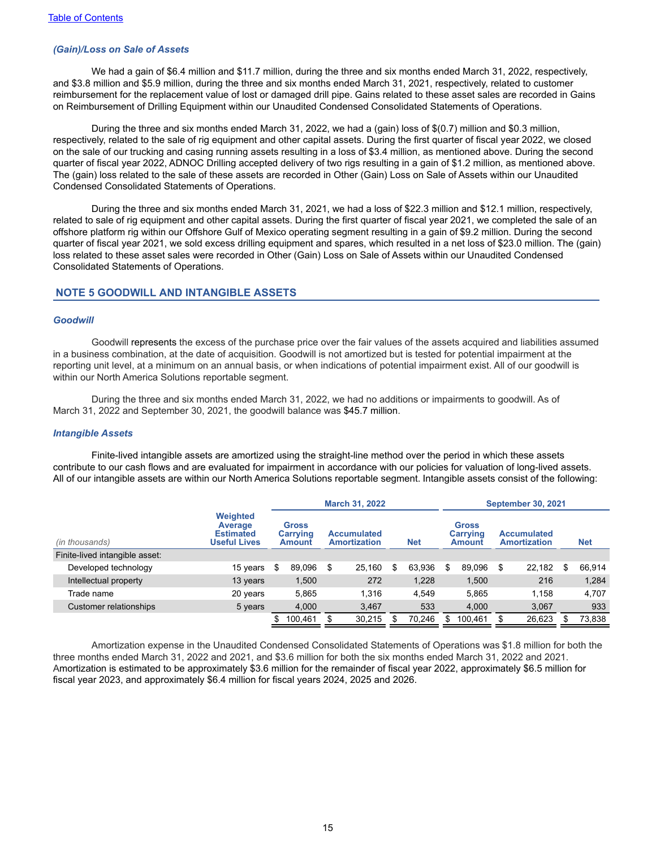#### *(Gain)/Loss on Sale of Assets*

We had a gain of \$6.4 million and \$11.7 million, during the three and six months ended March 31, 2022, respectively, and \$3.8 million and \$5.9 million, during the three and six months ended March 31, 2021, respectively, related to customer reimbursement for the replacement value of lost or damaged drill pipe. Gains related to these asset sales are recorded in Gains on Reimbursement of Drilling Equipment within our Unaudited Condensed Consolidated Statements of Operations.

During the three and six months ended March 31, 2022, we had a (gain) loss of \$(0.7) million and \$0.3 million, respectively, related to the sale of rig equipment and other capital assets. During the first quarter of fiscal year 2022, we closed on the sale of our trucking and casing running assets resulting in a loss of \$3.4 million, as mentioned above. During the second quarter of fiscal year 2022, ADNOC Drilling accepted delivery of two rigs resulting in a gain of \$1.2 million, as mentioned above. The (gain) loss related to the sale of these assets are recorded in Other (Gain) Loss on Sale of Assets within our Unaudited Condensed Consolidated Statements of Operations.

During the three and six months ended March 31, 2021, we had a loss of \$22.3 million and \$12.1 million, respectively, related to sale of rig equipment and other capital assets. During the first quarter of fiscal year 2021, we completed the sale of an offshore platform rig within our Offshore Gulf of Mexico operating segment resulting in a gain of \$9.2 million. During the second quarter of fiscal year 2021, we sold excess drilling equipment and spares, which resulted in a net loss of \$23.0 million. The (gain) loss related to these asset sales were recorded in Other (Gain) Loss on Sale of Assets within our Unaudited Condensed Consolidated Statements of Operations.

#### **NOTE 5 GOODWILL AND INTANGIBLE ASSETS**

#### *Goodwill*

Goodwill represents the excess of the purchase price over the fair values of the assets acquired and liabilities assumed in a business combination, at the date of acquisition. Goodwill is not amortized but is tested for potential impairment at the reporting unit level, at a minimum on an annual basis, or when indications of potential impairment exist. All of our goodwill is within our North America Solutions reportable segment.

During the three and six months ended March 31, 2022, we had no additions or impairments to goodwill. As of March 31, 2022 and September 30, 2021, the goodwill balance was \$45.7 million.

#### *Intangible Assets*

Finite-lived intangible assets are amortized using the straight-line method over the period in which these assets contribute to our cash flows and are evaluated for impairment in accordance with our policies for valuation of long-lived assets. All of our intangible assets are within our North America Solutions reportable segment. Intangible assets consist of the following:

|                                |                                                                       | <b>March 31, 2022</b> |                                           |                                                         |        |                                           |        | <b>September 30, 2021</b>                 |         |            |        |   |        |  |
|--------------------------------|-----------------------------------------------------------------------|-----------------------|-------------------------------------------|---------------------------------------------------------|--------|-------------------------------------------|--------|-------------------------------------------|---------|------------|--------|---|--------|--|
| (in thousands)                 | <b>Weighted</b><br>Average<br><b>Estimated</b><br><b>Useful Lives</b> |                       | <b>Gross</b><br><b>Carrying</b><br>Amount | <b>Accumulated</b><br><b>Net</b><br><b>Amortization</b> |        | <b>Gross</b><br><b>Carrying</b><br>Amount |        | <b>Accumulated</b><br><b>Amortization</b> |         | <b>Net</b> |        |   |        |  |
| Finite-lived intangible asset: |                                                                       |                       |                                           |                                                         |        |                                           |        |                                           |         |            |        |   |        |  |
| Developed technology           | 15 years                                                              |                       | 89.096                                    | S                                                       | 25.160 |                                           | 63.936 | S                                         | 89.096  | S          | 22,182 | S | 66,914 |  |
| Intellectual property          | 13 years                                                              |                       | 1.500                                     |                                                         | 272    |                                           | 1,228  |                                           | 1.500   |            | 216    |   | 1,284  |  |
| Trade name                     | 20 years                                                              |                       | 5.865                                     |                                                         | 1.316  |                                           | 4.549  |                                           | 5.865   |            | 1.158  |   | 4,707  |  |
| Customer relationships         | 5 years                                                               |                       | 4,000                                     |                                                         | 3,467  |                                           | 533    |                                           | 4,000   |            | 3,067  |   | 933    |  |
|                                |                                                                       |                       | 100,461                                   |                                                         | 30,215 |                                           | 70,246 | \$.                                       | 100.461 |            | 26,623 |   | 73,838 |  |

Amortization expense in the Unaudited Condensed Consolidated Statements of Operations was \$1.8 million for both the three months ended March 31, 2022 and 2021, and \$3.6 million for both the six months ended March 31, 2022 and 2021. Amortization is estimated to be approximately \$3.6 million for the remainder of fiscal year 2022, approximately \$6.5 million for fiscal year 2023, and approximately \$6.4 million for fiscal years 2024, 2025 and 2026.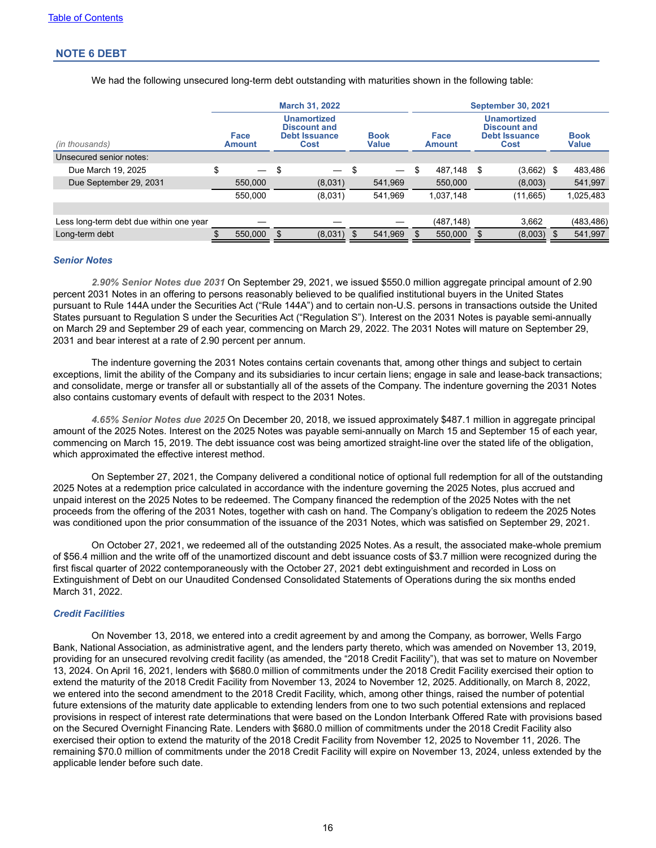### **NOTE 6 DEBT**

| We had the following unsecured long-term debt outstanding with maturities shown in the following table: |  |  |
|---------------------------------------------------------------------------------------------------------|--|--|
|                                                                                                         |  |  |

|                                         | <b>March 31, 2022</b>          |                                                                                                   |         |  |                          | <b>September 30, 2021</b>                                                 |            |    |                             |    |            |
|-----------------------------------------|--------------------------------|---------------------------------------------------------------------------------------------------|---------|--|--------------------------|---------------------------------------------------------------------------|------------|----|-----------------------------|----|------------|
| (in thousands)                          | Face<br>Amount                 | <b>Unamortized</b><br><b>Discount and</b><br>Debt Issuance<br><b>Book</b><br><b>Value</b><br>Cost |         |  | Face<br><b>Amount</b>    | <b>Unamortized</b><br><b>Discount and</b><br><b>Debt Issuance</b><br>Cost |            |    | <b>Book</b><br><b>Value</b> |    |            |
| Unsecured senior notes:                 |                                |                                                                                                   |         |  |                          |                                                                           |            |    |                             |    |            |
| Due March 19, 2025                      | \$<br>$\overline{\phantom{0}}$ | \$                                                                                                | $-$ \$  |  | $\overline{\phantom{0}}$ | \$                                                                        | 487,148    | \$ | (3,662)                     | \$ | 483,486    |
| Due September 29, 2031                  | 550,000                        |                                                                                                   | (8,031) |  | 541,969                  |                                                                           | 550,000    |    | (8,003)                     |    | 541,997    |
|                                         | 550,000                        |                                                                                                   | (8,031) |  | 541.969                  |                                                                           | 1.037.148  |    | (11,665)                    |    | 1,025,483  |
|                                         |                                |                                                                                                   |         |  |                          |                                                                           |            |    |                             |    |            |
| Less long-term debt due within one year |                                |                                                                                                   |         |  |                          |                                                                           | (487, 148) |    | 3.662                       |    | (483, 486) |
| Long-term debt                          | 550,000                        |                                                                                                   | (8,031) |  | 541,969                  |                                                                           | 550,000    |    | (8,003)                     |    | 541,997    |

#### *Senior Notes*

*2.90% Senior Notes due 2031* On September 29, 2021, we issued \$550.0 million aggregate principal amount of 2.90 percent 2031 Notes in an offering to persons reasonably believed to be qualified institutional buyers in the United States pursuant to Rule 144A under the Securities Act ("Rule 144A") and to certain non-U.S. persons in transactions outside the United States pursuant to Regulation S under the Securities Act ("Regulation S"). Interest on the 2031 Notes is payable semi-annually on March 29 and September 29 of each year, commencing on March 29, 2022. The 2031 Notes will mature on September 29, 2031 and bear interest at a rate of 2.90 percent per annum.

The indenture governing the 2031 Notes contains certain covenants that, among other things and subject to certain exceptions, limit the ability of the Company and its subsidiaries to incur certain liens; engage in sale and lease-back transactions; and consolidate, merge or transfer all or substantially all of the assets of the Company. The indenture governing the 2031 Notes also contains customary events of default with respect to the 2031 Notes.

*4.65% Senior Notes due 2025* On December 20, 2018, we issued approximately \$487.1 million in aggregate principal amount of the 2025 Notes. Interest on the 2025 Notes was payable semi-annually on March 15 and September 15 of each year, commencing on March 15, 2019. The debt issuance cost was being amortized straight-line over the stated life of the obligation, which approximated the effective interest method.

On September 27, 2021, the Company delivered a conditional notice of optional full redemption for all of the outstanding 2025 Notes at a redemption price calculated in accordance with the indenture governing the 2025 Notes, plus accrued and unpaid interest on the 2025 Notes to be redeemed. The Company financed the redemption of the 2025 Notes with the net proceeds from the offering of the 2031 Notes, together with cash on hand. The Company's obligation to redeem the 2025 Notes was conditioned upon the prior consummation of the issuance of the 2031 Notes, which was satisfied on September 29, 2021.

On October 27, 2021, we redeemed all of the outstanding 2025 Notes. As a result, the associated make-whole premium of \$56.4 million and the write off of the unamortized discount and debt issuance costs of \$3.7 million were recognized during the first fiscal quarter of 2022 contemporaneously with the October 27, 2021 debt extinguishment and recorded in Loss on Extinguishment of Debt on our Unaudited Condensed Consolidated Statements of Operations during the six months ended March 31, 2022.

#### *Credit Facilities*

On November 13, 2018, we entered into a credit agreement by and among the Company, as borrower, Wells Fargo Bank, National Association, as administrative agent, and the lenders party thereto, which was amended on November 13, 2019, providing for an unsecured revolving credit facility (as amended, the "2018 Credit Facility"), that was set to mature on November 13, 2024. On April 16, 2021, lenders with \$680.0 million of commitments under the 2018 Credit Facility exercised their option to extend the maturity of the 2018 Credit Facility from November 13, 2024 to November 12, 2025. Additionally, on March 8, 2022, we entered into the second amendment to the 2018 Credit Facility, which, among other things, raised the number of potential future extensions of the maturity date applicable to extending lenders from one to two such potential extensions and replaced provisions in respect of interest rate determinations that were based on the London Interbank Offered Rate with provisions based on the Secured Overnight Financing Rate. Lenders with \$680.0 million of commitments under the 2018 Credit Facility also exercised their option to extend the maturity of the 2018 Credit Facility from November 12, 2025 to November 11, 2026. The remaining \$70.0 million of commitments under the 2018 Credit Facility will expire on November 13, 2024, unless extended by the applicable lender before such date.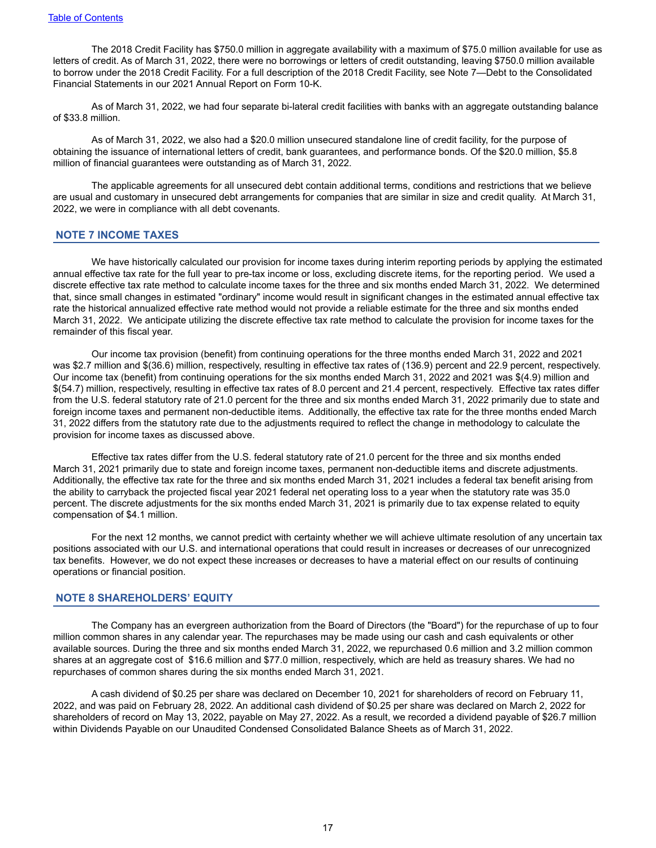The 2018 Credit Facility has \$750.0 million in aggregate availability with a maximum of \$75.0 million available for use as letters of credit. As of March 31, 2022, there were no borrowings or letters of credit outstanding, leaving \$750.0 million available to borrow under the 2018 Credit Facility. For a full description of the 2018 Credit Facility, see Note 7—Debt to the Consolidated Financial Statements in our 2021 Annual Report on Form 10-K.

As of March 31, 2022, we had four separate bi-lateral credit facilities with banks with an aggregate outstanding balance of \$33.8 million.

As of March 31, 2022, we also had a \$20.0 million unsecured standalone line of credit facility, for the purpose of obtaining the issuance of international letters of credit, bank guarantees, and performance bonds. Of the \$20.0 million, \$5.8 million of financial guarantees were outstanding as of March 31, 2022.

The applicable agreements for all unsecured debt contain additional terms, conditions and restrictions that we believe are usual and customary in unsecured debt arrangements for companies that are similar in size and credit quality. At March 31, 2022, we were in compliance with all debt covenants.

#### **NOTE 7 INCOME TAXES**

We have historically calculated our provision for income taxes during interim reporting periods by applying the estimated annual effective tax rate for the full year to pre-tax income or loss, excluding discrete items, for the reporting period. We used a discrete effective tax rate method to calculate income taxes for the three and six months ended March 31, 2022. We determined that, since small changes in estimated "ordinary" income would result in significant changes in the estimated annual effective tax rate the historical annualized effective rate method would not provide a reliable estimate for the three and six months ended March 31, 2022. We anticipate utilizing the discrete effective tax rate method to calculate the provision for income taxes for the remainder of this fiscal year.

Our income tax provision (benefit) from continuing operations for the three months ended March 31, 2022 and 2021 was \$2.7 million and \$(36.6) million, respectively, resulting in effective tax rates of (136.9) percent and 22.9 percent, respectively. Our income tax (benefit) from continuing operations for the six months ended March 31, 2022 and 2021 was \$(4.9) million and \$(54.7) million, respectively, resulting in effective tax rates of 8.0 percent and 21.4 percent, respectively. Effective tax rates differ from the U.S. federal statutory rate of 21.0 percent for the three and six months ended March 31, 2022 primarily due to state and foreign income taxes and permanent non-deductible items. Additionally, the effective tax rate for the three months ended March 31, 2022 differs from the statutory rate due to the adjustments required to reflect the change in methodology to calculate the provision for income taxes as discussed above.

Effective tax rates differ from the U.S. federal statutory rate of 21.0 percent for the three and six months ended March 31, 2021 primarily due to state and foreign income taxes, permanent non-deductible items and discrete adjustments. Additionally, the effective tax rate for the three and six months ended March 31, 2021 includes a federal tax benefit arising from the ability to carryback the projected fiscal year 2021 federal net operating loss to a year when the statutory rate was 35.0 percent. The discrete adjustments for the six months ended March 31, 2021 is primarily due to tax expense related to equity compensation of \$4.1 million.

For the next 12 months, we cannot predict with certainty whether we will achieve ultimate resolution of any uncertain tax positions associated with our U.S. and international operations that could result in increases or decreases of our unrecognized tax benefits. However, we do not expect these increases or decreases to have a material effect on our results of continuing operations or financial position.

### **NOTE 8 SHAREHOLDERS' EQUITY**

The Company has an evergreen authorization from the Board of Directors (the "Board") for the repurchase of up to four million common shares in any calendar year. The repurchases may be made using our cash and cash equivalents or other available sources. During the three and six months ended March 31, 2022, we repurchased 0.6 million and 3.2 million common shares at an aggregate cost of \$16.6 million and \$77.0 million, respectively, which are held as treasury shares. We had no repurchases of common shares during the six months ended March 31, 2021.

A cash dividend of \$0.25 per share was declared on December 10, 2021 for shareholders of record on February 11, 2022, and was paid on February 28, 2022. An additional cash dividend of \$0.25 per share was declared on March 2, 2022 for shareholders of record on May 13, 2022, payable on May 27, 2022. As a result, we recorded a dividend payable of \$26.7 million within Dividends Payable on our Unaudited Condensed Consolidated Balance Sheets as of March 31, 2022.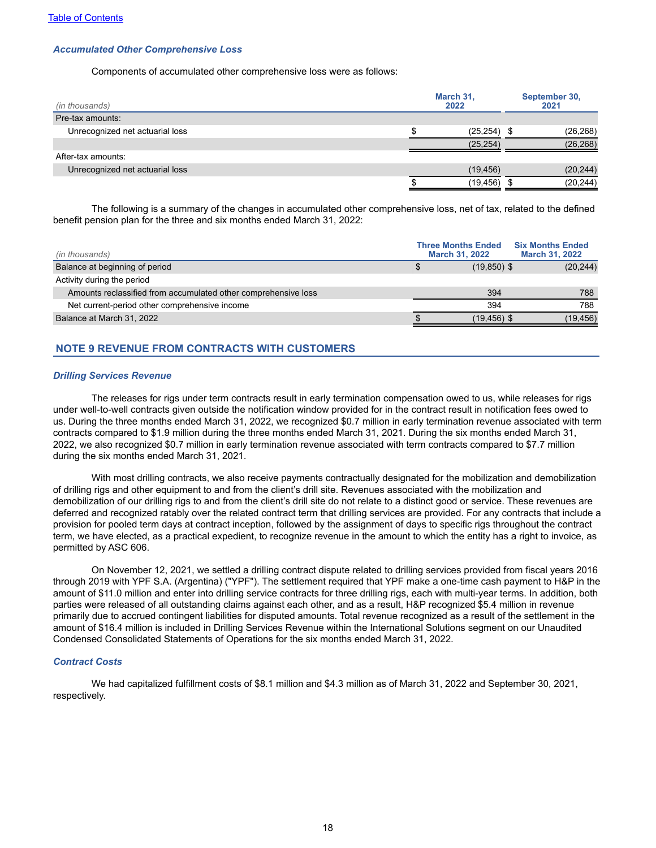#### *Accumulated Other Comprehensive Loss*

Components of accumulated other comprehensive loss were as follows:

| (in thousands)                  | March 31,<br>2022 |                |  |           |
|---------------------------------|-------------------|----------------|--|-----------|
| Pre-tax amounts:                |                   |                |  |           |
| Unrecognized net actuarial loss |                   | $(25, 254)$ \$ |  | (26, 268) |
|                                 |                   | (25, 254)      |  | (26, 268) |
| After-tax amounts:              |                   |                |  |           |
| Unrecognized net actuarial loss |                   | (19, 456)      |  | (20, 244) |
|                                 |                   | (19, 456)      |  | (20, 244) |

The following is a summary of the changes in accumulated other comprehensive loss, net of tax, related to the defined benefit pension plan for the three and six months ended March 31, 2022:

| (in thousands)                                                 | <b>Three Months Ended</b><br><b>March 31, 2022</b> | <b>Six Months Ended</b><br><b>March 31, 2022</b> |
|----------------------------------------------------------------|----------------------------------------------------|--------------------------------------------------|
| Balance at beginning of period                                 | $(19,850)$ \$                                      | (20, 244)                                        |
| Activity during the period                                     |                                                    |                                                  |
| Amounts reclassified from accumulated other comprehensive loss | 394                                                | 788                                              |
| Net current-period other comprehensive income                  | 394                                                | 788                                              |
| Balance at March 31, 2022                                      | $(19, 456)$ \$                                     | (19, 456)                                        |

## **NOTE 9 REVENUE FROM CONTRACTS WITH CUSTOMERS**

#### *Drilling Services Revenue*

The releases for rigs under term contracts result in early termination compensation owed to us, while releases for rigs under well-to-well contracts given outside the notification window provided for in the contract result in notification fees owed to us. During the three months ended March 31, 2022, we recognized \$0.7 million in early termination revenue associated with term contracts compared to \$1.9 million during the three months ended March 31, 2021. During the six months ended March 31, 2022, we also recognized \$0.7 million in early termination revenue associated with term contracts compared to \$7.7 million during the six months ended March 31, 2021.

With most drilling contracts, we also receive payments contractually designated for the mobilization and demobilization of drilling rigs and other equipment to and from the client's drill site. Revenues associated with the mobilization and demobilization of our drilling rigs to and from the client's drill site do not relate to a distinct good or service. These revenues are deferred and recognized ratably over the related contract term that drilling services are provided. For any contracts that include a provision for pooled term days at contract inception, followed by the assignment of days to specific rigs throughout the contract term, we have elected, as a practical expedient, to recognize revenue in the amount to which the entity has a right to invoice, as permitted by ASC 606.

On November 12, 2021, we settled a drilling contract dispute related to drilling services provided from fiscal years 2016 through 2019 with YPF S.A. (Argentina) ("YPF"). The settlement required that YPF make a one-time cash payment to H&P in the amount of \$11.0 million and enter into drilling service contracts for three drilling rigs, each with multi-year terms. In addition, both parties were released of all outstanding claims against each other, and as a result, H&P recognized \$5.4 million in revenue primarily due to accrued contingent liabilities for disputed amounts. Total revenue recognized as a result of the settlement in the amount of \$16.4 million is included in Drilling Services Revenue within the International Solutions segment on our Unaudited Condensed Consolidated Statements of Operations for the six months ended March 31, 2022.

#### *Contract Costs*

We had capitalized fulfillment costs of \$8.1 million and \$4.3 million as of March 31, 2022 and September 30, 2021, respectively.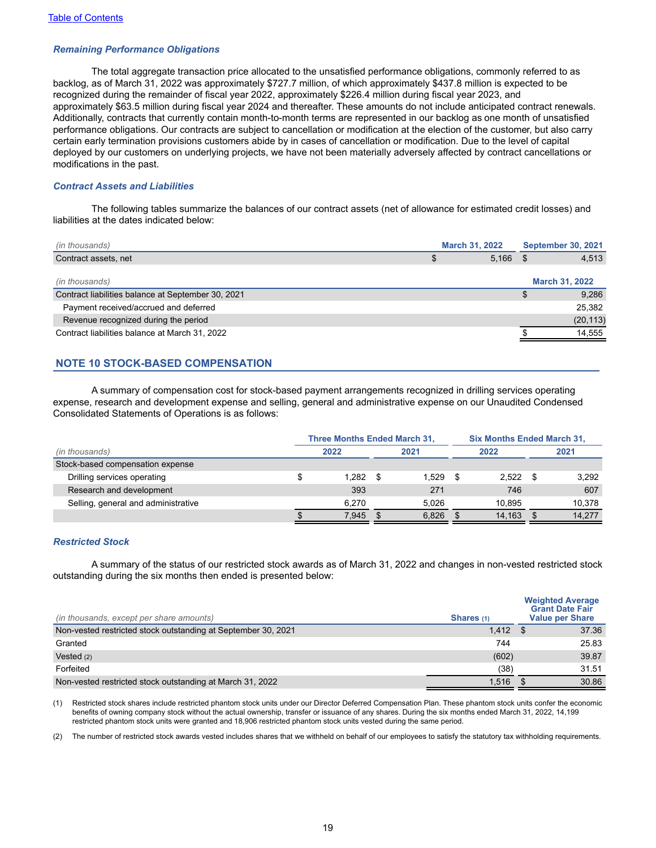#### *Remaining Performance Obligations*

The total aggregate transaction price allocated to the unsatisfied performance obligations, commonly referred to as backlog, as of March 31, 2022 was approximately \$727.7 million, of which approximately \$437.8 million is expected to be recognized during the remainder of fiscal year 2022, approximately \$226.4 million during fiscal year 2023, and approximately \$63.5 million during fiscal year 2024 and thereafter. These amounts do not include anticipated contract renewals. Additionally, contracts that currently contain month-to-month terms are represented in our backlog as one month of unsatisfied performance obligations. Our contracts are subject to cancellation or modification at the election of the customer, but also carry certain early termination provisions customers abide by in cases of cancellation or modification. Due to the level of capital deployed by our customers on underlying projects, we have not been materially adversely affected by contract cancellations or modifications in the past.

#### *Contract Assets and Liabilities*

The following tables summarize the balances of our contract assets (net of allowance for estimated credit losses) and liabilities at the dates indicated below:

| (in thousands)                                     | <b>March 31, 2022</b> | <b>September 30, 2021</b> |                       |  |
|----------------------------------------------------|-----------------------|---------------------------|-----------------------|--|
| Contract assets, net                               | 5,166                 |                           | 4,513                 |  |
|                                                    |                       |                           |                       |  |
| (in thousands)                                     |                       |                           | <b>March 31, 2022</b> |  |
| Contract liabilities balance at September 30, 2021 |                       |                           | 9,286                 |  |
| Payment received/accrued and deferred              |                       |                           | 25,382                |  |
| Revenue recognized during the period               |                       |                           | (20, 113)             |  |
| Contract liabilities balance at March 31, 2022     |                       |                           | 14,555                |  |
|                                                    |                       |                           |                       |  |

## **NOTE 10 STOCK-BASED COMPENSATION**

A summary of compensation cost for stock-based payment arrangements recognized in drilling services operating expense, research and development expense and selling, general and administrative expense on our Unaudited Condensed Consolidated Statements of Operations is as follows:

|                                     |      | <b>Three Months Ended March 31,</b> |  |       |      |        | <b>Six Months Ended March 31,</b> |        |  |
|-------------------------------------|------|-------------------------------------|--|-------|------|--------|-----------------------------------|--------|--|
| (in thousands)                      | 2022 |                                     |  | 2021  | 2022 |        |                                   | 2021   |  |
| Stock-based compensation expense    |      |                                     |  |       |      |        |                                   |        |  |
| Drilling services operating         |      | 1.282                               |  | 1,529 |      | 2.522  | -S                                | 3.292  |  |
| Research and development            |      | 393                                 |  | 271   |      | 746    |                                   | 607    |  |
| Selling, general and administrative |      | 6.270                               |  | 5.026 |      | 10.895 |                                   | 10.378 |  |
|                                     |      | 7.945                               |  | 6,826 |      | 14,163 |                                   | 14,277 |  |

## *Restricted Stock*

A summary of the status of our restricted stock awards as of March 31, 2022 and changes in non-vested restricted stock outstanding during the six months then ended is presented below:

| (in thousands, except per share amounts)                      | Shares (1) | <b>Weighted Average</b><br><b>Grant Date Fair</b><br><b>Value per Share</b> |
|---------------------------------------------------------------|------------|-----------------------------------------------------------------------------|
| Non-vested restricted stock outstanding at September 30, 2021 | 1.412      | 37.36                                                                       |
| Granted                                                       | 744        | 25.83                                                                       |
| Vested $(2)$                                                  | (602)      | 39.87                                                                       |
| Forfeited                                                     | (38)       | 31.51                                                                       |
| Non-vested restricted stock outstanding at March 31, 2022     | 1.516      | 30.86                                                                       |

(1) Restricted stock shares include restricted phantom stock units under our Director Deferred Compensation Plan. These phantom stock units confer the economic benefits of owning company stock without the actual ownership, transfer or issuance of any shares. During the six months ended March 31, 2022, 14,199 restricted phantom stock units were granted and 18,906 restricted phantom stock units vested during the same period.

(2) The number of restricted stock awards vested includes shares that we withheld on behalf of our employees to satisfy the statutory tax withholding requirements.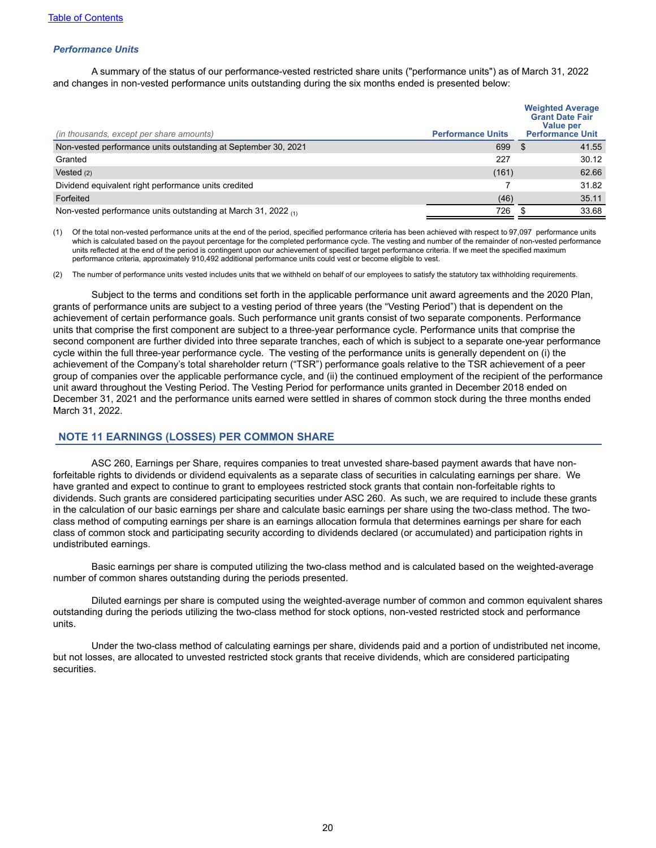## *Performance Units*

A summary of the status of our performance-vested restricted share units ("performance units") as of March 31, 2022 and changes in non-vested performance units outstanding during the six months ended is presented below:

| Value per<br><b>Performance Unit</b> |
|--------------------------------------|
| 41.55                                |
| 30.12                                |
| 62.66                                |
| 31.82                                |
| 35.11                                |
| 33.68                                |
|                                      |

(1) Of the total non-vested performance units at the end of the period, specified performance criteria has been achieved with respect to 97,097 performance units which is calculated based on the payout percentage for the completed performance cycle. The vesting and number of the remainder of non-vested performance units reflected at the end of the period is contingent upon our achievement of specified target performance criteria. If we meet the specified maximum performance criteria, approximately 910,492 additional performance units could vest or become eligible to vest.

(2) The number of performance units vested includes units that we withheld on behalf of our employees to satisfy the statutory tax withholding requirements.

Subject to the terms and conditions set forth in the applicable performance unit award agreements and the 2020 Plan, grants of performance units are subject to a vesting period of three years (the "Vesting Period") that is dependent on the achievement of certain performance goals. Such performance unit grants consist of two separate components. Performance units that comprise the first component are subject to a three-year performance cycle. Performance units that comprise the second component are further divided into three separate tranches, each of which is subject to a separate one-year performance cycle within the full three-year performance cycle. The vesting of the performance units is generally dependent on (i) the achievement of the Company's total shareholder return ("TSR") performance goals relative to the TSR achievement of a peer group of companies over the applicable performance cycle, and (ii) the continued employment of the recipient of the performance unit award throughout the Vesting Period. The Vesting Period for performance units granted in December 2018 ended on December 31, 2021 and the performance units earned were settled in shares of common stock during the three months ended March 31, 2022.

## **NOTE 11 EARNINGS (LOSSES) PER COMMON SHARE**

ASC 260, Earnings per Share, requires companies to treat unvested share-based payment awards that have nonforfeitable rights to dividends or dividend equivalents as a separate class of securities in calculating earnings per share. We have granted and expect to continue to grant to employees restricted stock grants that contain non-forfeitable rights to dividends. Such grants are considered participating securities under ASC 260. As such, we are required to include these grants in the calculation of our basic earnings per share and calculate basic earnings per share using the two-class method. The twoclass method of computing earnings per share is an earnings allocation formula that determines earnings per share for each class of common stock and participating security according to dividends declared (or accumulated) and participation rights in undistributed earnings.

Basic earnings per share is computed utilizing the two-class method and is calculated based on the weighted-average number of common shares outstanding during the periods presented.

Diluted earnings per share is computed using the weighted-average number of common and common equivalent shares outstanding during the periods utilizing the two-class method for stock options, non-vested restricted stock and performance units.

Under the two-class method of calculating earnings per share, dividends paid and a portion of undistributed net income, but not losses, are allocated to unvested restricted stock grants that receive dividends, which are considered participating securities.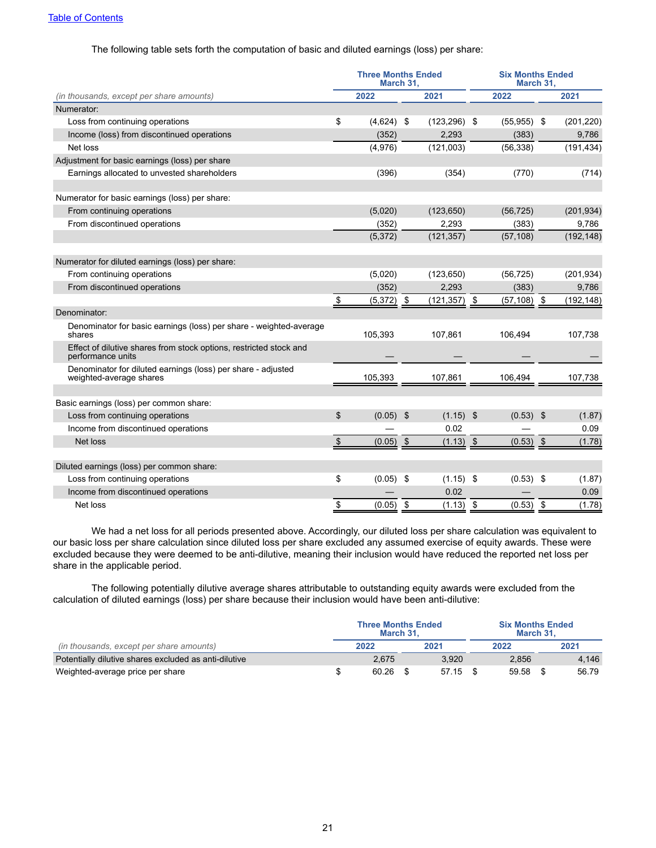## The following table sets forth the computation of basic and diluted earnings (loss) per share:

|                                                                                         | <b>Three Months Ended</b><br>March 31. |              |                |                 | <b>Six Months Ended</b><br>March 31. |    |            |
|-----------------------------------------------------------------------------------------|----------------------------------------|--------------|----------------|-----------------|--------------------------------------|----|------------|
| (in thousands, except per share amounts)                                                |                                        | 2022         |                | 2021            | 2022                                 |    | 2021       |
| Numerator:                                                                              |                                        |              |                |                 |                                      |    |            |
| Loss from continuing operations                                                         | \$                                     | $(4,624)$ \$ |                | $(123, 296)$ \$ | $(55,955)$ \$                        |    | (201, 220) |
| Income (loss) from discontinued operations                                              |                                        | (352)        |                | 2,293           | (383)                                |    | 9,786      |
| Net loss                                                                                |                                        | (4,976)      |                | (121,003)       | (56, 338)                            |    | (191, 434) |
| Adjustment for basic earnings (loss) per share                                          |                                        |              |                |                 |                                      |    |            |
| Earnings allocated to unvested shareholders                                             |                                        | (396)        |                | (354)           | (770)                                |    | (714)      |
|                                                                                         |                                        |              |                |                 |                                      |    |            |
| Numerator for basic earnings (loss) per share:                                          |                                        |              |                |                 |                                      |    |            |
| From continuing operations                                                              |                                        | (5,020)      |                | (123, 650)      | (56, 725)                            |    | (201, 934) |
| From discontinued operations                                                            |                                        | (352)        |                | 2,293           | (383)                                |    | 9,786      |
|                                                                                         |                                        | (5, 372)     |                | (121, 357)      | (57, 108)                            |    | (192, 148) |
|                                                                                         |                                        |              |                |                 |                                      |    |            |
| Numerator for diluted earnings (loss) per share:                                        |                                        |              |                |                 |                                      |    |            |
| From continuing operations                                                              |                                        | (5,020)      |                | (123, 650)      | (56, 725)                            |    | (201, 934) |
| From discontinued operations                                                            |                                        | (352)        |                | 2,293           | (383)                                |    | 9,786      |
|                                                                                         | \$                                     | $(5,372)$ \$ |                | $(121, 357)$ \$ | $(57, 108)$ \$                       |    | (192, 148) |
| Denominator:                                                                            |                                        |              |                |                 |                                      |    |            |
| Denominator for basic earnings (loss) per share - weighted-average<br>shares            |                                        | 105,393      |                | 107,861         | 106,494                              |    | 107,738    |
| Effect of dilutive shares from stock options, restricted stock and<br>performance units |                                        |              |                |                 |                                      |    |            |
| Denominator for diluted earnings (loss) per share - adjusted<br>weighted-average shares |                                        | 105,393      |                | 107.861         | 106,494                              |    | 107,738    |
|                                                                                         |                                        |              |                |                 |                                      |    |            |
| Basic earnings (loss) per common share:                                                 |                                        |              |                |                 |                                      |    |            |
| Loss from continuing operations                                                         | \$                                     | (0.05)       | $\mathfrak{S}$ | (1.15)          | \$<br>(0.53)                         | \$ | (1.87)     |
| Income from discontinued operations                                                     |                                        |              |                | 0.02            |                                      |    | 0.09       |
| Net loss                                                                                | \$                                     | $(0.05)$ \$  |                | $(1.13)$ \$     | $(0.53)$ \$                          |    | (1.78)     |
|                                                                                         |                                        |              |                |                 |                                      |    |            |
| Diluted earnings (loss) per common share:                                               |                                        |              |                |                 |                                      |    |            |
| Loss from continuing operations                                                         | \$                                     | (0.05)       | \$             | $(1.15)$ \$     | $(0.53)$ \$                          |    | (1.87)     |
| Income from discontinued operations                                                     |                                        |              |                | 0.02            |                                      |    | 0.09       |
| Net loss                                                                                | \$                                     | (0.05)       | \$             | (1.13)          | \$<br>(0.53)                         | \$ | (1.78)     |

We had a net loss for all periods presented above. Accordingly, our diluted loss per share calculation was equivalent to our basic loss per share calculation since diluted loss per share excluded any assumed exercise of equity awards. These were excluded because they were deemed to be anti-dilutive, meaning their inclusion would have reduced the reported net loss per share in the applicable period.

The following potentially dilutive average shares attributable to outstanding equity awards were excluded from the calculation of diluted earnings (loss) per share because their inclusion would have been anti-dilutive:

|                                                       | <b>Three Months Ended</b><br>March 31. |       |  |       |  | <b>Six Months Ended</b><br>March 31, |  |       |  |
|-------------------------------------------------------|----------------------------------------|-------|--|-------|--|--------------------------------------|--|-------|--|
| (in thousands, except per share amounts)              |                                        | 2022  |  | 2021  |  | 2022                                 |  | 2021  |  |
| Potentially dilutive shares excluded as anti-dilutive |                                        | 2.675 |  | 3.920 |  | 2.856                                |  | 4.146 |  |
| Weighted-average price per share                      |                                        | 60.26 |  | 57.15 |  | 59.58                                |  | 56.79 |  |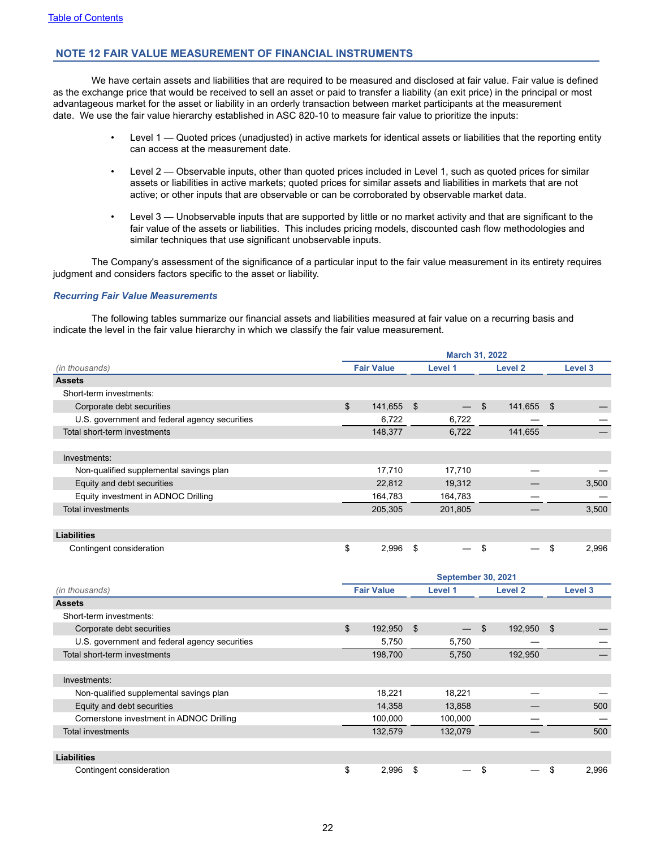## **NOTE 12 FAIR VALUE MEASUREMENT OF FINANCIAL INSTRUMENTS**

We have certain assets and liabilities that are required to be measured and disclosed at fair value. Fair value is defined as the exchange price that would be received to sell an asset or paid to transfer a liability (an exit price) in the principal or most advantageous market for the asset or liability in an orderly transaction between market participants at the measurement date. We use the fair value hierarchy established in ASC 820-10 to measure fair value to prioritize the inputs:

- Level 1 Quoted prices (unadjusted) in active markets for identical assets or liabilities that the reporting entity can access at the measurement date.
- Level 2 Observable inputs, other than quoted prices included in Level 1, such as quoted prices for similar assets or liabilities in active markets; quoted prices for similar assets and liabilities in markets that are not active; or other inputs that are observable or can be corroborated by observable market data.
- Level 3 Unobservable inputs that are supported by little or no market activity and that are significant to the fair value of the assets or liabilities. This includes pricing models, discounted cash flow methodologies and similar techniques that use significant unobservable inputs.

The Company's assessment of the significance of a particular input to the fair value measurement in its entirety requires judgment and considers factors specific to the asset or liability.

#### *Recurring Fair Value Measurements*

The following tables summarize our financial assets and liabilities measured at fair value on a recurring basis and indicate the level in the fair value hierarchy in which we classify the fair value measurement.

|                                               | <b>March 31, 2022</b>                                                                                                                                                                                                                                                                                                                                                                                                                                                                |                    |  |         |                    |         |               |         |  |
|-----------------------------------------------|--------------------------------------------------------------------------------------------------------------------------------------------------------------------------------------------------------------------------------------------------------------------------------------------------------------------------------------------------------------------------------------------------------------------------------------------------------------------------------------|--------------------|--|---------|--------------------|---------|---------------|---------|--|
| (in thousands)                                | <b>Fair Value</b><br>Level 1<br>$\mathfrak{S}$<br>141,655<br>$\mathfrak{S}$<br><b>S</b><br>6,722<br>6,722<br>148,377<br>6,722<br>17,710<br>17,710<br>22,812<br>19,312<br>164,783<br>164,783<br>205,305<br>201,805<br>\$<br>\$<br>2,996<br>\$<br><b>September 30, 2021</b><br><b>Fair Value</b><br>Level 1<br>$\sqrt{2}$<br>\$<br>192,950<br>$\mathfrak{S}$<br>5,750<br>5,750<br>198,700<br>5,750<br>18,221<br>18,221<br>14,358<br>13,858<br>100,000<br>100,000<br>132,579<br>132,079 | Level <sub>2</sub> |  | Level 3 |                    |         |               |         |  |
| <b>Assets</b>                                 |                                                                                                                                                                                                                                                                                                                                                                                                                                                                                      |                    |  |         |                    |         |               |         |  |
| Short-term investments:                       |                                                                                                                                                                                                                                                                                                                                                                                                                                                                                      |                    |  |         |                    |         |               |         |  |
| Corporate debt securities                     |                                                                                                                                                                                                                                                                                                                                                                                                                                                                                      |                    |  |         |                    | 141,655 | \$            |         |  |
| U.S. government and federal agency securities |                                                                                                                                                                                                                                                                                                                                                                                                                                                                                      |                    |  |         |                    |         |               |         |  |
| Total short-term investments                  |                                                                                                                                                                                                                                                                                                                                                                                                                                                                                      |                    |  |         |                    | 141,655 |               |         |  |
| Investments:                                  |                                                                                                                                                                                                                                                                                                                                                                                                                                                                                      |                    |  |         |                    |         |               |         |  |
| Non-qualified supplemental savings plan       |                                                                                                                                                                                                                                                                                                                                                                                                                                                                                      |                    |  |         |                    |         |               |         |  |
| Equity and debt securities                    |                                                                                                                                                                                                                                                                                                                                                                                                                                                                                      |                    |  |         |                    |         |               | 3,500   |  |
| Equity investment in ADNOC Drilling           |                                                                                                                                                                                                                                                                                                                                                                                                                                                                                      |                    |  |         |                    |         |               |         |  |
| <b>Total investments</b>                      |                                                                                                                                                                                                                                                                                                                                                                                                                                                                                      |                    |  |         |                    |         |               | 3,500   |  |
| <b>Liabilities</b>                            |                                                                                                                                                                                                                                                                                                                                                                                                                                                                                      |                    |  |         |                    |         |               |         |  |
| Contingent consideration                      |                                                                                                                                                                                                                                                                                                                                                                                                                                                                                      |                    |  |         |                    |         | \$            | 2,996   |  |
|                                               |                                                                                                                                                                                                                                                                                                                                                                                                                                                                                      |                    |  |         |                    |         |               |         |  |
| (in thousands)                                |                                                                                                                                                                                                                                                                                                                                                                                                                                                                                      |                    |  |         | Level <sub>2</sub> |         |               | Level 3 |  |
| <b>Assets</b>                                 |                                                                                                                                                                                                                                                                                                                                                                                                                                                                                      |                    |  |         |                    |         |               |         |  |
| Short-term investments:                       |                                                                                                                                                                                                                                                                                                                                                                                                                                                                                      |                    |  |         |                    |         |               |         |  |
| Corporate debt securities                     |                                                                                                                                                                                                                                                                                                                                                                                                                                                                                      |                    |  |         |                    | 192,950 | $\sqrt[6]{3}$ |         |  |
| U.S. government and federal agency securities |                                                                                                                                                                                                                                                                                                                                                                                                                                                                                      |                    |  |         |                    |         |               |         |  |
| Total short-term investments                  |                                                                                                                                                                                                                                                                                                                                                                                                                                                                                      |                    |  |         |                    | 192,950 |               |         |  |
| Investments:                                  |                                                                                                                                                                                                                                                                                                                                                                                                                                                                                      |                    |  |         |                    |         |               |         |  |
| Non-qualified supplemental savings plan       |                                                                                                                                                                                                                                                                                                                                                                                                                                                                                      |                    |  |         |                    |         |               |         |  |
| Equity and debt securities                    |                                                                                                                                                                                                                                                                                                                                                                                                                                                                                      |                    |  |         |                    |         |               | 500     |  |
| Cornerstone investment in ADNOC Drilling      |                                                                                                                                                                                                                                                                                                                                                                                                                                                                                      |                    |  |         |                    |         |               |         |  |
| <b>Total investments</b>                      |                                                                                                                                                                                                                                                                                                                                                                                                                                                                                      |                    |  |         |                    |         |               | 500     |  |
| <b>Liabilities</b>                            |                                                                                                                                                                                                                                                                                                                                                                                                                                                                                      |                    |  |         |                    |         |               |         |  |

Contingent consideration **12.8 and 2.996 \$**  $\sim$  2,996 \$  $\sim$  \$ 2,996 \$  $\sim$  \$ 2,996 \$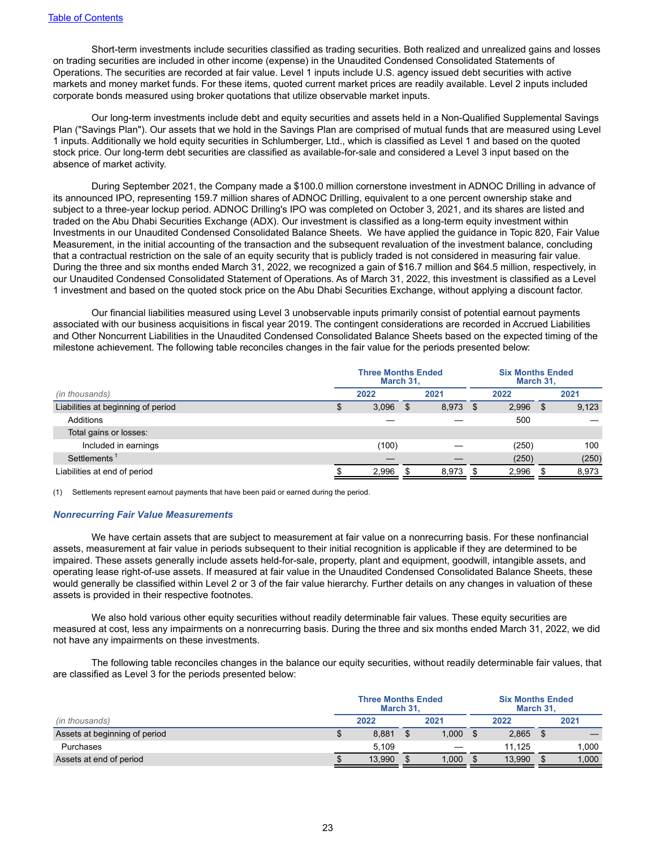Short-term investments include securities classified as trading securities. Both realized and unrealized gains and losses on trading securities are included in other income (expense) in the Unaudited Condensed Consolidated Statements of Operations. The securities are recorded at fair value. Level 1 inputs include U.S. agency issued debt securities with active markets and money market funds. For these items, quoted current market prices are readily available. Level 2 inputs included corporate bonds measured using broker quotations that utilize observable market inputs.

Our long-term investments include debt and equity securities and assets held in a Non-Qualified Supplemental Savings Plan ("Savings Plan"). Our assets that we hold in the Savings Plan are comprised of mutual funds that are measured using Level 1 inputs. Additionally we hold equity securities in Schlumberger, Ltd., which is classified as Level 1 and based on the quoted stock price. Our long-term debt securities are classified as available-for-sale and considered a Level 3 input based on the absence of market activity.

During September 2021, the Company made a \$100.0 million cornerstone investment in ADNOC Drilling in advance of its announced IPO, representing 159.7 million shares of ADNOC Drilling, equivalent to a one percent ownership stake and subject to a three-year lockup period. ADNOC Drilling's IPO was completed on October 3, 2021, and its shares are listed and traded on the Abu Dhabi Securities Exchange (ADX). Our investment is classified as a long-term equity investment within Investments in our Unaudited Condensed Consolidated Balance Sheets. We have applied the guidance in Topic 820, Fair Value Measurement, in the initial accounting of the transaction and the subsequent revaluation of the investment balance, concluding that a contractual restriction on the sale of an equity security that is publicly traded is not considered in measuring fair value. During the three and six months ended March 31, 2022, we recognized a gain of \$16.7 million and \$64.5 million, respectively, in our Unaudited Condensed Consolidated Statement of Operations. As of March 31, 2022, this investment is classified as a Level 1 investment and based on the quoted stock price on the Abu Dhabi Securities Exchange, without applying a discount factor.

Our financial liabilities measured using Level 3 unobservable inputs primarily consist of potential earnout payments associated with our business acquisitions in fiscal year 2019. The contingent considerations are recorded in Accrued Liabilities and Other Noncurrent Liabilities in the Unaudited Condensed Consolidated Balance Sheets based on the expected timing of the milestone achievement. The following table reconciles changes in the fair value for the periods presented below:

|                                    |              | <b>Three Months Ended</b><br>March 31, |    |       | <b>Six Months Ended</b><br>March 31, |       |    |       |
|------------------------------------|--------------|----------------------------------------|----|-------|--------------------------------------|-------|----|-------|
| (in thousands)                     | 2021<br>2022 |                                        |    |       |                                      | 2022  |    | 2021  |
| Liabilities at beginning of period | D            | 3,096                                  | \$ | 8,973 | \$                                   | 2,996 | \$ | 9,123 |
| Additions                          |              |                                        |    |       |                                      | 500   |    |       |
| Total gains or losses:             |              |                                        |    |       |                                      |       |    |       |
| Included in earnings               |              | (100)                                  |    |       |                                      | (250) |    | 100   |
| Settlements <sup>1</sup>           |              |                                        |    |       |                                      | (250) |    | (250) |
| Liabilities at end of period       |              | 2,996                                  |    | 8,973 |                                      | 2,996 |    | 8,973 |

(1) Settlements represent earnout payments that have been paid or earned during the period.

#### *Nonrecurring Fair Value Measurements*

We have certain assets that are subject to measurement at fair value on a nonrecurring basis. For these nonfinancial assets, measurement at fair value in periods subsequent to their initial recognition is applicable if they are determined to be impaired. These assets generally include assets held-for-sale, property, plant and equipment, goodwill, intangible assets, and operating lease right-of-use assets. If measured at fair value in the Unaudited Condensed Consolidated Balance Sheets, these would generally be classified within Level 2 or 3 of the fair value hierarchy. Further details on any changes in valuation of these assets is provided in their respective footnotes.

We also hold various other equity securities without readily determinable fair values. These equity securities are measured at cost, less any impairments on a nonrecurring basis. During the three and six months ended March 31, 2022, we did not have any impairments on these investments.

The following table reconciles changes in the balance our equity securities, without readily determinable fair values, that are classified as Level 3 for the periods presented below:

|                               | <b>Three Months Ended</b><br>March 31. |        |       | <b>Six Months Ended</b><br>March 31. |        |  |      |  |
|-------------------------------|----------------------------------------|--------|-------|--------------------------------------|--------|--|------|--|
| (in thousands)                |                                        | 2022   | 2021  | 2022                                 |        |  | 2021 |  |
| Assets at beginning of period | 8.881                                  |        | 1.000 |                                      | 2,865  |  |      |  |
| Purchases                     |                                        | 5.109  |       |                                      | 11.125 |  | .000 |  |
| Assets at end of period       |                                        | 13,990 | 1.000 |                                      | 13.990 |  | .000 |  |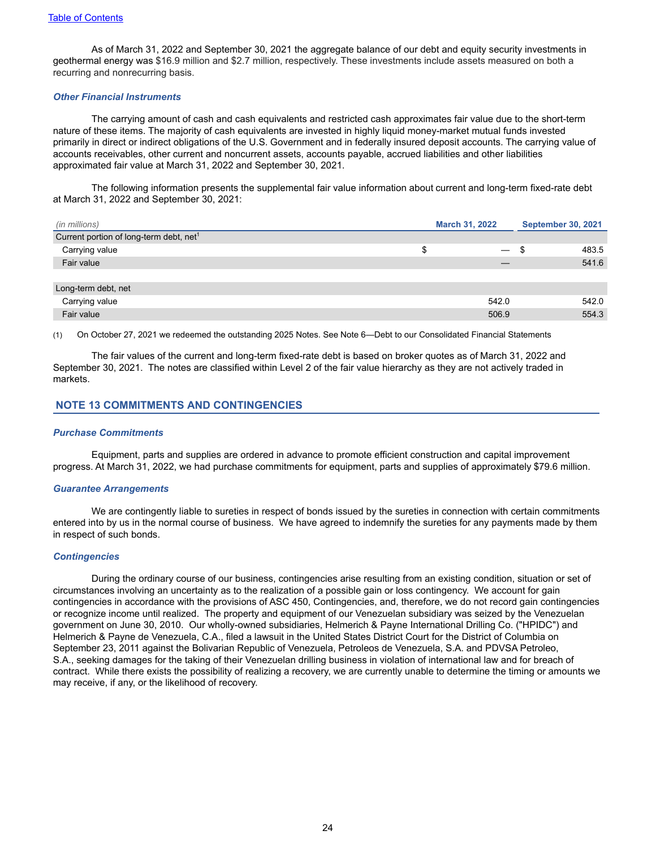As of March 31, 2022 and September 30, 2021 the aggregate balance of our debt and equity security investments in geothermal energy was \$16.9 million and \$2.7 million, respectively. These investments include assets measured on both a recurring and nonrecurring basis.

#### *Other Financial Instruments*

The carrying amount of cash and cash equivalents and restricted cash approximates fair value due to the short-term nature of these items. The majority of cash equivalents are invested in highly liquid money-market mutual funds invested primarily in direct or indirect obligations of the U.S. Government and in federally insured deposit accounts. The carrying value of accounts receivables, other current and noncurrent assets, accounts payable, accrued liabilities and other liabilities approximated fair value at March 31, 2022 and September 30, 2021.

The following information presents the supplemental fair value information about current and long-term fixed-rate debt at March 31, 2022 and September 30, 2021:

| (in millions)                                       | <b>March 31, 2022</b> |                                 | <b>September 30, 2021</b> |
|-----------------------------------------------------|-----------------------|---------------------------------|---------------------------|
| Current portion of long-term debt, net <sup>1</sup> |                       |                                 |                           |
| Carrying value                                      | \$                    | $\hspace{0.1mm}-\hspace{0.1mm}$ | 483.5<br>Œ                |
| Fair value                                          |                       |                                 | 541.6                     |
|                                                     |                       |                                 |                           |
| Long-term debt, net                                 |                       |                                 |                           |
| Carrying value                                      |                       | 542.0                           | 542.0                     |
| Fair value                                          |                       | 506.9                           | 554.3                     |

(1) On October 27, 2021 we redeemed the outstanding 2025 Notes. See Note 6—Debt to our Consolidated Financial Statements

The fair values of the current and long-term fixed-rate debt is based on broker quotes as of March 31, 2022 and September 30, 2021. The notes are classified within Level 2 of the fair value hierarchy as they are not actively traded in markets.

### **NOTE 13 COMMITMENTS AND CONTINGENCIES**

#### *Purchase Commitments*

Equipment, parts and supplies are ordered in advance to promote efficient construction and capital improvement progress. At March 31, 2022, we had purchase commitments for equipment, parts and supplies of approximately \$79.6 million.

#### *Guarantee Arrangements*

We are contingently liable to sureties in respect of bonds issued by the sureties in connection with certain commitments entered into by us in the normal course of business. We have agreed to indemnify the sureties for any payments made by them in respect of such bonds.

#### *Contingencies*

During the ordinary course of our business, contingencies arise resulting from an existing condition, situation or set of circumstances involving an uncertainty as to the realization of a possible gain or loss contingency. We account for gain contingencies in accordance with the provisions of ASC 450, Contingencies, and, therefore, we do not record gain contingencies or recognize income until realized. The property and equipment of our Venezuelan subsidiary was seized by the Venezuelan government on June 30, 2010. Our wholly-owned subsidiaries, Helmerich & Payne International Drilling Co. ("HPIDC") and Helmerich & Payne de Venezuela, C.A., filed a lawsuit in the United States District Court for the District of Columbia on September 23, 2011 against the Bolivarian Republic of Venezuela, Petroleos de Venezuela, S.A. and PDVSA Petroleo, S.A., seeking damages for the taking of their Venezuelan drilling business in violation of international law and for breach of contract. While there exists the possibility of realizing a recovery, we are currently unable to determine the timing or amounts we may receive, if any, or the likelihood of recovery.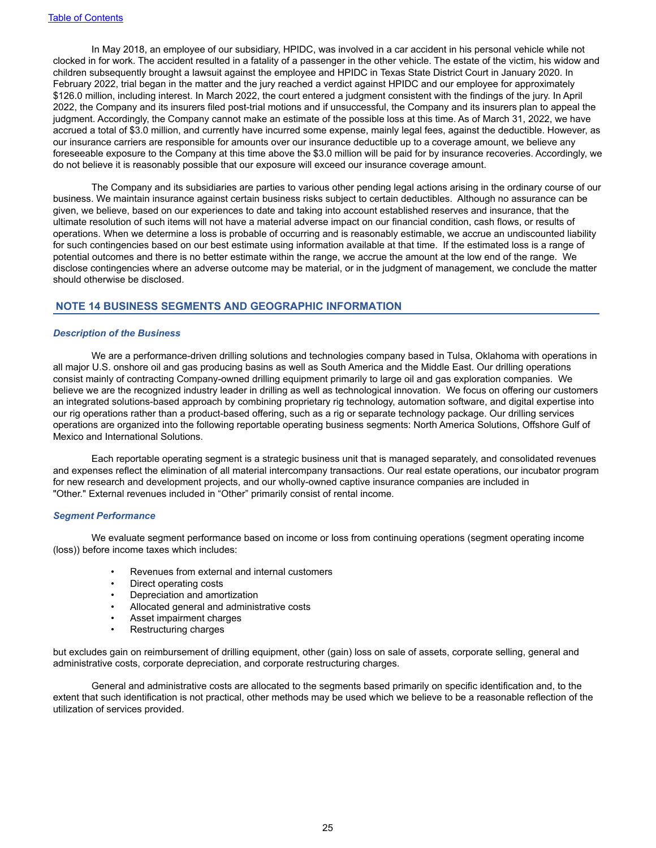In May 2018, an employee of our subsidiary, HPIDC, was involved in a car accident in his personal vehicle while not clocked in for work. The accident resulted in a fatality of a passenger in the other vehicle. The estate of the victim, his widow and children subsequently brought a lawsuit against the employee and HPIDC in Texas State District Court in January 2020. In February 2022, trial began in the matter and the jury reached a verdict against HPIDC and our employee for approximately \$126.0 million, including interest. In March 2022, the court entered a judgment consistent with the findings of the jury. In April 2022, the Company and its insurers filed post-trial motions and if unsuccessful, the Company and its insurers plan to appeal the judgment. Accordingly, the Company cannot make an estimate of the possible loss at this time. As of March 31, 2022, we have accrued a total of \$3.0 million, and currently have incurred some expense, mainly legal fees, against the deductible. However, as our insurance carriers are responsible for amounts over our insurance deductible up to a coverage amount, we believe any foreseeable exposure to the Company at this time above the \$3.0 million will be paid for by insurance recoveries. Accordingly, we do not believe it is reasonably possible that our exposure will exceed our insurance coverage amount.

The Company and its subsidiaries are parties to various other pending legal actions arising in the ordinary course of our business. We maintain insurance against certain business risks subject to certain deductibles. Although no assurance can be given, we believe, based on our experiences to date and taking into account established reserves and insurance, that the ultimate resolution of such items will not have a material adverse impact on our financial condition, cash flows, or results of operations. When we determine a loss is probable of occurring and is reasonably estimable, we accrue an undiscounted liability for such contingencies based on our best estimate using information available at that time. If the estimated loss is a range of potential outcomes and there is no better estimate within the range, we accrue the amount at the low end of the range. We disclose contingencies where an adverse outcome may be material, or in the judgment of management, we conclude the matter should otherwise be disclosed.

## **NOTE 14 BUSINESS SEGMENTS AND GEOGRAPHIC INFORMATION**

#### *Description of the Business*

We are a performance-driven drilling solutions and technologies company based in Tulsa, Oklahoma with operations in all major U.S. onshore oil and gas producing basins as well as South America and the Middle East. Our drilling operations consist mainly of contracting Company-owned drilling equipment primarily to large oil and gas exploration companies. We believe we are the recognized industry leader in drilling as well as technological innovation. We focus on offering our customers an integrated solutions-based approach by combining proprietary rig technology, automation software, and digital expertise into our rig operations rather than a product-based offering, such as a rig or separate technology package. Our drilling services operations are organized into the following reportable operating business segments: North America Solutions, Offshore Gulf of Mexico and International Solutions.

Each reportable operating segment is a strategic business unit that is managed separately, and consolidated revenues and expenses reflect the elimination of all material intercompany transactions. Our real estate operations, our incubator program for new research and development projects, and our wholly-owned captive insurance companies are included in "Other." External revenues included in "Other" primarily consist of rental income.

#### *Segment Performance*

We evaluate segment performance based on income or loss from continuing operations (segment operating income (loss)) before income taxes which includes:

- Revenues from external and internal customers
- Direct operating costs
- Depreciation and amortization
- Allocated general and administrative costs
- Asset impairment charges
- Restructuring charges

but excludes gain on reimbursement of drilling equipment, other (gain) loss on sale of assets, corporate selling, general and administrative costs, corporate depreciation, and corporate restructuring charges.

General and administrative costs are allocated to the segments based primarily on specific identification and, to the extent that such identification is not practical, other methods may be used which we believe to be a reasonable reflection of the utilization of services provided.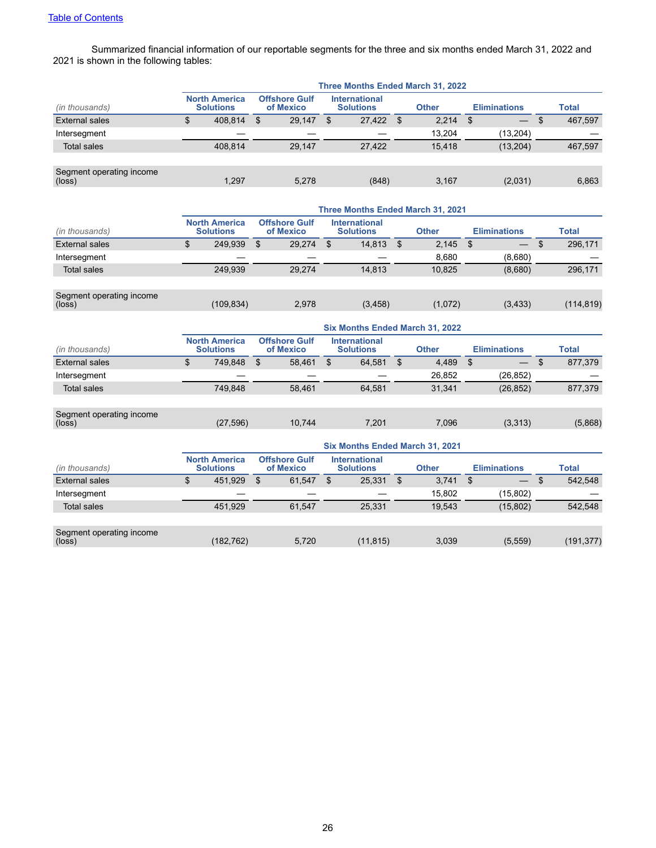Summarized financial information of our reportable segments for the three and six months ended March 31, 2022 and 2021 is shown in the following tables:

|                                    |                                          |         |                                   |        |                                          | <b>Three Months Ended March 31, 2022</b> |              |        | <b>Eliminations</b><br>Total<br>\$<br>- \$ |           |  |         |  |  |  |  |  |  |  |  |
|------------------------------------|------------------------------------------|---------|-----------------------------------|--------|------------------------------------------|------------------------------------------|--------------|--------|--------------------------------------------|-----------|--|---------|--|--|--|--|--|--|--|--|
| (in thousands)                     | <b>North America</b><br><b>Solutions</b> |         | <b>Offshore Gulf</b><br>of Mexico |        | <b>International</b><br><b>Solutions</b> |                                          | <b>Other</b> |        |                                            |           |  |         |  |  |  |  |  |  |  |  |
| External sales                     | \$                                       | 408.814 | \$.                               | 29.147 | \$                                       | 27,422                                   |              | 2,214  |                                            |           |  | 467,597 |  |  |  |  |  |  |  |  |
| Intersegment                       |                                          |         |                                   |        |                                          |                                          |              | 13.204 |                                            | (13, 204) |  |         |  |  |  |  |  |  |  |  |
| <b>Total sales</b>                 |                                          | 408.814 |                                   | 29.147 |                                          | 27.422                                   |              | 15.418 |                                            | (13,204)  |  | 467,597 |  |  |  |  |  |  |  |  |
|                                    |                                          |         |                                   |        |                                          |                                          |              |        |                                            |           |  |         |  |  |  |  |  |  |  |  |
| Segment operating income<br>(loss) |                                          | 1.297   |                                   | 5.278  |                                          | (848)                                    |              | 3.167  |                                            | (2,031)   |  | 6,863   |  |  |  |  |  |  |  |  |

|                                             |                                          |           |                                   |        |                                          |          |              | <b>Three Months Ended March 31, 2021</b> |                     |                                 |       |            |
|---------------------------------------------|------------------------------------------|-----------|-----------------------------------|--------|------------------------------------------|----------|--------------|------------------------------------------|---------------------|---------------------------------|-------|------------|
| (in thousands)                              | <b>North America</b><br><b>Solutions</b> |           | <b>Offshore Gulf</b><br>of Mexico |        | <b>International</b><br><b>Solutions</b> |          | <b>Other</b> |                                          | <b>Eliminations</b> |                                 | Total |            |
| External sales                              | \$                                       | 249.939   | \$.                               | 29.274 | \$.                                      | 14,813   |              | 2,145                                    | - \$                | $\hspace{0.1mm}-\hspace{0.1mm}$ | \$    | 296,171    |
| Intersegment                                |                                          |           |                                   |        |                                          |          |              | 8.680                                    |                     | (8,680)                         |       |            |
| <b>Total sales</b>                          |                                          | 249.939   |                                   | 29.274 |                                          | 14.813   |              | 10.825                                   |                     | (8,680)                         |       | 296,171    |
| Segment operating income<br>$(\text{loss})$ |                                          | (109,834) |                                   | 2.978  |                                          | (3, 458) |              | (1,072)                                  |                     | (3, 433)                        |       | (114, 819) |

|                                    |                                          |           |                                   |        |                                          |        |              | Six Months Ended March 31, 2022 |                     |           | Total<br>877,379<br>\$<br>$\overline{\phantom{0}}$<br>877,379 |         |  |  |  |  |  |  |  |  |  |
|------------------------------------|------------------------------------------|-----------|-----------------------------------|--------|------------------------------------------|--------|--------------|---------------------------------|---------------------|-----------|---------------------------------------------------------------|---------|--|--|--|--|--|--|--|--|--|
| (in thousands)                     | <b>North America</b><br><b>Solutions</b> |           | <b>Offshore Gulf</b><br>of Mexico |        | <b>International</b><br><b>Solutions</b> |        | <b>Other</b> |                                 | <b>Eliminations</b> |           |                                                               |         |  |  |  |  |  |  |  |  |  |
| <b>External sales</b>              | \$                                       | 749.848   | \$.                               | 58.461 | \$.                                      | 64,581 |              | 4,489                           | - \$                |           |                                                               |         |  |  |  |  |  |  |  |  |  |
| Intersegment                       |                                          |           |                                   |        |                                          |        |              | 26.852                          |                     | (26, 852) |                                                               |         |  |  |  |  |  |  |  |  |  |
| <b>Total sales</b>                 |                                          | 749.848   |                                   | 58.461 |                                          | 64.581 |              | 31.341                          |                     | (26, 852) |                                                               |         |  |  |  |  |  |  |  |  |  |
|                                    |                                          |           |                                   |        |                                          |        |              |                                 |                     |           |                                                               |         |  |  |  |  |  |  |  |  |  |
| Segment operating income<br>(loss) |                                          | (27, 596) |                                   | 10.744 |                                          | 7.201  |              | 7.096                           |                     | (3,313)   |                                                               | (5,868) |  |  |  |  |  |  |  |  |  |

|                                    |                                          |                                   |        |                                          | Six Months Ended March 31, 2021 |              |        |                     |          | Total<br>542,548<br>542,548 |  |  |  |  |  |  |
|------------------------------------|------------------------------------------|-----------------------------------|--------|------------------------------------------|---------------------------------|--------------|--------|---------------------|----------|-----------------------------|--|--|--|--|--|--|
| (in thousands)                     | <b>North America</b><br><b>Solutions</b> | <b>Offshore Gulf</b><br>of Mexico |        | <b>International</b><br><b>Solutions</b> |                                 | <b>Other</b> |        | <b>Eliminations</b> |          |                             |  |  |  |  |  |  |
| <b>External sales</b>              | \$<br>451.929                            | \$                                | 61.547 | \$.                                      | 25,331                          |              | 3.741  |                     | $-$      | \$                          |  |  |  |  |  |  |
| Intersegment                       |                                          |                                   |        |                                          |                                 |              | 15,802 |                     | (15,802) |                             |  |  |  |  |  |  |
| <b>Total sales</b>                 | 451,929                                  |                                   | 61.547 |                                          | 25,331                          |              | 19.543 |                     | (15,802) |                             |  |  |  |  |  |  |
| Segment operating income<br>(loss) | (182,762)                                |                                   | 5.720  |                                          | (11, 815)                       |              | 3,039  |                     | (5, 559) | (191, 377)                  |  |  |  |  |  |  |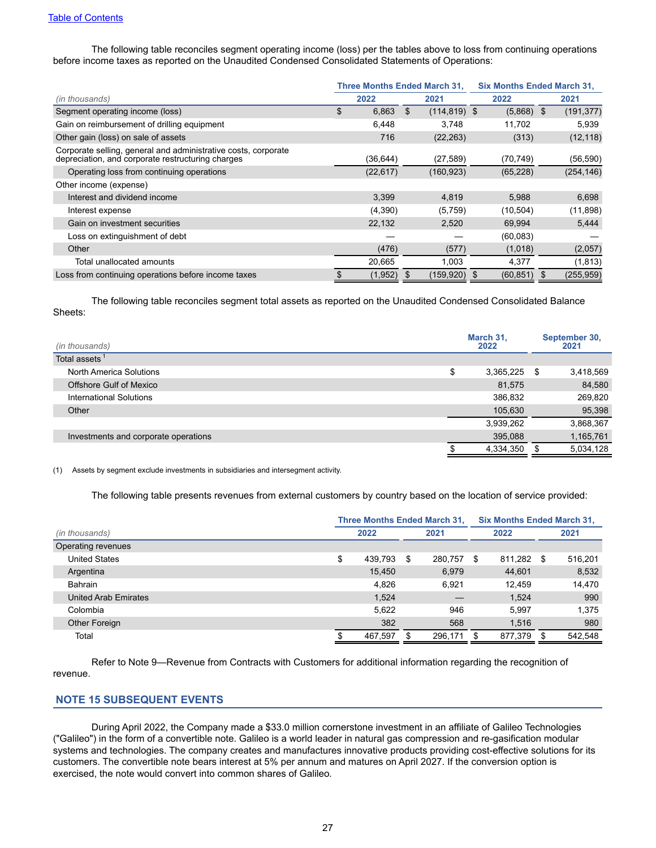The following table reconciles segment operating income (loss) per the tables above to loss from continuing operations before income taxes as reported on the Unaudited Condensed Consolidated Statements of Operations:

|                                                                                                                     |             |     | <b>Three Months Ended March 31,</b> | <b>Six Months Ended March 31.</b> |  |            |  |
|---------------------------------------------------------------------------------------------------------------------|-------------|-----|-------------------------------------|-----------------------------------|--|------------|--|
| (in thousands)                                                                                                      | 2022        |     | 2021                                | 2022                              |  | 2021       |  |
| Segment operating income (loss)                                                                                     | \$<br>6,863 | \$. | $(114, 819)$ \$                     | $(5,868)$ \$                      |  | (191, 377) |  |
| Gain on reimbursement of drilling equipment                                                                         | 6,448       |     | 3,748                               | 11,702                            |  | 5,939      |  |
| Other gain (loss) on sale of assets                                                                                 | 716         |     | (22, 263)                           | (313)                             |  | (12, 118)  |  |
| Corporate selling, general and administrative costs, corporate<br>depreciation, and corporate restructuring charges | (36,644)    |     | (27, 589)                           | (70, 749)                         |  | (56, 590)  |  |
| Operating loss from continuing operations                                                                           | (22, 617)   |     | (160, 923)                          | (65, 228)                         |  | (254, 146) |  |
| Other income (expense)                                                                                              |             |     |                                     |                                   |  |            |  |
| Interest and dividend income                                                                                        | 3,399       |     | 4,819                               | 5,988                             |  | 6,698      |  |
| Interest expense                                                                                                    | (4,390)     |     | (5,759)                             | (10, 504)                         |  | (11, 898)  |  |
| Gain on investment securities                                                                                       | 22,132      |     | 2,520                               | 69,994                            |  | 5,444      |  |
| Loss on extinguishment of debt                                                                                      |             |     |                                     | (60,083)                          |  |            |  |
| Other                                                                                                               | (476)       |     | (577)                               | (1,018)                           |  | (2,057)    |  |
| Total unallocated amounts                                                                                           | 20.665      |     | 1.003                               | 4,377                             |  | (1, 813)   |  |
| Loss from continuing operations before income taxes                                                                 | (1, 952)    | \$. | (159, 920)                          | (60, 851)<br>- \$                 |  | (255, 959) |  |

The following table reconciles segment total assets as reported on the Unaudited Condensed Consolidated Balance Sheets:

| (in thousands)                       | March 31,<br>2022 |           |      | September 30,<br>2021 |
|--------------------------------------|-------------------|-----------|------|-----------------------|
| Total assets <sup>1</sup>            |                   |           |      |                       |
| North America Solutions              | \$                | 3,365,225 | - \$ | 3,418,569             |
| Offshore Gulf of Mexico              |                   | 81,575    |      | 84,580                |
| International Solutions              |                   | 386.832   |      | 269,820               |
| Other                                |                   | 105,630   |      | 95,398                |
|                                      |                   | 3,939,262 |      | 3,868,367             |
| Investments and corporate operations |                   | 395.088   |      | 1,165,761             |
|                                      |                   | 4,334,350 |      | 5,034,128             |
|                                      |                   |           |      |                       |

(1) Assets by segment exclude investments in subsidiaries and intersegment activity.

The following table presents revenues from external customers by country based on the location of service provided:

|                             | <b>Three Months Ended March 31,</b> |         |   |         |   | <b>Six Months Ended March 31,</b> |      |         |  |
|-----------------------------|-------------------------------------|---------|---|---------|---|-----------------------------------|------|---------|--|
| (in thousands)              | 2022<br>2021                        |         |   | 2022    |   | 2021                              |      |         |  |
| Operating revenues          |                                     |         |   |         |   |                                   |      |         |  |
| United States               | \$                                  | 439,793 | S | 280,757 | S | 811,282                           | - \$ | 516,201 |  |
| Argentina                   |                                     | 15,450  |   | 6,979   |   | 44,601                            |      | 8,532   |  |
| Bahrain                     |                                     | 4,826   |   | 6.921   |   | 12.459                            |      | 14,470  |  |
| <b>United Arab Emirates</b> |                                     | 1,524   |   |         |   | 1,524                             |      | 990     |  |
| Colombia                    |                                     | 5.622   |   | 946     |   | 5.997                             |      | 1.375   |  |
| Other Foreign               |                                     | 382     |   | 568     |   | 1.516                             |      | 980     |  |
| Total                       |                                     | 467,597 |   | 296,171 |   | 877,379                           |      | 542,548 |  |

Refer to Note 9—Revenue from Contracts with Customers for additional information regarding the recognition of revenue.

## **NOTE 15 SUBSEQUENT EVENTS**

During April 2022, the Company made a \$33.0 million cornerstone investment in an affiliate of Galileo Technologies ("Galileo") in the form of a convertible note. Galileo is a world leader in natural gas compression and re-gasification modular systems and technologies. The company creates and manufactures innovative products providing cost-effective solutions for its customers. The convertible note bears interest at 5% per annum and matures on April 2027. If the conversion option is exercised, the note would convert into common shares of Galileo.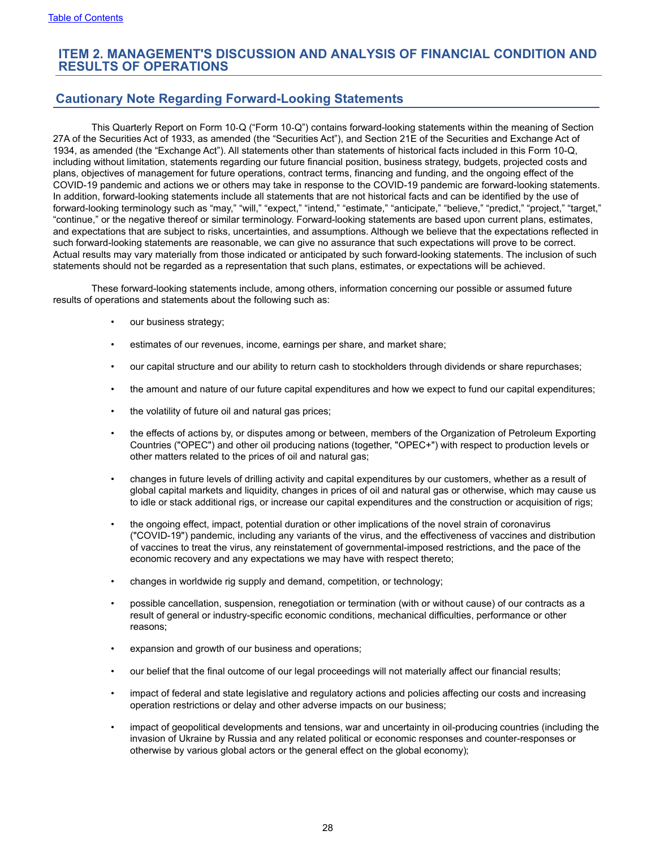# <span id="page-27-0"></span>**ITEM 2. MANAGEMENT'S DISCUSSION AND ANALYSIS OF FINANCIAL CONDITION AND RESULTS OF OPERATIONS**

# **Cautionary Note Regarding Forward-Looking Statements**

This Quarterly Report on Form 10-Q ("Form 10-Q") contains forward-looking statements within the meaning of Section 27A of the Securities Act of 1933, as amended (the "Securities Act"), and Section 21E of the Securities and Exchange Act of 1934, as amended (the "Exchange Act"). All statements other than statements of historical facts included in this Form 10-Q, including without limitation, statements regarding our future financial position, business strategy, budgets, projected costs and plans, objectives of management for future operations, contract terms, financing and funding, and the ongoing effect of the COVID-19 pandemic and actions we or others may take in response to the COVID-19 pandemic are forward-looking statements. In addition, forward-looking statements include all statements that are not historical facts and can be identified by the use of forward-looking terminology such as "may," "will," "expect," "intend," "estimate," "anticipate," "believe," "predict," "project," "target," "continue," or the negative thereof or similar terminology. Forward-looking statements are based upon current plans, estimates, and expectations that are subject to risks, uncertainties, and assumptions. Although we believe that the expectations reflected in such forward-looking statements are reasonable, we can give no assurance that such expectations will prove to be correct. Actual results may vary materially from those indicated or anticipated by such forward-looking statements. The inclusion of such statements should not be regarded as a representation that such plans, estimates, or expectations will be achieved.

These forward-looking statements include, among others, information concerning our possible or assumed future results of operations and statements about the following such as:

- our business strategy;
- estimates of our revenues, income, earnings per share, and market share;
- our capital structure and our ability to return cash to stockholders through dividends or share repurchases;
- the amount and nature of our future capital expenditures and how we expect to fund our capital expenditures;
- the volatility of future oil and natural gas prices;
- the effects of actions by, or disputes among or between, members of the Organization of Petroleum Exporting Countries ("OPEC") and other oil producing nations (together, "OPEC+") with respect to production levels or other matters related to the prices of oil and natural gas;
- changes in future levels of drilling activity and capital expenditures by our customers, whether as a result of global capital markets and liquidity, changes in prices of oil and natural gas or otherwise, which may cause us to idle or stack additional rigs, or increase our capital expenditures and the construction or acquisition of rigs;
- the ongoing effect, impact, potential duration or other implications of the novel strain of coronavirus ("COVID-19") pandemic, including any variants of the virus, and the effectiveness of vaccines and distribution of vaccines to treat the virus, any reinstatement of governmental-imposed restrictions, and the pace of the economic recovery and any expectations we may have with respect thereto;
- changes in worldwide rig supply and demand, competition, or technology;
- possible cancellation, suspension, renegotiation or termination (with or without cause) of our contracts as a result of general or industry-specific economic conditions, mechanical difficulties, performance or other reasons;
- expansion and growth of our business and operations;
- our belief that the final outcome of our legal proceedings will not materially affect our financial results;
- impact of federal and state legislative and regulatory actions and policies affecting our costs and increasing operation restrictions or delay and other adverse impacts on our business;
- impact of geopolitical developments and tensions, war and uncertainty in oil-producing countries (including the invasion of Ukraine by Russia and any related political or economic responses and counter-responses or otherwise by various global actors or the general effect on the global economy);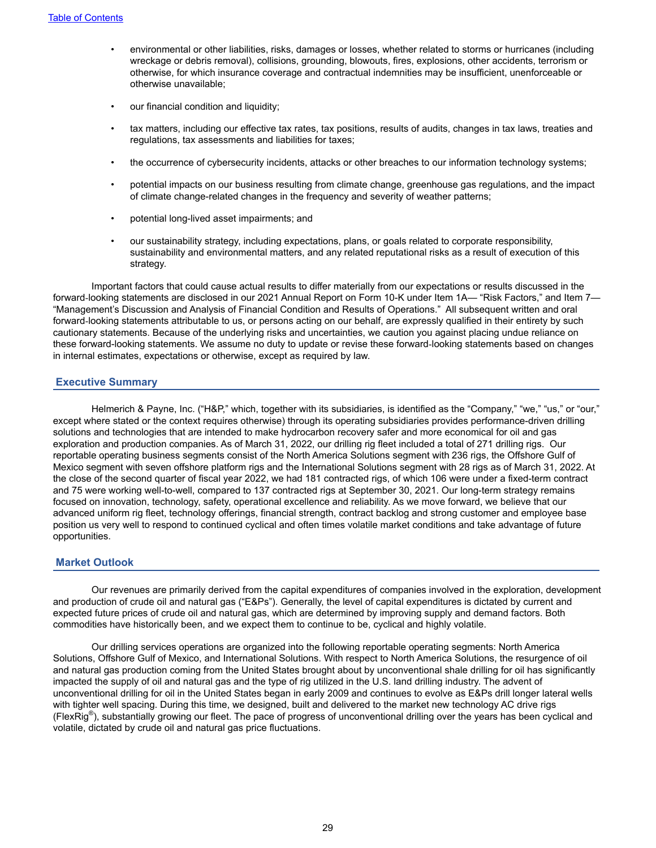- environmental or other liabilities, risks, damages or losses, whether related to storms or hurricanes (including wreckage or debris removal), collisions, grounding, blowouts, fires, explosions, other accidents, terrorism or otherwise, for which insurance coverage and contractual indemnities may be insufficient, unenforceable or otherwise unavailable;
- our financial condition and liquidity;
- tax matters, including our effective tax rates, tax positions, results of audits, changes in tax laws, treaties and regulations, tax assessments and liabilities for taxes;
- the occurrence of cybersecurity incidents, attacks or other breaches to our information technology systems;
- potential impacts on our business resulting from climate change, greenhouse gas regulations, and the impact of climate change-related changes in the frequency and severity of weather patterns;
- potential long-lived asset impairments; and
- our sustainability strategy, including expectations, plans, or goals related to corporate responsibility, sustainability and environmental matters, and any related reputational risks as a result of execution of this strategy.

Important factors that could cause actual results to differ materially from our expectations or results discussed in the forward-looking statements are disclosed in our 2021 Annual Report on Form 10-K under Item 1A— "Risk Factors," and Item 7— "Management's Discussion and Analysis of Financial Condition and Results of Operations." All subsequent written and oral forward-looking statements attributable to us, or persons acting on our behalf, are expressly qualified in their entirety by such cautionary statements. Because of the underlying risks and uncertainties, we caution you against placing undue reliance on these forward-looking statements. We assume no duty to update or revise these forward-looking statements based on changes in internal estimates, expectations or otherwise, except as required by law.

### **Executive Summary**

Helmerich & Payne, Inc. ("H&P," which, together with its subsidiaries, is identified as the "Company," "we," "us," or "our," except where stated or the context requires otherwise) through its operating subsidiaries provides performance-driven drilling solutions and technologies that are intended to make hydrocarbon recovery safer and more economical for oil and gas exploration and production companies. As of March 31, 2022, our drilling rig fleet included a total of 271 drilling rigs. Our reportable operating business segments consist of the North America Solutions segment with 236 rigs, the Offshore Gulf of Mexico segment with seven offshore platform rigs and the International Solutions segment with 28 rigs as of March 31, 2022. At the close of the second quarter of fiscal year 2022, we had 181 contracted rigs, of which 106 were under a fixed-term contract and 75 were working well-to-well, compared to 137 contracted rigs at September 30, 2021. Our long-term strategy remains focused on innovation, technology, safety, operational excellence and reliability. As we move forward, we believe that our advanced uniform rig fleet, technology offerings, financial strength, contract backlog and strong customer and employee base position us very well to respond to continued cyclical and often times volatile market conditions and take advantage of future opportunities.

#### **Market Outlook**

Our revenues are primarily derived from the capital expenditures of companies involved in the exploration, development and production of crude oil and natural gas ("E&Ps"). Generally, the level of capital expenditures is dictated by current and expected future prices of crude oil and natural gas, which are determined by improving supply and demand factors. Both commodities have historically been, and we expect them to continue to be, cyclical and highly volatile.

Our drilling services operations are organized into the following reportable operating segments: North America Solutions, Offshore Gulf of Mexico, and International Solutions. With respect to North America Solutions, the resurgence of oil and natural gas production coming from the United States brought about by unconventional shale drilling for oil has significantly impacted the supply of oil and natural gas and the type of rig utilized in the U.S. land drilling industry. The advent of unconventional drilling for oil in the United States began in early 2009 and continues to evolve as E&Ps drill longer lateral wells with tighter well spacing. During this time, we designed, built and delivered to the market new technology AC drive rigs (FlexRig® ), substantially growing our fleet. The pace of progress of unconventional drilling over the years has been cyclical and volatile, dictated by crude oil and natural gas price fluctuations.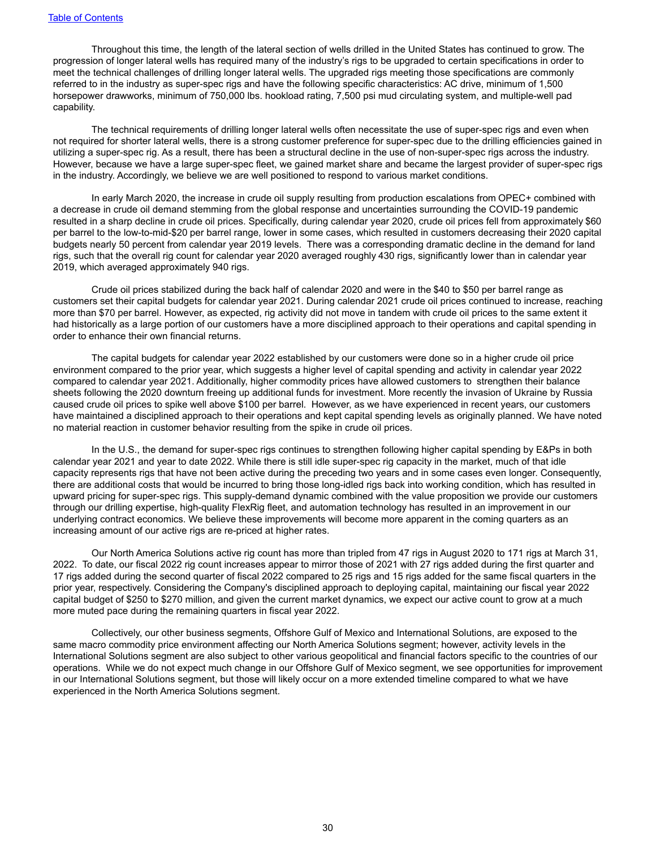Throughout this time, the length of the lateral section of wells drilled in the United States has continued to grow. The progression of longer lateral wells has required many of the industry's rigs to be upgraded to certain specifications in order to meet the technical challenges of drilling longer lateral wells. The upgraded rigs meeting those specifications are commonly referred to in the industry as super-spec rigs and have the following specific characteristics: AC drive, minimum of 1,500 horsepower drawworks, minimum of 750,000 lbs. hookload rating, 7,500 psi mud circulating system, and multiple-well pad capability.

The technical requirements of drilling longer lateral wells often necessitate the use of super-spec rigs and even when not required for shorter lateral wells, there is a strong customer preference for super-spec due to the drilling efficiencies gained in utilizing a super-spec rig. As a result, there has been a structural decline in the use of non-super-spec rigs across the industry. However, because we have a large super-spec fleet, we gained market share and became the largest provider of super-spec rigs in the industry. Accordingly, we believe we are well positioned to respond to various market conditions.

In early March 2020, the increase in crude oil supply resulting from production escalations from OPEC+ combined with a decrease in crude oil demand stemming from the global response and uncertainties surrounding the COVID-19 pandemic resulted in a sharp decline in crude oil prices. Specifically, during calendar year 2020, crude oil prices fell from approximately \$60 per barrel to the low-to-mid-\$20 per barrel range, lower in some cases, which resulted in customers decreasing their 2020 capital budgets nearly 50 percent from calendar year 2019 levels. There was a corresponding dramatic decline in the demand for land rigs, such that the overall rig count for calendar year 2020 averaged roughly 430 rigs, significantly lower than in calendar year 2019, which averaged approximately 940 rigs.

Crude oil prices stabilized during the back half of calendar 2020 and were in the \$40 to \$50 per barrel range as customers set their capital budgets for calendar year 2021. During calendar 2021 crude oil prices continued to increase, reaching more than \$70 per barrel. However, as expected, rig activity did not move in tandem with crude oil prices to the same extent it had historically as a large portion of our customers have a more disciplined approach to their operations and capital spending in order to enhance their own financial returns.

The capital budgets for calendar year 2022 established by our customers were done so in a higher crude oil price environment compared to the prior year, which suggests a higher level of capital spending and activity in calendar year 2022 compared to calendar year 2021. Additionally, higher commodity prices have allowed customers to strengthen their balance sheets following the 2020 downturn freeing up additional funds for investment. More recently the invasion of Ukraine by Russia caused crude oil prices to spike well above \$100 per barrel. However, as we have experienced in recent years, our customers have maintained a disciplined approach to their operations and kept capital spending levels as originally planned. We have noted no material reaction in customer behavior resulting from the spike in crude oil prices.

In the U.S., the demand for super-spec rigs continues to strengthen following higher capital spending by E&Ps in both calendar year 2021 and year to date 2022. While there is still idle super-spec rig capacity in the market, much of that idle capacity represents rigs that have not been active during the preceding two years and in some cases even longer. Consequently, there are additional costs that would be incurred to bring those long-idled rigs back into working condition, which has resulted in upward pricing for super-spec rigs. This supply-demand dynamic combined with the value proposition we provide our customers through our drilling expertise, high-quality FlexRig fleet, and automation technology has resulted in an improvement in our underlying contract economics. We believe these improvements will become more apparent in the coming quarters as an increasing amount of our active rigs are re-priced at higher rates.

Our North America Solutions active rig count has more than tripled from 47 rigs in August 2020 to 171 rigs at March 31, 2022. To date, our fiscal 2022 rig count increases appear to mirror those of 2021 with 27 rigs added during the first quarter and 17 rigs added during the second quarter of fiscal 2022 compared to 25 rigs and 15 rigs added for the same fiscal quarters in the prior year, respectively. Considering the Company's disciplined approach to deploying capital, maintaining our fiscal year 2022 capital budget of \$250 to \$270 million, and given the current market dynamics, we expect our active count to grow at a much more muted pace during the remaining quarters in fiscal year 2022.

Collectively, our other business segments, Offshore Gulf of Mexico and International Solutions, are exposed to the same macro commodity price environment affecting our North America Solutions segment; however, activity levels in the International Solutions segment are also subject to other various geopolitical and financial factors specific to the countries of our operations. While we do not expect much change in our Offshore Gulf of Mexico segment, we see opportunities for improvement in our International Solutions segment, but those will likely occur on a more extended timeline compared to what we have experienced in the North America Solutions segment.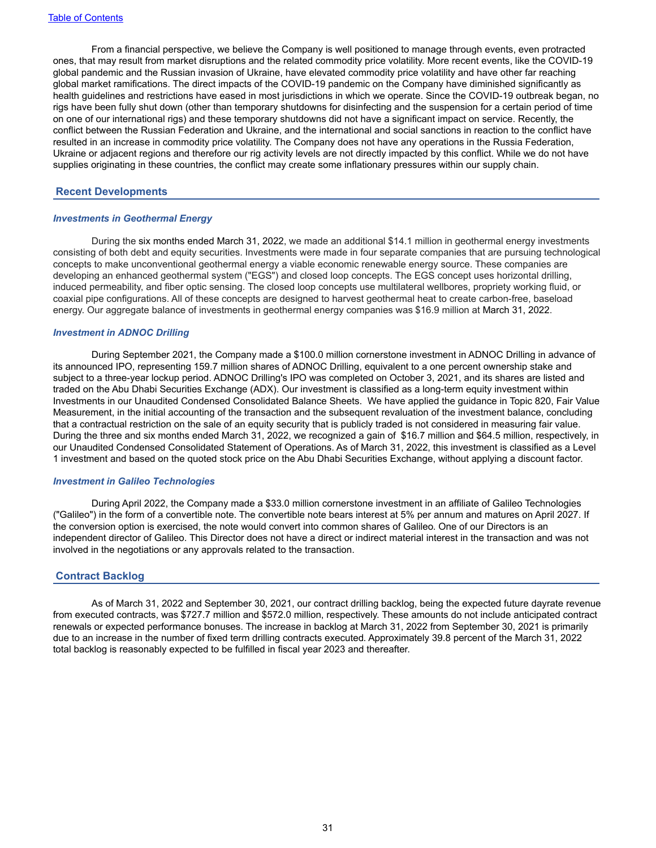From a financial perspective, we believe the Company is well positioned to manage through events, even protracted ones, that may result from market disruptions and the related commodity price volatility. More recent events, like the COVID-19 global pandemic and the Russian invasion of Ukraine, have elevated commodity price volatility and have other far reaching global market ramifications. The direct impacts of the COVID-19 pandemic on the Company have diminished significantly as health guidelines and restrictions have eased in most jurisdictions in which we operate. Since the COVID-19 outbreak began, no rigs have been fully shut down (other than temporary shutdowns for disinfecting and the suspension for a certain period of time on one of our international rigs) and these temporary shutdowns did not have a significant impact on service. Recently, the conflict between the Russian Federation and Ukraine, and the international and social sanctions in reaction to the conflict have resulted in an increase in commodity price volatility. The Company does not have any operations in the Russia Federation, Ukraine or adjacent regions and therefore our rig activity levels are not directly impacted by this conflict. While we do not have supplies originating in these countries, the conflict may create some inflationary pressures within our supply chain.

#### **Recent Developments**

#### *Investments in Geothermal Energy*

During the six months ended March 31, 2022, we made an additional \$14.1 million in geothermal energy investments consisting of both debt and equity securities. Investments were made in four separate companies that are pursuing technological concepts to make unconventional geothermal energy a viable economic renewable energy source. These companies are developing an enhanced geothermal system ("EGS") and closed loop concepts. The EGS concept uses horizontal drilling, induced permeability, and fiber optic sensing. The closed loop concepts use multilateral wellbores, propriety working fluid, or coaxial pipe configurations. All of these concepts are designed to harvest geothermal heat to create carbon-free, baseload energy. Our aggregate balance of investments in geothermal energy companies was \$16.9 million at March 31, 2022.

#### *Investment in ADNOC Drilling*

During September 2021, the Company made a \$100.0 million cornerstone investment in ADNOC Drilling in advance of its announced IPO, representing 159.7 million shares of ADNOC Drilling, equivalent to a one percent ownership stake and subject to a three-year lockup period. ADNOC Drilling's IPO was completed on October 3, 2021, and its shares are listed and traded on the Abu Dhabi Securities Exchange (ADX). Our investment is classified as a long-term equity investment within Investments in our Unaudited Condensed Consolidated Balance Sheets. We have applied the guidance in Topic 820, Fair Value Measurement, in the initial accounting of the transaction and the subsequent revaluation of the investment balance, concluding that a contractual restriction on the sale of an equity security that is publicly traded is not considered in measuring fair value. During the three and six months ended March 31, 2022, we recognized a gain of \$16.7 million and \$64.5 million, respectively, in our Unaudited Condensed Consolidated Statement of Operations. As of March 31, 2022, this investment is classified as a Level 1 investment and based on the quoted stock price on the Abu Dhabi Securities Exchange, without applying a discount factor.

#### *Investment in Galileo Technologies*

During April 2022, the Company made a \$33.0 million cornerstone investment in an affiliate of Galileo Technologies ("Galileo") in the form of a convertible note. The convertible note bears interest at 5% per annum and matures on April 2027. If the conversion option is exercised, the note would convert into common shares of Galileo. One of our Directors is an independent director of Galileo. This Director does not have a direct or indirect material interest in the transaction and was not involved in the negotiations or any approvals related to the transaction.

#### **Contract Backlog**

As of March 31, 2022 and September 30, 2021, our contract drilling backlog, being the expected future dayrate revenue from executed contracts, was \$727.7 million and \$572.0 million, respectively. These amounts do not include anticipated contract renewals or expected performance bonuses. The increase in backlog at March 31, 2022 from September 30, 2021 is primarily due to an increase in the number of fixed term drilling contracts executed. Approximately 39.8 percent of the March 31, 2022 total backlog is reasonably expected to be fulfilled in fiscal year 2023 and thereafter.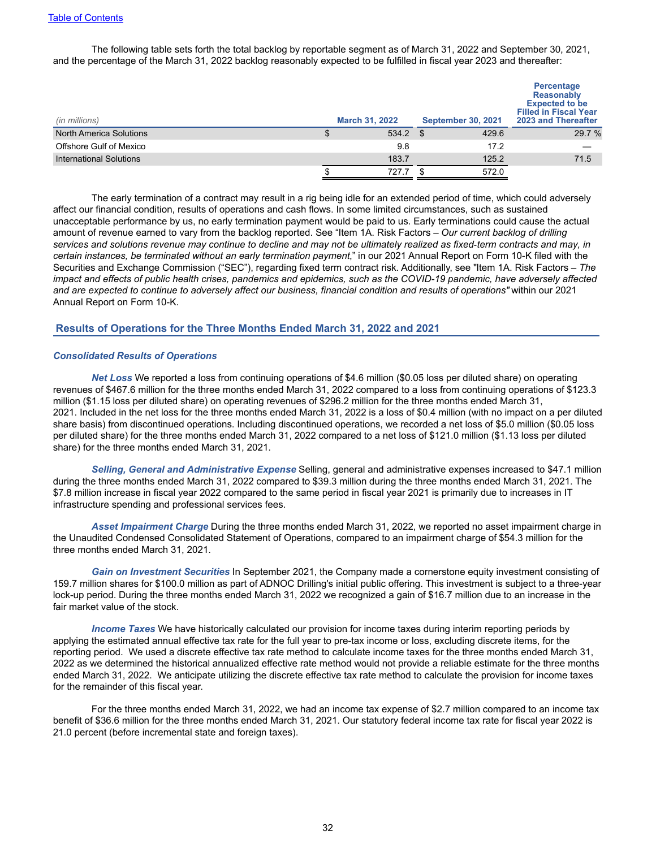The following table sets forth the total backlog by reportable segment as of March 31, 2022 and September 30, 2021, and the percentage of the March 31, 2022 backlog reasonably expected to be fulfilled in fiscal year 2023 and thereafter:

| (in millions)                  | <b>March 31, 2022</b> | <b>September 30, 2021</b> | Percentage<br><b>Reasonably</b><br><b>Expected to be</b><br><b>Filled in Fiscal Year</b><br>2023 and Thereafter |
|--------------------------------|-----------------------|---------------------------|-----------------------------------------------------------------------------------------------------------------|
| <b>North America Solutions</b> | $534.2$ \$            | 429.6                     | 29.7 %                                                                                                          |
| Offshore Gulf of Mexico        | 9.8                   | 17.2                      |                                                                                                                 |
| <b>International Solutions</b> | 183.7                 | 125.2                     | 71.5                                                                                                            |
|                                | 727.7                 | 572.0                     |                                                                                                                 |

The early termination of a contract may result in a rig being idle for an extended period of time, which could adversely affect our financial condition, results of operations and cash flows. In some limited circumstances, such as sustained unacceptable performance by us, no early termination payment would be paid to us. Early terminations could cause the actual amount of revenue earned to vary from the backlog reported. See "Item 1A. Risk Factors – *Our current backlog of drilling*  services and solutions revenue may continue to decline and may not be ultimately realized as fixed-term contracts and may, in *certain instances, be terminated without an early termination payment*," in our 2021 Annual Report on Form 10-K filed with the Securities and Exchange Commission ("SEC"), regarding fixed term contract risk. Additionally, see "Item 1A. Risk Factors – *The impact and effects of public health crises, pandemics and epidemics, such as the COVID-19 pandemic, have adversely affected and are expected to continue to adversely affect our business, financial condition and results of operations"* within our 2021 Annual Report on Form 10-K.

### **Results of Operations for the Three Months Ended March 31, 2022 and 2021**

#### *Consolidated Results of Operations*

*Net Loss* We reported a loss from continuing operations of \$4.6 million (\$0.05 loss per diluted share) on operating revenues of \$467.6 million for the three months ended March 31, 2022 compared to a loss from continuing operations of \$123.3 million (\$1.15 loss per diluted share) on operating revenues of \$296.2 million for the three months ended March 31, 2021. Included in the net loss for the three months ended March 31, 2022 is a loss of \$0.4 million (with no impact on a per diluted share basis) from discontinued operations. Including discontinued operations, we recorded a net loss of \$5.0 million (\$0.05 loss per diluted share) for the three months ended March 31, 2022 compared to a net loss of \$121.0 million (\$1.13 loss per diluted share) for the three months ended March 31, 2021.

*Selling, General and Administrative Expense* Selling, general and administrative expenses increased to \$47.1 million during the three months ended March 31, 2022 compared to \$39.3 million during the three months ended March 31, 2021. The \$7.8 million increase in fiscal year 2022 compared to the same period in fiscal year 2021 is primarily due to increases in IT infrastructure spending and professional services fees.

*Asset Impairment Charge* During the three months ended March 31, 2022, we reported no asset impairment charge in the Unaudited Condensed Consolidated Statement of Operations, compared to an impairment charge of \$54.3 million for the three months ended March 31, 2021.

*Gain on Investment Securities* In September 2021, the Company made a cornerstone equity investment consisting of 159.7 million shares for \$100.0 million as part of ADNOC Drilling's initial public offering. This investment is subject to a three-year lock-up period. During the three months ended March 31, 2022 we recognized a gain of \$16.7 million due to an increase in the fair market value of the stock.

*Income Taxes* We have historically calculated our provision for income taxes during interim reporting periods by applying the estimated annual effective tax rate for the full year to pre-tax income or loss, excluding discrete items, for the reporting period. We used a discrete effective tax rate method to calculate income taxes for the three months ended March 31, 2022 as we determined the historical annualized effective rate method would not provide a reliable estimate for the three months ended March 31, 2022. We anticipate utilizing the discrete effective tax rate method to calculate the provision for income taxes for the remainder of this fiscal year.

For the three months ended March 31, 2022, we had an income tax expense of \$2.7 million compared to an income tax benefit of \$36.6 million for the three months ended March 31, 2021. Our statutory federal income tax rate for fiscal year 2022 is 21.0 percent (before incremental state and foreign taxes).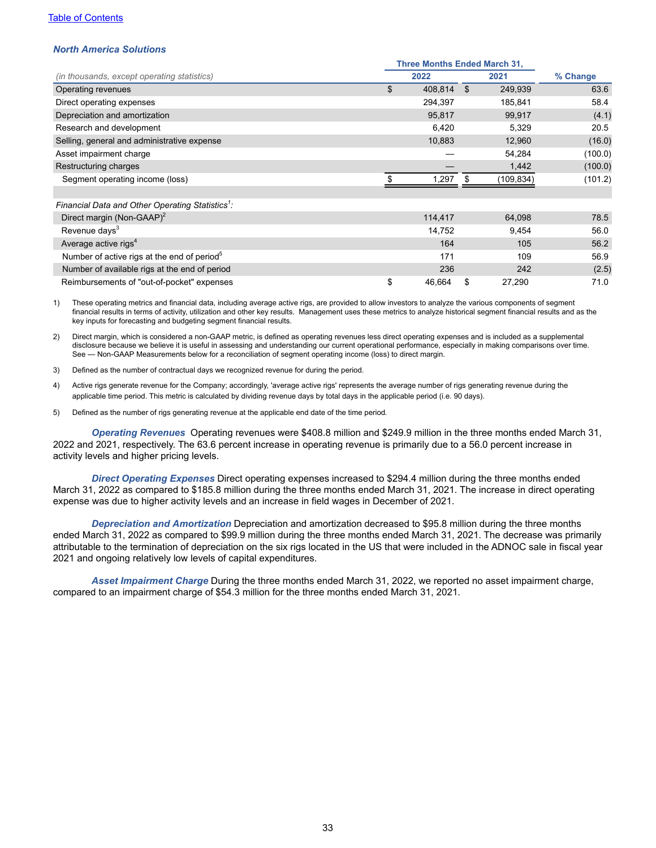### [Table of Contents](#page-1-0)

## *North America Solutions*

|                                                              | <b>Three Months Ended March 31,</b> |              |            |          |  |  |  |  |
|--------------------------------------------------------------|-------------------------------------|--------------|------------|----------|--|--|--|--|
| (in thousands, except operating statistics)                  | 2022                                |              | 2021       | % Change |  |  |  |  |
| Operating revenues                                           | \$<br>408,814                       | $\mathbb{S}$ | 249,939    | 63.6     |  |  |  |  |
| Direct operating expenses                                    | 294,397                             |              | 185,841    | 58.4     |  |  |  |  |
| Depreciation and amortization                                | 95,817                              |              | 99,917     | (4.1)    |  |  |  |  |
| Research and development                                     | 6,420                               |              | 5,329      | 20.5     |  |  |  |  |
| Selling, general and administrative expense                  | 10,883                              |              | 12,960     | (16.0)   |  |  |  |  |
| Asset impairment charge                                      |                                     |              | 54,284     | (100.0)  |  |  |  |  |
| Restructuring charges                                        |                                     |              | 1,442      | (100.0)  |  |  |  |  |
| Segment operating income (loss)                              | 297, ا                              | \$           | (109, 834) | (101.2)  |  |  |  |  |
| Financial Data and Other Operating Statistics <sup>1</sup> : |                                     |              |            |          |  |  |  |  |
| Direct margin (Non-GAAP) <sup>2</sup>                        | 114,417                             |              | 64,098     | 78.5     |  |  |  |  |
| Revenue days <sup>3</sup>                                    | 14,752                              |              | 9,454      | 56.0     |  |  |  |  |
| Average active rigs <sup>4</sup>                             | 164                                 |              | 105        | 56.2     |  |  |  |  |
| Number of active rigs at the end of period <sup>5</sup>      | 171                                 |              | 109        | 56.9     |  |  |  |  |
| Number of available rigs at the end of period                | 236                                 |              | 242        | (2.5)    |  |  |  |  |
| Reimbursements of "out-of-pocket" expenses                   | \$<br>46,664                        | \$           | 27,290     | 71.0     |  |  |  |  |

1) These operating metrics and financial data, including average active rigs, are provided to allow investors to analyze the various components of segment financial results in terms of activity, utilization and other key results. Management uses these metrics to analyze historical segment financial results and as the key inputs for forecasting and budgeting segment financial results.

2) Direct margin, which is considered a non-GAAP metric, is defined as operating revenues less direct operating expenses and is included as a supplemental disclosure because we believe it is useful in assessing and understanding our current operational performance, especially in making comparisons over time. See — Non-GAAP Measurements below for a reconciliation of segment operating income (loss) to direct margin.

3) Defined as the number of contractual days we recognized revenue for during the period.

4) Active rigs generate revenue for the Company: accordingly, 'average active rigs' represents the average number of rigs generating revenue during the applicable time period. This metric is calculated by dividing revenue days by total days in the applicable period (i.e. 90 days).

5) Defined as the number of rigs generating revenue at the applicable end date of the time period.

*Operating Revenues* Operating revenues were \$408.8 million and \$249.9 million in the three months ended March 31, 2022 and 2021, respectively. The 63.6 percent increase in operating revenue is primarily due to a 56.0 percent increase in activity levels and higher pricing levels.

*Direct Operating Expenses* Direct operating expenses increased to \$294.4 million during the three months ended March 31, 2022 as compared to \$185.8 million during the three months ended March 31, 2021. The increase in direct operating expense was due to higher activity levels and an increase in field wages in December of 2021.

*Depreciation and Amortization* Depreciation and amortization decreased to \$95.8 million during the three months ended March 31, 2022 as compared to \$99.9 million during the three months ended March 31, 2021. The decrease was primarily attributable to the termination of depreciation on the six rigs located in the US that were included in the ADNOC sale in fiscal year 2021 and ongoing relatively low levels of capital expenditures.

*Asset Impairment Charge* During the three months ended March 31, 2022, we reported no asset impairment charge, compared to an impairment charge of \$54.3 million for the three months ended March 31, 2021.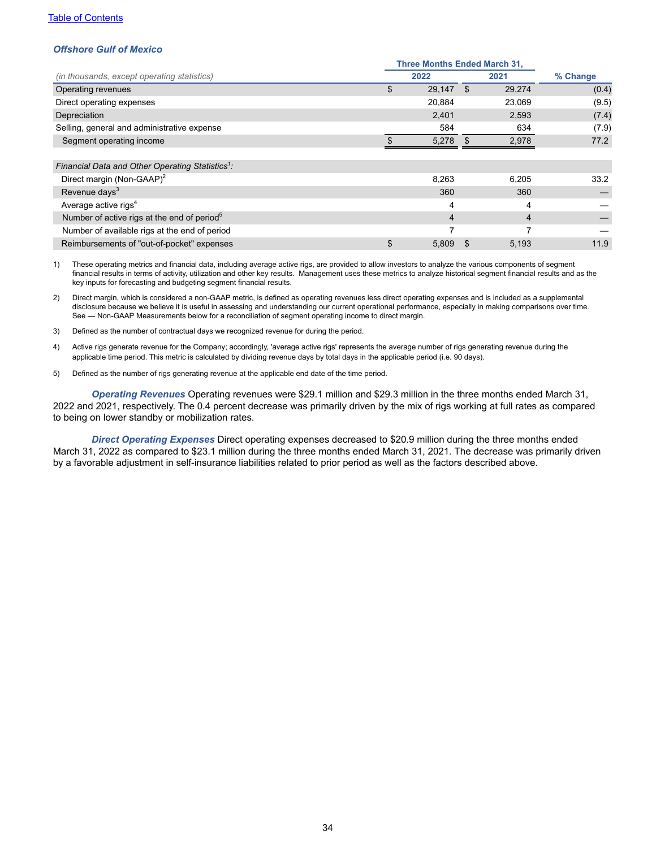### *Offshore Gulf of Mexico*

| (in thousands, except operating statistics)                  |    | 2022   |     |                | % Change |  |
|--------------------------------------------------------------|----|--------|-----|----------------|----------|--|
| Operating revenues                                           | \$ | 29,147 | \$  | 29,274         | (0.4)    |  |
| Direct operating expenses                                    |    | 20,884 |     | 23,069         | (9.5)    |  |
| Depreciation                                                 |    | 2,401  |     | 2,593          | (7.4)    |  |
| Selling, general and administrative expense                  |    | 584    |     | 634            | (7.9)    |  |
| Segment operating income                                     |    | 5,278  | \$. | 2,978          | 77.2     |  |
|                                                              |    |        |     |                |          |  |
| Financial Data and Other Operating Statistics <sup>1</sup> : |    |        |     |                |          |  |
| Direct margin (Non-GAAP) <sup>2</sup>                        |    | 8,263  |     | 6,205          | 33.2     |  |
| Revenue days <sup>3</sup>                                    |    | 360    |     | 360            |          |  |
| Average active rigs <sup>4</sup>                             |    | 4      |     | 4              |          |  |
| Number of active rigs at the end of period <sup>5</sup>      |    | 4      |     | $\overline{4}$ |          |  |
| Number of available rigs at the end of period                |    |        |     | -              |          |  |
| Reimbursements of "out-of-pocket" expenses                   | \$ | 5,809  | \$. | 5,193          | 11.9     |  |

1) These operating metrics and financial data, including average active rigs, are provided to allow investors to analyze the various components of segment financial results in terms of activity, utilization and other key results. Management uses these metrics to analyze historical segment financial results and as the key inputs for forecasting and budgeting segment financial results.

2) Direct margin, which is considered a non-GAAP metric, is defined as operating revenues less direct operating expenses and is included as a supplemental disclosure because we believe it is useful in assessing and understanding our current operational performance, especially in making comparisons over time. See — Non-GAAP Measurements below for a reconciliation of segment operating income to direct margin.

3) Defined as the number of contractual days we recognized revenue for during the period.

4) Active rigs generate revenue for the Company; accordingly, 'average active rigs' represents the average number of rigs generating revenue during the applicable time period. This metric is calculated by dividing revenue days by total days in the applicable period (i.e. 90 days).

5) Defined as the number of rigs generating revenue at the applicable end date of the time period.

*Operating Revenues* Operating revenues were \$29.1 million and \$29.3 million in the three months ended March 31, 2022 and 2021, respectively. The 0.4 percent decrease was primarily driven by the mix of rigs working at full rates as compared to being on lower standby or mobilization rates.

*Direct Operating Expenses* Direct operating expenses decreased to \$20.9 million during the three months ended March 31, 2022 as compared to \$23.1 million during the three months ended March 31, 2021. The decrease was primarily driven by a favorable adjustment in self-insurance liabilities related to prior period as well as the factors described above.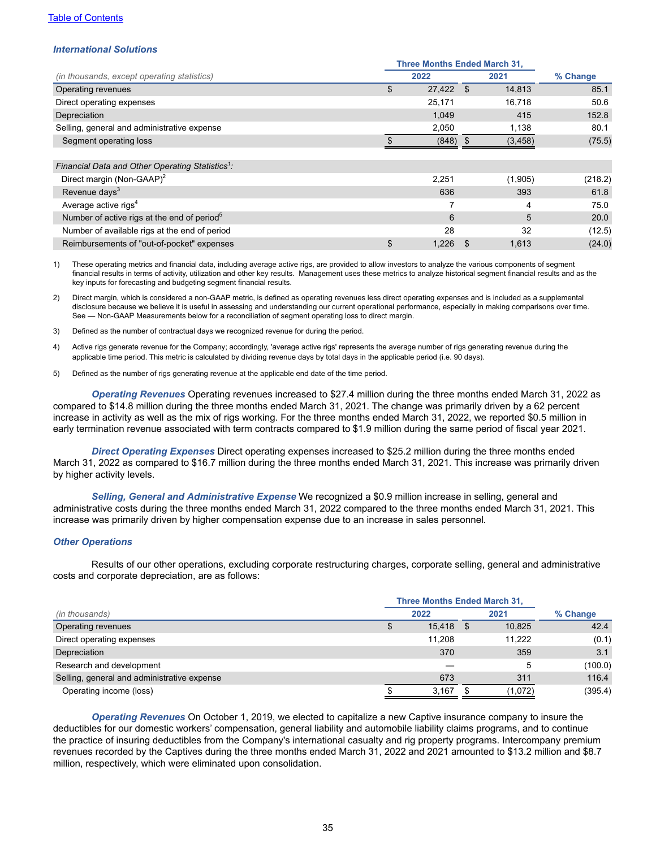#### **[Table of Contents](#page-1-0)**

#### *International Solutions*

|                                                              | <b>Three Months Ended March 31,</b> |           |     |          |          |  |
|--------------------------------------------------------------|-------------------------------------|-----------|-----|----------|----------|--|
| (in thousands, except operating statistics)                  |                                     | 2022      |     | 2021     | % Change |  |
| Operating revenues                                           | \$                                  | 27,422 \$ |     | 14,813   | 85.1     |  |
| Direct operating expenses                                    |                                     | 25,171    |     | 16,718   | 50.6     |  |
| Depreciation                                                 |                                     | 1,049     |     | 415      | 152.8    |  |
| Selling, general and administrative expense                  |                                     | 2,050     |     | 1,138    | 80.1     |  |
| Segment operating loss                                       |                                     | (848)     | \$  | (3, 458) | (75.5)   |  |
|                                                              |                                     |           |     |          |          |  |
| Financial Data and Other Operating Statistics <sup>1</sup> : |                                     |           |     |          |          |  |
| Direct margin (Non-GAAP) <sup>2</sup>                        |                                     | 2,251     |     | (1,905)  | (218.2)  |  |
| Revenue days <sup>3</sup>                                    |                                     | 636       |     | 393      | 61.8     |  |
| Average active rigs <sup>4</sup>                             |                                     | 7         |     | 4        | 75.0     |  |
| Number of active rigs at the end of period <sup>5</sup>      |                                     | 6         |     | 5        | 20.0     |  |
| Number of available rigs at the end of period                |                                     | 28        |     | 32       | (12.5)   |  |
| Reimbursements of "out-of-pocket" expenses                   | \$                                  | 1,226     | \$. | 1,613    | (24.0)   |  |

1) These operating metrics and financial data, including average active rigs, are provided to allow investors to analyze the various components of segment financial results in terms of activity, utilization and other key results. Management uses these metrics to analyze historical segment financial results and as the key inputs for forecasting and budgeting segment financial results.

2) Direct margin, which is considered a non-GAAP metric, is defined as operating revenues less direct operating expenses and is included as a supplemental disclosure because we believe it is useful in assessing and understanding our current operational performance, especially in making comparisons over time. See — Non-GAAP Measurements below for a reconciliation of segment operating loss to direct margin.

- 3) Defined as the number of contractual days we recognized revenue for during the period.
- 4) Active rigs generate revenue for the Company; accordingly, 'average active rigs' represents the average number of rigs generating revenue during the applicable time period. This metric is calculated by dividing revenue days by total days in the applicable period (i.e. 90 days).
- 5) Defined as the number of rigs generating revenue at the applicable end date of the time period.

*Operating Revenues* Operating revenues increased to \$27.4 million during the three months ended March 31, 2022 as compared to \$14.8 million during the three months ended March 31, 2021. The change was primarily driven by a 62 percent increase in activity as well as the mix of rigs working. For the three months ended March 31, 2022, we reported \$0.5 million in early termination revenue associated with term contracts compared to \$1.9 million during the same period of fiscal year 2021.

*Direct Operating Expenses* Direct operating expenses increased to \$25.2 million during the three months ended March 31, 2022 as compared to \$16.7 million during the three months ended March 31, 2021. This increase was primarily driven by higher activity levels.

*Selling, General and Administrative Expense* We recognized a \$0.9 million increase in selling, general and administrative costs during the three months ended March 31, 2022 compared to the three months ended March 31, 2021. This increase was primarily driven by higher compensation expense due to an increase in sales personnel.

#### *Other Operations*

Results of our other operations, excluding corporate restructuring charges, corporate selling, general and administrative costs and corporate depreciation, are as follows:

|                                             |  | <b>Three Months Ended March 31,</b> |        |     |         |          |  |  |
|---------------------------------------------|--|-------------------------------------|--------|-----|---------|----------|--|--|
| (in thousands)                              |  | 2022                                |        |     | 2021    | % Change |  |  |
| Operating revenues                          |  |                                     | 15,418 | \$. | 10,825  | 42.4     |  |  |
| Direct operating expenses                   |  |                                     | 11.208 |     | 11.222  | (0.1)    |  |  |
| Depreciation                                |  |                                     | 370    |     | 359     | 3.1      |  |  |
| Research and development                    |  |                                     |        |     | 5       | (100.0)  |  |  |
| Selling, general and administrative expense |  |                                     | 673    |     | 311     | 116.4    |  |  |
| Operating income (loss)                     |  |                                     | 3,167  |     | (1,072) | (395.4)  |  |  |

*Operating Revenues* On October 1, 2019, we elected to capitalize a new Captive insurance company to insure the deductibles for our domestic workers' compensation, general liability and automobile liability claims programs, and to continue the practice of insuring deductibles from the Company's international casualty and rig property programs. Intercompany premium revenues recorded by the Captives during the three months ended March 31, 2022 and 2021 amounted to \$13.2 million and \$8.7 million, respectively, which were eliminated upon consolidation.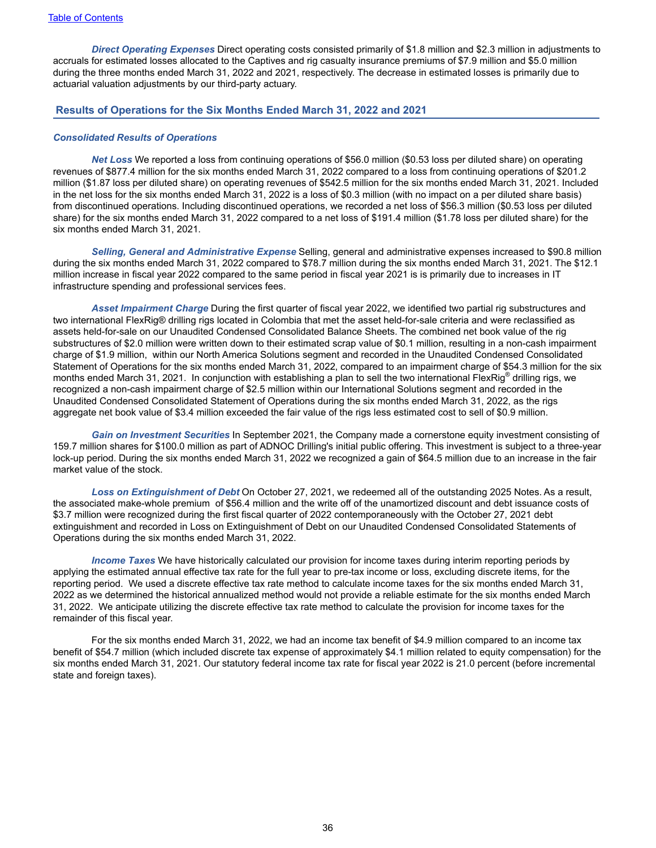*Direct Operating Expenses* Direct operating costs consisted primarily of \$1.8 million and \$2.3 million in adjustments to accruals for estimated losses allocated to the Captives and rig casualty insurance premiums of \$7.9 million and \$5.0 million during the three months ended March 31, 2022 and 2021, respectively. The decrease in estimated losses is primarily due to actuarial valuation adjustments by our third-party actuary.

#### **Results of Operations for the Six Months Ended March 31, 2022 and 2021**

#### *Consolidated Results of Operations*

*Net Loss* We reported a loss from continuing operations of \$56.0 million (\$0.53 loss per diluted share) on operating revenues of \$877.4 million for the six months ended March 31, 2022 compared to a loss from continuing operations of \$201.2 million (\$1.87 loss per diluted share) on operating revenues of \$542.5 million for the six months ended March 31, 2021. Included in the net loss for the six months ended March 31, 2022 is a loss of \$0.3 million (with no impact on a per diluted share basis) from discontinued operations. Including discontinued operations, we recorded a net loss of \$56.3 million (\$0.53 loss per diluted share) for the six months ended March 31, 2022 compared to a net loss of \$191.4 million (\$1.78 loss per diluted share) for the six months ended March 31, 2021.

*Selling, General and Administrative Expense* Selling, general and administrative expenses increased to \$90.8 million during the six months ended March 31, 2022 compared to \$78.7 million during the six months ended March 31, 2021. The \$12.1 million increase in fiscal year 2022 compared to the same period in fiscal year 2021 is is primarily due to increases in IT infrastructure spending and professional services fees.

*Asset Impairment Charge* During the first quarter of fiscal year 2022, we identified two partial rig substructures and two international FlexRig® drilling rigs located in Colombia that met the asset held-for-sale criteria and were reclassified as assets held-for-sale on our Unaudited Condensed Consolidated Balance Sheets. The combined net book value of the rig substructures of \$2.0 million were written down to their estimated scrap value of \$0.1 million, resulting in a non-cash impairment charge of \$1.9 million, within our North America Solutions segment and recorded in the Unaudited Condensed Consolidated Statement of Operations for the six months ended March 31, 2022, compared to an impairment charge of \$54.3 million for the six months ended March 31, 2021. In conjunction with establishing a plan to sell the two international FlexRig® drilling rigs, we recognized a non-cash impairment charge of \$2.5 million within our International Solutions segment and recorded in the Unaudited Condensed Consolidated Statement of Operations during the six months ended March 31, 2022, as the rigs aggregate net book value of \$3.4 million exceeded the fair value of the rigs less estimated cost to sell of \$0.9 million.

*Gain on Investment Securities* In September 2021, the Company made a cornerstone equity investment consisting of 159.7 million shares for \$100.0 million as part of ADNOC Drilling's initial public offering. This investment is subject to a three-year lock-up period. During the six months ended March 31, 2022 we recognized a gain of \$64.5 million due to an increase in the fair market value of the stock.

*Loss on Extinguishment of Debt* On October 27, 2021, we redeemed all of the outstanding 2025 Notes. As a result, the associated make-whole premium of \$56.4 million and the write off of the unamortized discount and debt issuance costs of \$3.7 million were recognized during the first fiscal quarter of 2022 contemporaneously with the October 27, 2021 debt extinguishment and recorded in Loss on Extinguishment of Debt on our Unaudited Condensed Consolidated Statements of Operations during the six months ended March 31, 2022.

*Income Taxes* We have historically calculated our provision for income taxes during interim reporting periods by applying the estimated annual effective tax rate for the full year to pre-tax income or loss, excluding discrete items, for the reporting period. We used a discrete effective tax rate method to calculate income taxes for the six months ended March 31, 2022 as we determined the historical annualized method would not provide a reliable estimate for the six months ended March 31, 2022. We anticipate utilizing the discrete effective tax rate method to calculate the provision for income taxes for the remainder of this fiscal year.

For the six months ended March 31, 2022, we had an income tax benefit of \$4.9 million compared to an income tax benefit of \$54.7 million (which included discrete tax expense of approximately \$4.1 million related to equity compensation) for the six months ended March 31, 2021. Our statutory federal income tax rate for fiscal year 2022 is 21.0 percent (before incremental state and foreign taxes).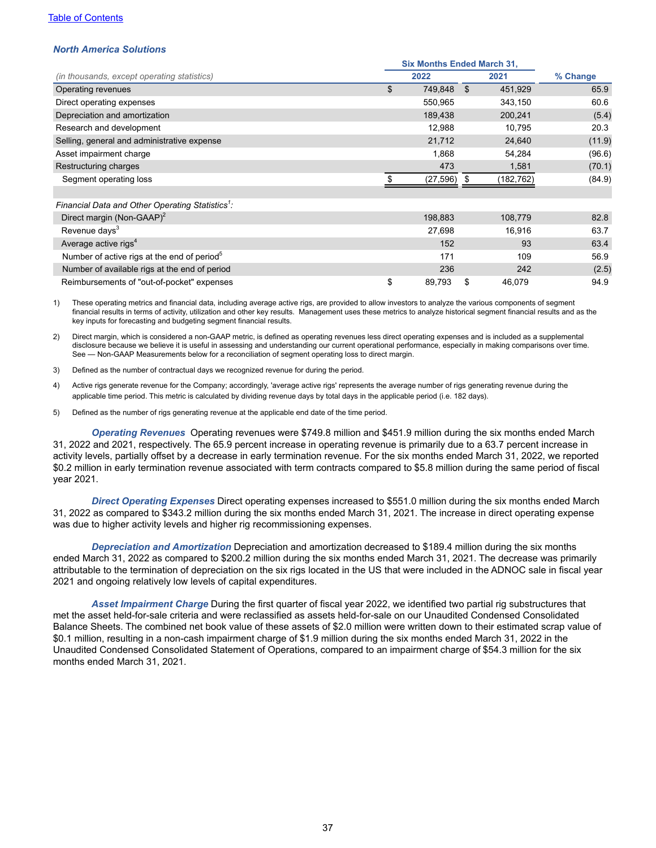#### [Table of Contents](#page-1-0)

## *North America Solutions*

|                                                              |  | <b>Six Months Ended March 31.</b> |    |            |          |  |  |
|--------------------------------------------------------------|--|-----------------------------------|----|------------|----------|--|--|
| (in thousands, except operating statistics)                  |  | 2022                              |    | 2021       | % Change |  |  |
| Operating revenues                                           |  | \$<br>749,848                     | \$ | 451,929    | 65.9     |  |  |
| Direct operating expenses                                    |  | 550,965                           |    | 343,150    | 60.6     |  |  |
| Depreciation and amortization                                |  | 189,438                           |    | 200,241    | (5.4)    |  |  |
| Research and development                                     |  | 12,988                            |    | 10,795     | 20.3     |  |  |
| Selling, general and administrative expense                  |  | 21,712                            |    | 24,640     | (11.9)   |  |  |
| Asset impairment charge                                      |  | 1,868                             |    | 54,284     | (96.6)   |  |  |
| Restructuring charges                                        |  | 473                               |    | 1,581      | (70.1)   |  |  |
| Segment operating loss                                       |  | (27, 596)                         | \$ | (182, 762) | (84.9)   |  |  |
| Financial Data and Other Operating Statistics <sup>1</sup> : |  |                                   |    |            |          |  |  |
| Direct margin (Non-GAAP) <sup>2</sup>                        |  | 198,883                           |    | 108,779    | 82.8     |  |  |
| Revenue days <sup>3</sup>                                    |  | 27,698                            |    | 16,916     | 63.7     |  |  |
| Average active rigs <sup>4</sup>                             |  | 152                               |    | 93         | 63.4     |  |  |
| Number of active rigs at the end of period <sup>5</sup>      |  | 171                               |    | 109        | 56.9     |  |  |
| Number of available rigs at the end of period                |  | 236                               |    | 242        | (2.5)    |  |  |
| Reimbursements of "out-of-pocket" expenses                   |  | \$<br>89,793                      | \$ | 46,079     | 94.9     |  |  |

1) These operating metrics and financial data, including average active rigs, are provided to allow investors to analyze the various components of segment financial results in terms of activity, utilization and other key results. Management uses these metrics to analyze historical segment financial results and as the key inputs for forecasting and budgeting segment financial results.

2) Direct margin, which is considered a non-GAAP metric, is defined as operating revenues less direct operating expenses and is included as a supplemental disclosure because we believe it is useful in assessing and understanding our current operational performance, especially in making comparisons over time. See — Non-GAAP Measurements below for a reconciliation of segment operating loss to direct margin.

3) Defined as the number of contractual days we recognized revenue for during the period.

4) Active rigs generate revenue for the Company: accordingly, 'average active rigs' represents the average number of rigs generating revenue during the applicable time period. This metric is calculated by dividing revenue days by total days in the applicable period (i.e. 182 days).

5) Defined as the number of rigs generating revenue at the applicable end date of the time period.

*Operating Revenues* Operating revenues were \$749.8 million and \$451.9 million during the six months ended March 31, 2022 and 2021, respectively. The 65.9 percent increase in operating revenue is primarily due to a 63.7 percent increase in activity levels, partially offset by a decrease in early termination revenue. For the six months ended March 31, 2022, we reported \$0.2 million in early termination revenue associated with term contracts compared to \$5.8 million during the same period of fiscal year 2021.

*Direct Operating Expenses* Direct operating expenses increased to \$551.0 million during the six months ended March 31, 2022 as compared to \$343.2 million during the six months ended March 31, 2021. The increase in direct operating expense was due to higher activity levels and higher rig recommissioning expenses.

*Depreciation and Amortization* Depreciation and amortization decreased to \$189.4 million during the six months ended March 31, 2022 as compared to \$200.2 million during the six months ended March 31, 2021. The decrease was primarily attributable to the termination of depreciation on the six rigs located in the US that were included in the ADNOC sale in fiscal year 2021 and ongoing relatively low levels of capital expenditures.

*Asset Impairment Charge* During the first quarter of fiscal year 2022, we identified two partial rig substructures that met the asset held-for-sale criteria and were reclassified as assets held-for-sale on our Unaudited Condensed Consolidated Balance Sheets. The combined net book value of these assets of \$2.0 million were written down to their estimated scrap value of \$0.1 million, resulting in a non-cash impairment charge of \$1.9 million during the six months ended March 31, 2022 in the Unaudited Condensed Consolidated Statement of Operations, compared to an impairment charge of \$54.3 million for the six months ended March 31, 2021.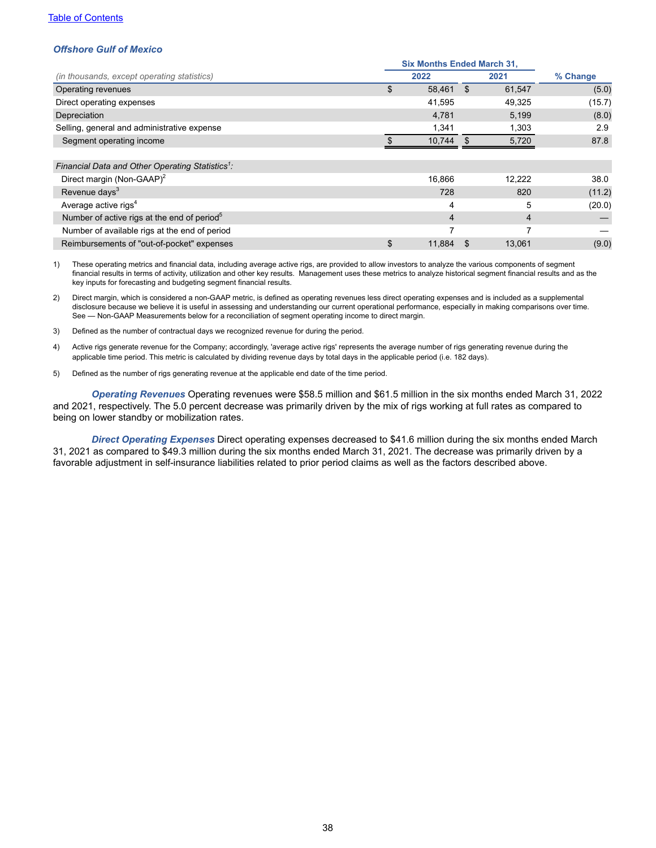### *Offshore Gulf of Mexico*

|                                                              | <b>Six Months Ended March 31,</b> |     |                |          |  |  |
|--------------------------------------------------------------|-----------------------------------|-----|----------------|----------|--|--|
| (in thousands, except operating statistics)                  | 2022                              |     |                | % Change |  |  |
| Operating revenues                                           | \$<br>58,461                      | \$  | 61,547         | (5.0)    |  |  |
| Direct operating expenses                                    | 41,595                            |     | 49,325         | (15.7)   |  |  |
| Depreciation                                                 | 4,781                             |     | 5,199          | (8.0)    |  |  |
| Selling, general and administrative expense                  | 1,341                             |     | 1,303          | 2.9      |  |  |
| Segment operating income                                     | 10,744                            | \$. | 5,720          | 87.8     |  |  |
|                                                              |                                   |     |                |          |  |  |
| Financial Data and Other Operating Statistics <sup>1</sup> : |                                   |     |                |          |  |  |
| Direct margin (Non-GAAP) <sup>2</sup>                        | 16,866                            |     | 12,222         | 38.0     |  |  |
| Revenue days <sup>3</sup>                                    | 728                               |     | 820            | (11.2)   |  |  |
| Average active rigs <sup>4</sup>                             | 4                                 |     | 5              | (20.0)   |  |  |
| Number of active rigs at the end of period <sup>5</sup>      | 4                                 |     | $\overline{4}$ |          |  |  |
| Number of available rigs at the end of period                |                                   |     | -              |          |  |  |
| Reimbursements of "out-of-pocket" expenses                   | \$<br>11.884                      | \$. | 13.061         | (9.0)    |  |  |

1) These operating metrics and financial data, including average active rigs, are provided to allow investors to analyze the various components of segment financial results in terms of activity, utilization and other key results. Management uses these metrics to analyze historical segment financial results and as the key inputs for forecasting and budgeting segment financial results.

2) Direct margin, which is considered a non-GAAP metric, is defined as operating revenues less direct operating expenses and is included as a supplemental disclosure because we believe it is useful in assessing and understanding our current operational performance, especially in making comparisons over time. See — Non-GAAP Measurements below for a reconciliation of segment operating income to direct margin.

3) Defined as the number of contractual days we recognized revenue for during the period.

4) Active rigs generate revenue for the Company; accordingly, 'average active rigs' represents the average number of rigs generating revenue during the applicable time period. This metric is calculated by dividing revenue days by total days in the applicable period (i.e. 182 days).

5) Defined as the number of rigs generating revenue at the applicable end date of the time period.

*Operating Revenues* Operating revenues were \$58.5 million and \$61.5 million in the six months ended March 31, 2022 and 2021, respectively. The 5.0 percent decrease was primarily driven by the mix of rigs working at full rates as compared to being on lower standby or mobilization rates.

*Direct Operating Expenses* Direct operating expenses decreased to \$41.6 million during the six months ended March 31, 2021 as compared to \$49.3 million during the six months ended March 31, 2021. The decrease was primarily driven by a favorable adjustment in self-insurance liabilities related to prior period claims as well as the factors described above.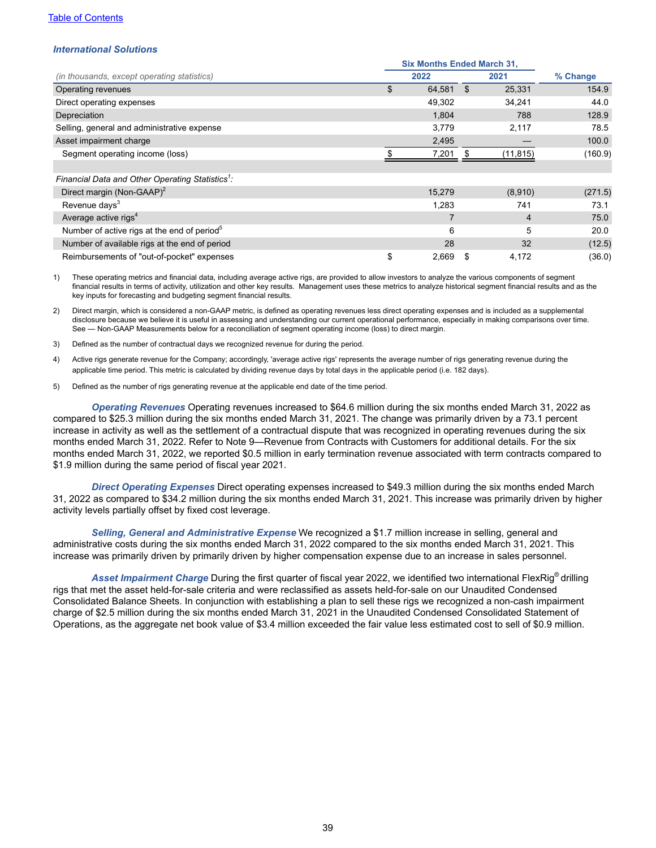#### [Table of Contents](#page-1-0)

#### *International Solutions*

|                                                              |  | <b>Six Months Ended March 31,</b> |     |           |          |  |  |
|--------------------------------------------------------------|--|-----------------------------------|-----|-----------|----------|--|--|
| (in thousands, except operating statistics)                  |  | 2022                              |     | 2021      | % Change |  |  |
| Operating revenues                                           |  | \$<br>64,581                      | \$. | 25,331    | 154.9    |  |  |
| Direct operating expenses                                    |  | 49,302                            |     | 34,241    | 44.0     |  |  |
| Depreciation                                                 |  | 1,804                             |     | 788       | 128.9    |  |  |
| Selling, general and administrative expense                  |  | 3,779                             |     | 2,117     | 78.5     |  |  |
| Asset impairment charge                                      |  | 2,495                             |     |           | 100.0    |  |  |
| Segment operating income (loss)                              |  | 7,201                             | \$. | (11, 815) | (160.9)  |  |  |
|                                                              |  |                                   |     |           |          |  |  |
| Financial Data and Other Operating Statistics <sup>1</sup> : |  |                                   |     |           |          |  |  |
| Direct margin (Non-GAAP) <sup>2</sup>                        |  | 15,279                            |     | (8,910)   | (271.5)  |  |  |
| Revenue days <sup>3</sup>                                    |  | 1,283                             |     | 741       | 73.1     |  |  |
| Average active rigs <sup>4</sup>                             |  |                                   |     | 4         | 75.0     |  |  |
| Number of active rigs at the end of period <sup>5</sup>      |  | 6                                 |     | 5         | 20.0     |  |  |
| Number of available rigs at the end of period                |  | 28                                |     | 32        | (12.5)   |  |  |
| Reimbursements of "out-of-pocket" expenses                   |  | \$<br>2,669                       | S   | 4,172     | (36.0)   |  |  |

1) These operating metrics and financial data, including average active rigs, are provided to allow investors to analyze the various components of segment financial results in terms of activity, utilization and other key results. Management uses these metrics to analyze historical segment financial results and as the key inputs for forecasting and budgeting segment financial results.

2) Direct margin, which is considered a non-GAAP metric, is defined as operating revenues less direct operating expenses and is included as a supplemental disclosure because we believe it is useful in assessing and understanding our current operational performance, especially in making comparisons over time. See — Non-GAAP Measurements below for a reconciliation of segment operating income (loss) to direct margin.

3) Defined as the number of contractual days we recognized revenue for during the period.

4) Active rigs generate revenue for the Company; accordingly, 'average active rigs' represents the average number of rigs generating revenue during the applicable time period. This metric is calculated by dividing revenue days by total days in the applicable period (i.e. 182 days).

5) Defined as the number of rigs generating revenue at the applicable end date of the time period.

*Operating Revenues* Operating revenues increased to \$64.6 million during the six months ended March 31, 2022 as compared to \$25.3 million during the six months ended March 31, 2021. The change was primarily driven by a 73.1 percent increase in activity as well as the settlement of a contractual dispute that was recognized in operating revenues during the six months ended March 31, 2022. Refer to Note 9—Revenue from Contracts with Customers for additional details. For the six months ended March 31, 2022, we reported \$0.5 million in early termination revenue associated with term contracts compared to \$1.9 million during the same period of fiscal year 2021.

*Direct Operating Expenses* Direct operating expenses increased to \$49.3 million during the six months ended March 31, 2022 as compared to \$34.2 million during the six months ended March 31, 2021. This increase was primarily driven by higher activity levels partially offset by fixed cost leverage.

*Selling, General and Administrative Expense* We recognized a \$1.7 million increase in selling, general and administrative costs during the six months ended March 31, 2022 compared to the six months ended March 31, 2021. This increase was primarily driven by primarily driven by higher compensation expense due to an increase in sales personnel.

*Asset Impairment Charge* During the first quarter of fiscal year 2022, we identified two international FlexRig® drilling rigs that met the asset held-for-sale criteria and were reclassified as assets held-for-sale on our Unaudited Condensed Consolidated Balance Sheets. In conjunction with establishing a plan to sell these rigs we recognized a non-cash impairment charge of \$2.5 million during the six months ended March 31, 2021 in the Unaudited Condensed Consolidated Statement of Operations, as the aggregate net book value of \$3.4 million exceeded the fair value less estimated cost to sell of \$0.9 million.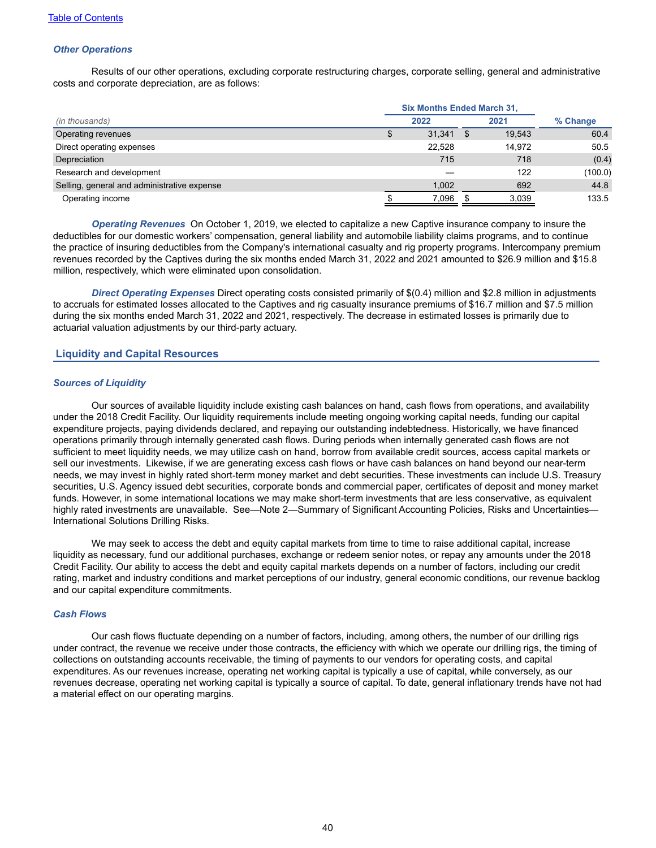#### *Other Operations*

Results of our other operations, excluding corporate restructuring charges, corporate selling, general and administrative costs and corporate depreciation, are as follows:

|                                             |  | <b>Six Months Ended March 31,</b> |     |        |          |  |  |  |
|---------------------------------------------|--|-----------------------------------|-----|--------|----------|--|--|--|
| (in thousands)                              |  | 2022                              |     | 2021   | % Change |  |  |  |
| Operating revenues                          |  | 31,341                            | \$. | 19,543 | 60.4     |  |  |  |
| Direct operating expenses                   |  | 22.528                            |     | 14.972 | 50.5     |  |  |  |
| Depreciation                                |  | 715                               |     | 718    | (0.4)    |  |  |  |
| Research and development                    |  |                                   |     | 122    | (100.0)  |  |  |  |
| Selling, general and administrative expense |  | 1.002                             |     | 692    | 44.8     |  |  |  |
| Operating income                            |  | 7,096                             |     | 3,039  | 133.5    |  |  |  |

*Operating Revenues* On October 1, 2019, we elected to capitalize a new Captive insurance company to insure the deductibles for our domestic workers' compensation, general liability and automobile liability claims programs, and to continue the practice of insuring deductibles from the Company's international casualty and rig property programs. Intercompany premium revenues recorded by the Captives during the six months ended March 31, 2022 and 2021 amounted to \$26.9 million and \$15.8 million, respectively, which were eliminated upon consolidation.

*Direct Operating Expenses* Direct operating costs consisted primarily of \$(0.4) million and \$2.8 million in adjustments to accruals for estimated losses allocated to the Captives and rig casualty insurance premiums of \$16.7 million and \$7.5 million during the six months ended March 31, 2022 and 2021, respectively. The decrease in estimated losses is primarily due to actuarial valuation adjustments by our third-party actuary.

### **Liquidity and Capital Resources**

#### *Sources of Liquidity*

Our sources of available liquidity include existing cash balances on hand, cash flows from operations, and availability under the 2018 Credit Facility. Our liquidity requirements include meeting ongoing working capital needs, funding our capital expenditure projects, paying dividends declared, and repaying our outstanding indebtedness. Historically, we have financed operations primarily through internally generated cash flows. During periods when internally generated cash flows are not sufficient to meet liquidity needs, we may utilize cash on hand, borrow from available credit sources, access capital markets or sell our investments. Likewise, if we are generating excess cash flows or have cash balances on hand beyond our near-term needs, we may invest in highly rated short-term money market and debt securities. These investments can include U.S. Treasury securities, U.S. Agency issued debt securities, corporate bonds and commercial paper, certificates of deposit and money market funds. However, in some international locations we may make short-term investments that are less conservative, as equivalent highly rated investments are unavailable. See—Note 2—Summary of Significant Accounting Policies, Risks and Uncertainties— International Solutions Drilling Risks.

We may seek to access the debt and equity capital markets from time to time to raise additional capital, increase liquidity as necessary, fund our additional purchases, exchange or redeem senior notes, or repay any amounts under the 2018 Credit Facility. Our ability to access the debt and equity capital markets depends on a number of factors, including our credit rating, market and industry conditions and market perceptions of our industry, general economic conditions, our revenue backlog and our capital expenditure commitments.

#### *Cash Flows*

Our cash flows fluctuate depending on a number of factors, including, among others, the number of our drilling rigs under contract, the revenue we receive under those contracts, the efficiency with which we operate our drilling rigs, the timing of collections on outstanding accounts receivable, the timing of payments to our vendors for operating costs, and capital expenditures. As our revenues increase, operating net working capital is typically a use of capital, while conversely, as our revenues decrease, operating net working capital is typically a source of capital. To date, general inflationary trends have not had a material effect on our operating margins.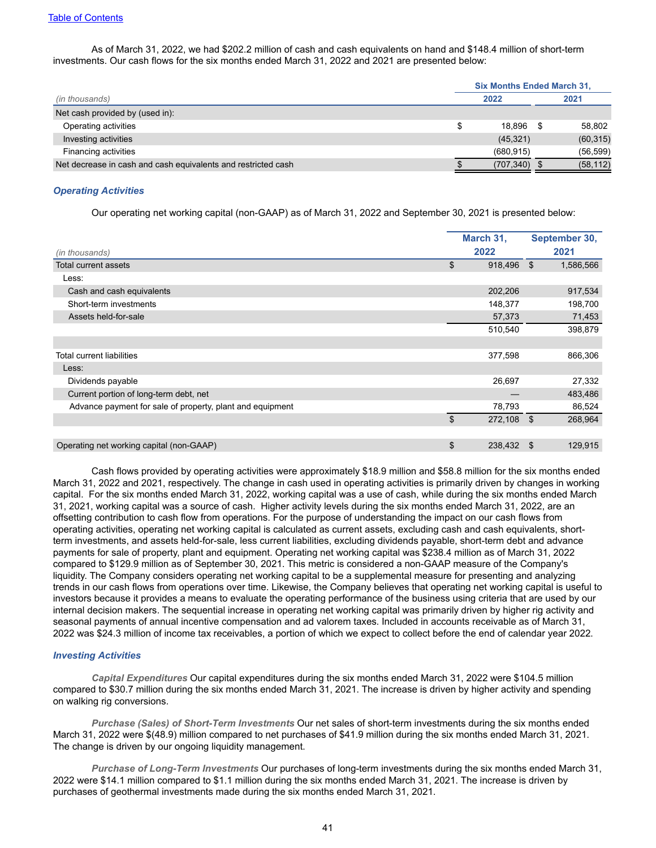As of March 31, 2022, we had \$202.2 million of cash and cash equivalents on hand and \$148.4 million of short-term investments. Our cash flows for the six months ended March 31, 2022 and 2021 are presented below:

|                                                               |   | <b>Six Months Ended March 31,</b> |  |           |  |
|---------------------------------------------------------------|---|-----------------------------------|--|-----------|--|
| (in thousands)                                                |   | 2022                              |  | 2021      |  |
| Net cash provided by (used in):                               |   |                                   |  |           |  |
| Operating activities                                          | S | 18.896                            |  | 58.802    |  |
| Investing activities                                          |   | (45, 321)                         |  | (60, 315) |  |
| Financing activities                                          |   | (680, 915)                        |  | (56, 599) |  |
| Net decrease in cash and cash equivalents and restricted cash |   | (707, 340)                        |  | (58, 112) |  |

#### *Operating Activities*

Our operating net working capital (non-GAAP) as of March 31, 2022 and September 30, 2021 is presented below:

|                                                           | March 31,     |            |    | September 30, |
|-----------------------------------------------------------|---------------|------------|----|---------------|
| (in thousands)                                            |               | 2022       |    | 2021          |
| Total current assets                                      | \$            | 918,496    | \$ | 1,586,566     |
| Less:                                                     |               |            |    |               |
| Cash and cash equivalents                                 |               | 202,206    |    | 917,534       |
| Short-term investments                                    |               | 148,377    |    | 198,700       |
| Assets held-for-sale                                      |               | 57,373     |    | 71,453        |
|                                                           |               | 510,540    |    | 398,879       |
|                                                           |               |            |    |               |
| <b>Total current liabilities</b>                          |               | 377,598    |    | 866,306       |
| Less:                                                     |               |            |    |               |
| Dividends payable                                         |               | 26,697     |    | 27,332        |
| Current portion of long-term debt, net                    |               |            |    | 483,486       |
| Advance payment for sale of property, plant and equipment |               | 78,793     |    | 86,524        |
|                                                           | $\mathfrak s$ | 272,108 \$ |    | 268,964       |
|                                                           |               |            |    |               |
| Operating net working capital (non-GAAP)                  | \$            | 238,432 \$ |    | 129,915       |

Cash flows provided by operating activities were approximately \$18.9 million and \$58.8 million for the six months ended March 31, 2022 and 2021, respectively. The change in cash used in operating activities is primarily driven by changes in working capital. For the six months ended March 31, 2022, working capital was a use of cash, while during the six months ended March 31, 2021, working capital was a source of cash. Higher activity levels during the six months ended March 31, 2022, are an offsetting contribution to cash flow from operations. For the purpose of understanding the impact on our cash flows from operating activities, operating net working capital is calculated as current assets, excluding cash and cash equivalents, shortterm investments, and assets held-for-sale, less current liabilities, excluding dividends payable, short-term debt and advance payments for sale of property, plant and equipment. Operating net working capital was \$238.4 million as of March 31, 2022 compared to \$129.9 million as of September 30, 2021. This metric is considered a non-GAAP measure of the Company's liquidity. The Company considers operating net working capital to be a supplemental measure for presenting and analyzing trends in our cash flows from operations over time. Likewise, the Company believes that operating net working capital is useful to investors because it provides a means to evaluate the operating performance of the business using criteria that are used by our internal decision makers. The sequential increase in operating net working capital was primarily driven by higher rig activity and seasonal payments of annual incentive compensation and ad valorem taxes. Included in accounts receivable as of March 31, 2022 was \$24.3 million of income tax receivables, a portion of which we expect to collect before the end of calendar year 2022.

#### *Investing Activities*

*Capital Expenditures* Our capital expenditures during the six months ended March 31, 2022 were \$104.5 million compared to \$30.7 million during the six months ended March 31, 2021. The increase is driven by higher activity and spending on walking rig conversions.

*Purchase (Sales) of Short-Term Investments* Our net sales of short-term investments during the six months ended March 31, 2022 were \$(48.9) million compared to net purchases of \$41.9 million during the six months ended March 31, 2021. The change is driven by our ongoing liquidity management.

*Purchase of Long-Term Investments* Our purchases of long-term investments during the six months ended March 31, 2022 were \$14.1 million compared to \$1.1 million during the six months ended March 31, 2021. The increase is driven by purchases of geothermal investments made during the six months ended March 31, 2021.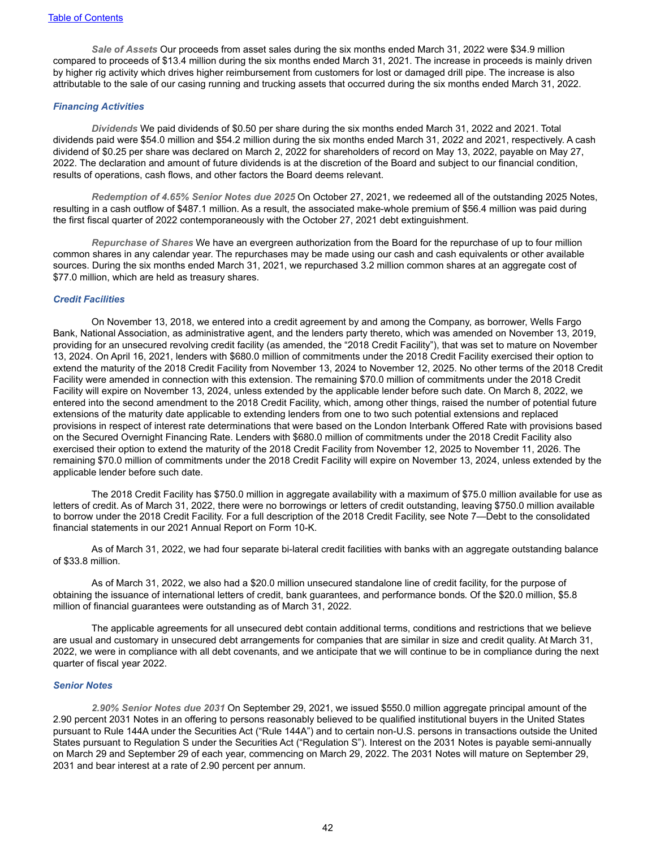*Sale of Assets* Our proceeds from asset sales during the six months ended March 31, 2022 were \$34.9 million compared to proceeds of \$13.4 million during the six months ended March 31, 2021. The increase in proceeds is mainly driven by higher rig activity which drives higher reimbursement from customers for lost or damaged drill pipe. The increase is also attributable to the sale of our casing running and trucking assets that occurred during the six months ended March 31, 2022.

#### *Financing Activities*

*Dividends* We paid dividends of \$0.50 per share during the six months ended March 31, 2022 and 2021. Total dividends paid were \$54.0 million and \$54.2 million during the six months ended March 31, 2022 and 2021, respectively. A cash dividend of \$0.25 per share was declared on March 2, 2022 for shareholders of record on May 13, 2022, payable on May 27, 2022. The declaration and amount of future dividends is at the discretion of the Board and subject to our financial condition, results of operations, cash flows, and other factors the Board deems relevant.

*Redemption of 4.65% Senior Notes due 2025* On October 27, 2021, we redeemed all of the outstanding 2025 Notes, resulting in a cash outflow of \$487.1 million. As a result, the associated make-whole premium of \$56.4 million was paid during the first fiscal quarter of 2022 contemporaneously with the October 27, 2021 debt extinguishment.

*Repurchase of Shares* We have an evergreen authorization from the Board for the repurchase of up to four million common shares in any calendar year. The repurchases may be made using our cash and cash equivalents or other available sources. During the six months ended March 31, 2021, we repurchased 3.2 million common shares at an aggregate cost of \$77.0 million, which are held as treasury shares.

#### *Credit Facilities*

On November 13, 2018, we entered into a credit agreement by and among the Company, as borrower, Wells Fargo Bank, National Association, as administrative agent, and the lenders party thereto, which was amended on November 13, 2019, providing for an unsecured revolving credit facility (as amended, the "2018 Credit Facility"), that was set to mature on November 13, 2024. On April 16, 2021, lenders with \$680.0 million of commitments under the 2018 Credit Facility exercised their option to extend the maturity of the 2018 Credit Facility from November 13, 2024 to November 12, 2025. No other terms of the 2018 Credit Facility were amended in connection with this extension. The remaining \$70.0 million of commitments under the 2018 Credit Facility will expire on November 13, 2024, unless extended by the applicable lender before such date. On March 8, 2022, we entered into the second amendment to the 2018 Credit Facility, which, among other things, raised the number of potential future extensions of the maturity date applicable to extending lenders from one to two such potential extensions and replaced provisions in respect of interest rate determinations that were based on the London Interbank Offered Rate with provisions based on the Secured Overnight Financing Rate. Lenders with \$680.0 million of commitments under the 2018 Credit Facility also exercised their option to extend the maturity of the 2018 Credit Facility from November 12, 2025 to November 11, 2026. The remaining \$70.0 million of commitments under the 2018 Credit Facility will expire on November 13, 2024, unless extended by the applicable lender before such date.

The 2018 Credit Facility has \$750.0 million in aggregate availability with a maximum of \$75.0 million available for use as letters of credit. As of March 31, 2022, there were no borrowings or letters of credit outstanding, leaving \$750.0 million available to borrow under the 2018 Credit Facility. For a full description of the 2018 Credit Facility, see Note 7—Debt to the consolidated financial statements in our 2021 Annual Report on Form 10-K.

As of March 31, 2022, we had four separate bi-lateral credit facilities with banks with an aggregate outstanding balance of \$33.8 million.

As of March 31, 2022, we also had a \$20.0 million unsecured standalone line of credit facility, for the purpose of obtaining the issuance of international letters of credit, bank guarantees, and performance bonds. Of the \$20.0 million, \$5.8 million of financial guarantees were outstanding as of March 31, 2022.

The applicable agreements for all unsecured debt contain additional terms, conditions and restrictions that we believe are usual and customary in unsecured debt arrangements for companies that are similar in size and credit quality. At March 31, 2022, we were in compliance with all debt covenants, and we anticipate that we will continue to be in compliance during the next quarter of fiscal year 2022.

#### *Senior Notes*

*2.90% Senior Notes due 2031* On September 29, 2021, we issued \$550.0 million aggregate principal amount of the 2.90 percent 2031 Notes in an offering to persons reasonably believed to be qualified institutional buyers in the United States pursuant to Rule 144A under the Securities Act ("Rule 144A") and to certain non-U.S. persons in transactions outside the United States pursuant to Regulation S under the Securities Act ("Regulation S"). Interest on the 2031 Notes is payable semi-annually on March 29 and September 29 of each year, commencing on March 29, 2022. The 2031 Notes will mature on September 29, 2031 and bear interest at a rate of 2.90 percent per annum.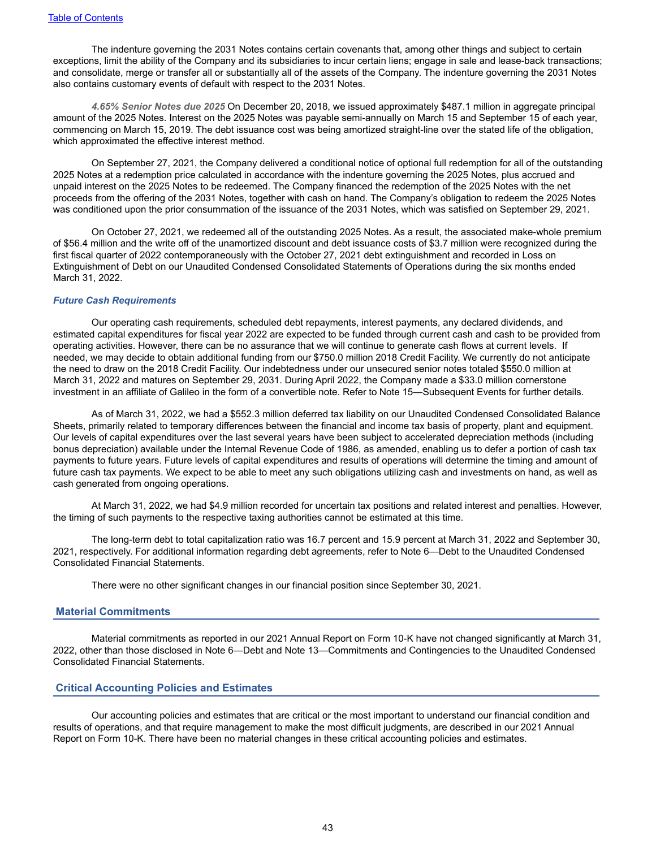The indenture governing the 2031 Notes contains certain covenants that, among other things and subject to certain exceptions, limit the ability of the Company and its subsidiaries to incur certain liens; engage in sale and lease-back transactions; and consolidate, merge or transfer all or substantially all of the assets of the Company. The indenture governing the 2031 Notes also contains customary events of default with respect to the 2031 Notes.

*4.65% Senior Notes due 2025* On December 20, 2018, we issued approximately \$487.1 million in aggregate principal amount of the 2025 Notes. Interest on the 2025 Notes was payable semi-annually on March 15 and September 15 of each year, commencing on March 15, 2019. The debt issuance cost was being amortized straight-line over the stated life of the obligation, which approximated the effective interest method.

On September 27, 2021, the Company delivered a conditional notice of optional full redemption for all of the outstanding 2025 Notes at a redemption price calculated in accordance with the indenture governing the 2025 Notes, plus accrued and unpaid interest on the 2025 Notes to be redeemed. The Company financed the redemption of the 2025 Notes with the net proceeds from the offering of the 2031 Notes, together with cash on hand. The Company's obligation to redeem the 2025 Notes was conditioned upon the prior consummation of the issuance of the 2031 Notes, which was satisfied on September 29, 2021.

On October 27, 2021, we redeemed all of the outstanding 2025 Notes. As a result, the associated make-whole premium of \$56.4 million and the write off of the unamortized discount and debt issuance costs of \$3.7 million were recognized during the first fiscal quarter of 2022 contemporaneously with the October 27, 2021 debt extinguishment and recorded in Loss on Extinguishment of Debt on our Unaudited Condensed Consolidated Statements of Operations during the six months ended March 31, 2022.

#### *Future Cash Requirements*

Our operating cash requirements, scheduled debt repayments, interest payments, any declared dividends, and estimated capital expenditures for fiscal year 2022 are expected to be funded through current cash and cash to be provided from operating activities. However, there can be no assurance that we will continue to generate cash flows at current levels. If needed, we may decide to obtain additional funding from our \$750.0 million 2018 Credit Facility. We currently do not anticipate the need to draw on the 2018 Credit Facility. Our indebtedness under our unsecured senior notes totaled \$550.0 million at March 31, 2022 and matures on September 29, 2031. During April 2022, the Company made a \$33.0 million cornerstone investment in an affiliate of Galileo in the form of a convertible note. Refer to Note 15—Subsequent Events for further details.

As of March 31, 2022, we had a \$552.3 million deferred tax liability on our Unaudited Condensed Consolidated Balance Sheets, primarily related to temporary differences between the financial and income tax basis of property, plant and equipment. Our levels of capital expenditures over the last several years have been subject to accelerated depreciation methods (including bonus depreciation) available under the Internal Revenue Code of 1986, as amended, enabling us to defer a portion of cash tax payments to future years. Future levels of capital expenditures and results of operations will determine the timing and amount of future cash tax payments. We expect to be able to meet any such obligations utilizing cash and investments on hand, as well as cash generated from ongoing operations.

At March 31, 2022, we had \$4.9 million recorded for uncertain tax positions and related interest and penalties. However, the timing of such payments to the respective taxing authorities cannot be estimated at this time.

The long-term debt to total capitalization ratio was 16.7 percent and 15.9 percent at March 31, 2022 and September 30, 2021, respectively. For additional information regarding debt agreements, refer to Note 6—Debt to the Unaudited Condensed Consolidated Financial Statements.

There were no other significant changes in our financial position since September 30, 2021.

#### **Material Commitments**

Material commitments as reported in our 2021 Annual Report on Form 10-K have not changed significantly at March 31, 2022, other than those disclosed in Note 6—Debt and Note 13—Commitments and Contingencies to the Unaudited Condensed Consolidated Financial Statements.

### **Critical Accounting Policies and Estimates**

Our accounting policies and estimates that are critical or the most important to understand our financial condition and results of operations, and that require management to make the most difficult judgments, are described in our 2021 Annual Report on Form 10-K. There have been no material changes in these critical accounting policies and estimates.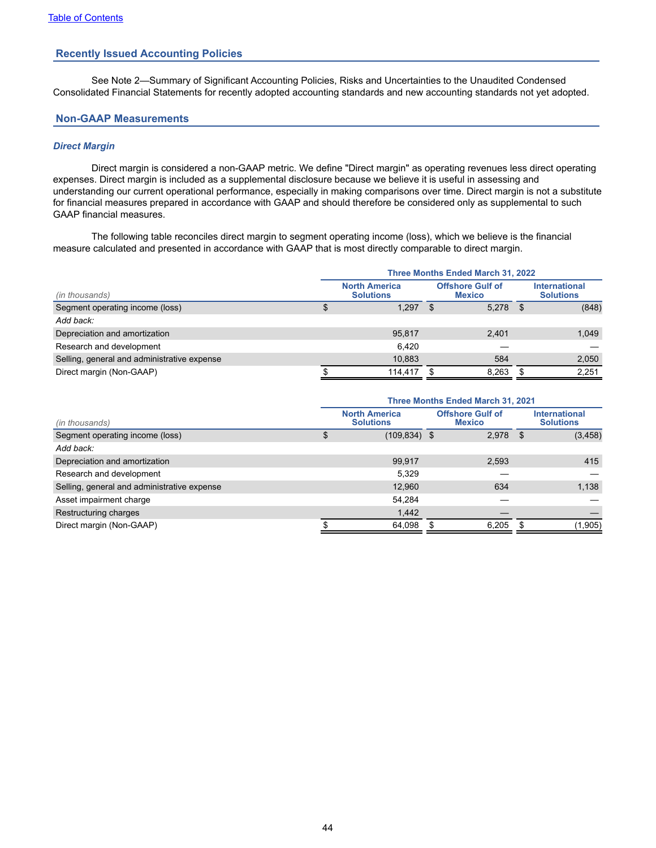## **Recently Issued Accounting Policies**

See Note 2—Summary of Significant Accounting Policies, Risks and Uncertainties to the Unaudited Condensed Consolidated Financial Statements for recently adopted accounting standards and new accounting standards not yet adopted.

#### **Non-GAAP Measurements**

#### *Direct Margin*

Direct margin is considered a non-GAAP metric. We define "Direct margin" as operating revenues less direct operating expenses. Direct margin is included as a supplemental disclosure because we believe it is useful in assessing and understanding our current operational performance, especially in making comparisons over time. Direct margin is not a substitute for financial measures prepared in accordance with GAAP and should therefore be considered only as supplemental to such GAAP financial measures.

The following table reconciles direct margin to segment operating income (loss), which we believe is the financial measure calculated and presented in accordance with GAAP that is most directly comparable to direct margin.

|                                             |  | <b>Three Months Ended March 31, 2022</b> |                                          |  |                                          |
|---------------------------------------------|--|------------------------------------------|------------------------------------------|--|------------------------------------------|
| (in thousands)                              |  | <b>North America</b><br><b>Solutions</b> | <b>Offshore Gulf of</b><br><b>Mexico</b> |  | <b>International</b><br><b>Solutions</b> |
| Segment operating income (loss)             |  | 1.297                                    | \$<br>5.278                              |  | (848)                                    |
| Add back:                                   |  |                                          |                                          |  |                                          |
| Depreciation and amortization               |  | 95.817                                   | 2.401                                    |  | 1,049                                    |
| Research and development                    |  | 6.420                                    |                                          |  |                                          |
| Selling, general and administrative expense |  | 10,883                                   | 584                                      |  | 2,050                                    |
| Direct margin (Non-GAAP)                    |  | 114.417                                  | 8.263                                    |  | 2,251                                    |
|                                             |  |                                          |                                          |  |                                          |

|                                             | <b>Three Months Ended March 31, 2021</b> |                                                                                      |  |       |      |                                          |  |  |  |
|---------------------------------------------|------------------------------------------|--------------------------------------------------------------------------------------|--|-------|------|------------------------------------------|--|--|--|
| (in thousands)                              |                                          | <b>Offshore Gulf of</b><br><b>North America</b><br><b>Solutions</b><br><b>Mexico</b> |  |       |      | <b>International</b><br><b>Solutions</b> |  |  |  |
| Segment operating income (loss)             | ง                                        | $(109, 834)$ \$                                                                      |  | 2,978 | - \$ | (3, 458)                                 |  |  |  |
| Add back:                                   |                                          |                                                                                      |  |       |      |                                          |  |  |  |
| Depreciation and amortization               |                                          | 99,917                                                                               |  | 2.593 |      | 415                                      |  |  |  |
| Research and development                    |                                          | 5.329                                                                                |  |       |      |                                          |  |  |  |
| Selling, general and administrative expense |                                          | 12,960                                                                               |  | 634   |      | 1,138                                    |  |  |  |
| Asset impairment charge                     |                                          | 54,284                                                                               |  |       |      |                                          |  |  |  |
| Restructuring charges                       |                                          | 1,442                                                                                |  |       |      |                                          |  |  |  |
| Direct margin (Non-GAAP)                    |                                          | 64,098                                                                               |  | 6,205 |      | (1,905)                                  |  |  |  |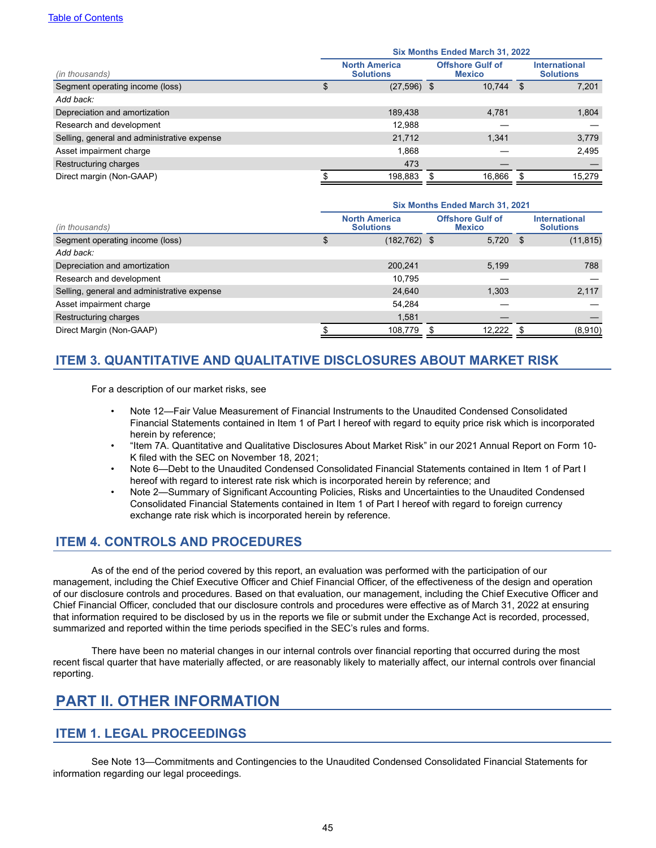<span id="page-44-0"></span>

|                                             | Six Months Ended March 31, 2022 |                                          |                                          |        |      |                                          |  |  |  |
|---------------------------------------------|---------------------------------|------------------------------------------|------------------------------------------|--------|------|------------------------------------------|--|--|--|
| (in thousands)                              |                                 | <b>North America</b><br><b>Solutions</b> | <b>Offshore Gulf of</b><br><b>Mexico</b> |        |      | <b>International</b><br><b>Solutions</b> |  |  |  |
| Segment operating income (loss)             | จ                               | $(27,596)$ \$                            |                                          | 10,744 | - \$ | 7,201                                    |  |  |  |
| Add back:                                   |                                 |                                          |                                          |        |      |                                          |  |  |  |
| Depreciation and amortization               |                                 | 189,438                                  |                                          | 4,781  |      | 1,804                                    |  |  |  |
| Research and development                    |                                 | 12,988                                   |                                          |        |      |                                          |  |  |  |
| Selling, general and administrative expense |                                 | 21,712                                   |                                          | 1.341  |      | 3,779                                    |  |  |  |
| Asset impairment charge                     |                                 | 1.868                                    |                                          |        |      | 2,495                                    |  |  |  |
| Restructuring charges                       |                                 | 473                                      |                                          |        |      |                                          |  |  |  |
| Direct margin (Non-GAAP)                    |                                 | 198,883                                  |                                          | 16.866 |      | 15,279                                   |  |  |  |

|                                             | Six Months Ended March 31, 2021 |                                          |                                          |        |                                          |           |
|---------------------------------------------|---------------------------------|------------------------------------------|------------------------------------------|--------|------------------------------------------|-----------|
| (in thousands)                              |                                 | <b>North America</b><br><b>Solutions</b> | <b>Offshore Gulf of</b><br><b>Mexico</b> |        | <b>International</b><br><b>Solutions</b> |           |
| Segment operating income (loss)             |                                 | $(182, 762)$ \$                          |                                          | 5,720  | - \$                                     | (11, 815) |
| Add back:                                   |                                 |                                          |                                          |        |                                          |           |
| Depreciation and amortization               |                                 | 200.241                                  |                                          | 5.199  |                                          | 788       |
| Research and development                    |                                 | 10,795                                   |                                          |        |                                          |           |
| Selling, general and administrative expense |                                 | 24,640                                   |                                          | 1.303  |                                          | 2,117     |
| Asset impairment charge                     |                                 | 54,284                                   |                                          |        |                                          |           |
| Restructuring charges                       |                                 | 1,581                                    |                                          |        |                                          |           |
| Direct Margin (Non-GAAP)                    |                                 | 108,779                                  |                                          | 12,222 |                                          | (8,910)   |

# **ITEM 3. QUANTITATIVE AND QUALITATIVE DISCLOSURES ABOUT MARKET RISK**

For a description of our market risks, see

- Note 12—Fair Value Measurement of Financial Instruments to the Unaudited Condensed Consolidated Financial Statements contained in Item 1 of Part I hereof with regard to equity price risk which is incorporated herein by reference;
- "Item 7A. Quantitative and Qualitative Disclosures About Market Risk" in our 2021 Annual Report on Form 10- K filed with the SEC on November 18, 2021;
- Note 6—Debt to the Unaudited Condensed Consolidated Financial Statements contained in Item 1 of Part I hereof with regard to interest rate risk which is incorporated herein by reference; and
- Note 2—Summary of Significant Accounting Policies, Risks and Uncertainties to the Unaudited Condensed Consolidated Financial Statements contained in Item 1 of Part I hereof with regard to foreign currency exchange rate risk which is incorporated herein by reference.

# **ITEM 4. CONTROLS AND PROCEDURES**

As of the end of the period covered by this report, an evaluation was performed with the participation of our management, including the Chief Executive Officer and Chief Financial Officer, of the effectiveness of the design and operation of our disclosure controls and procedures. Based on that evaluation, our management, including the Chief Executive Officer and Chief Financial Officer, concluded that our disclosure controls and procedures were effective as of March 31, 2022 at ensuring that information required to be disclosed by us in the reports we file or submit under the Exchange Act is recorded, processed, summarized and reported within the time periods specified in the SEC's rules and forms.

There have been no material changes in our internal controls over financial reporting that occurred during the most recent fiscal quarter that have materially affected, or are reasonably likely to materially affect, our internal controls over financial reporting.

# **PART II. OTHER INFORMATION**

# **ITEM 1. LEGAL PROCEEDINGS**

See Note 13—Commitments and Contingencies to the Unaudited Condensed Consolidated Financial Statements for information regarding our legal proceedings.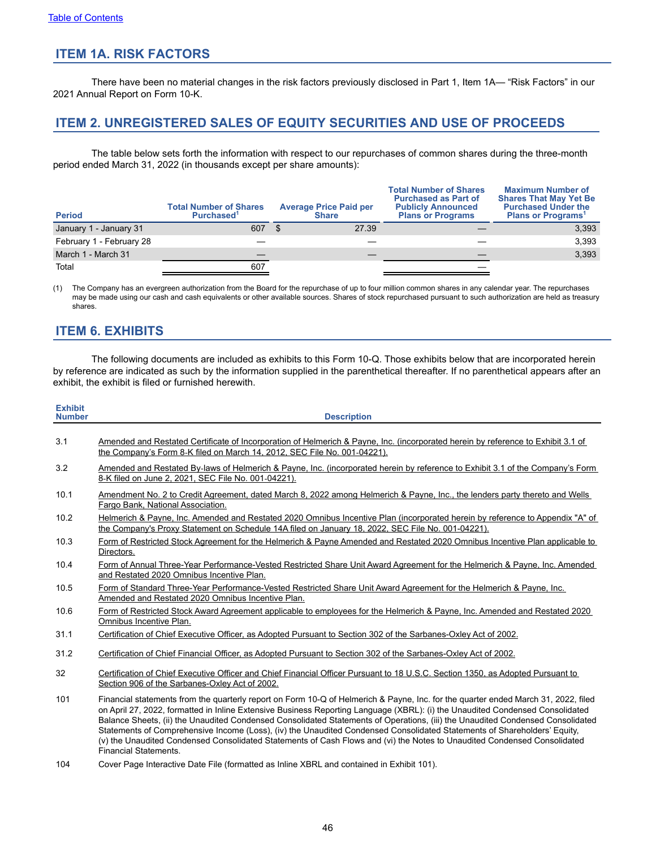# <span id="page-45-0"></span>**ITEM 1A. RISK FACTORS**

There have been no material changes in the risk factors previously disclosed in Part 1, Item 1A— "Risk Factors" in our 2021 Annual Report on Form 10-K.

# **ITEM 2. UNREGISTERED SALES OF EQUITY SECURITIES AND USE OF PROCEEDS**

The table below sets forth the information with respect to our repurchases of common shares during the three-month period ended March 31, 2022 (in thousands except per share amounts):

| <b>Period</b>            | <b>Total Number of Shares</b><br>Purchased <sup>1</sup> | <b>Average Price Paid per</b><br><b>Share</b> | <b>Total Number of Shares</b><br><b>Purchased as Part of</b><br><b>Publicly Announced</b><br><b>Plans or Programs</b> | <b>Maximum Number of</b><br><b>Shares That May Yet Be</b><br><b>Purchased Under the</b><br><b>Plans or Programs'</b> |
|--------------------------|---------------------------------------------------------|-----------------------------------------------|-----------------------------------------------------------------------------------------------------------------------|----------------------------------------------------------------------------------------------------------------------|
| January 1 - January 31   | 607                                                     | 27.39<br>- S                                  |                                                                                                                       | 3,393                                                                                                                |
| February 1 - February 28 |                                                         |                                               |                                                                                                                       | 3,393                                                                                                                |
| March 1 - March 31       |                                                         |                                               |                                                                                                                       | 3,393                                                                                                                |
| Total                    | 607                                                     |                                               |                                                                                                                       |                                                                                                                      |

(1) The Company has an evergreen authorization from the Board for the repurchase of up to four million common shares in any calendar year. The repurchases may be made using our cash and cash equivalents or other available sources. Shares of stock repurchased pursuant to such authorization are held as treasury shares.

# **ITEM 6. EXHIBITS**

The following documents are included as exhibits to this Form 10-Q. Those exhibits below that are incorporated herein by reference are indicated as such by the information supplied in the parenthetical thereafter. If no parenthetical appears after an exhibit, the exhibit is filed or furnished herewith.

| <b>Exhibit</b><br><b>Number</b> | <b>Description</b>                                                                                                                                                                                                                                                                                                                                                                                                                                                                                                                                                                                                                                                                            |
|---------------------------------|-----------------------------------------------------------------------------------------------------------------------------------------------------------------------------------------------------------------------------------------------------------------------------------------------------------------------------------------------------------------------------------------------------------------------------------------------------------------------------------------------------------------------------------------------------------------------------------------------------------------------------------------------------------------------------------------------|
| 3.1                             | Amended and Restated Certificate of Incorporation of Helmerich & Payne, Inc. (incorporated herein by reference to Exhibit 3.1 of<br>the Company's Form 8-K filed on March 14, 2012, SEC File No. 001-04221).                                                                                                                                                                                                                                                                                                                                                                                                                                                                                  |
| 3.2                             | Amended and Restated By-laws of Helmerich & Payne, Inc. (incorporated herein by reference to Exhibit 3.1 of the Company's Form<br>8-K filed on June 2, 2021, SEC File No. 001-04221).                                                                                                                                                                                                                                                                                                                                                                                                                                                                                                         |
| 10.1                            | Amendment No. 2 to Credit Agreement, dated March 8, 2022 among Helmerich & Payne, Inc., the lenders party thereto and Wells<br>Fargo Bank, National Association.                                                                                                                                                                                                                                                                                                                                                                                                                                                                                                                              |
| 10.2                            | Helmerich & Payne, Inc. Amended and Restated 2020 Omnibus Incentive Plan (incorporated herein by reference to Appendix "A" of<br>the Company's Proxy Statement on Schedule 14A filed on January 18, 2022, SEC File No. 001-04221).                                                                                                                                                                                                                                                                                                                                                                                                                                                            |
| 10.3                            | Form of Restricted Stock Agreement for the Helmerich & Payne Amended and Restated 2020 Omnibus Incentive Plan applicable to<br>Directors.                                                                                                                                                                                                                                                                                                                                                                                                                                                                                                                                                     |
| 10.4                            | Form of Annual Three-Year Performance-Vested Restricted Share Unit Award Agreement for the Helmerich & Payne, Inc. Amended<br>and Restated 2020 Omnibus Incentive Plan.                                                                                                                                                                                                                                                                                                                                                                                                                                                                                                                       |
| 10.5                            | Form of Standard Three-Year Performance-Vested Restricted Share Unit Award Agreement for the Helmerich & Payne, Inc.<br>Amended and Restated 2020 Omnibus Incentive Plan.                                                                                                                                                                                                                                                                                                                                                                                                                                                                                                                     |
| 10.6                            | Form of Restricted Stock Award Agreement applicable to employees for the Helmerich & Payne, Inc. Amended and Restated 2020<br>Omnibus Incentive Plan.                                                                                                                                                                                                                                                                                                                                                                                                                                                                                                                                         |
| 31.1                            | Certification of Chief Executive Officer, as Adopted Pursuant to Section 302 of the Sarbanes-Oxley Act of 2002.                                                                                                                                                                                                                                                                                                                                                                                                                                                                                                                                                                               |
| 31.2                            | Certification of Chief Financial Officer, as Adopted Pursuant to Section 302 of the Sarbanes-Oxley Act of 2002.                                                                                                                                                                                                                                                                                                                                                                                                                                                                                                                                                                               |
| 32                              | Certification of Chief Executive Officer and Chief Financial Officer Pursuant to 18 U.S.C. Section 1350, as Adopted Pursuant to<br>Section 906 of the Sarbanes-Oxley Act of 2002.                                                                                                                                                                                                                                                                                                                                                                                                                                                                                                             |
| 101                             | Financial statements from the quarterly report on Form 10-Q of Helmerich & Payne, Inc. for the quarter ended March 31, 2022, filed<br>on April 27, 2022, formatted in Inline Extensive Business Reporting Language (XBRL): (i) the Unaudited Condensed Consolidated<br>Balance Sheets, (ii) the Unaudited Condensed Consolidated Statements of Operations, (iii) the Unaudited Condensed Consolidated<br>Statements of Comprehensive Income (Loss), (iv) the Unaudited Condensed Consolidated Statements of Shareholders' Equity,<br>(v) the Unaudited Condensed Consolidated Statements of Cash Flows and (vi) the Notes to Unaudited Condensed Consolidated<br><b>Financial Statements.</b> |
|                                 |                                                                                                                                                                                                                                                                                                                                                                                                                                                                                                                                                                                                                                                                                               |

104 Cover Page Interactive Date File (formatted as Inline XBRL and contained in Exhibit 101).